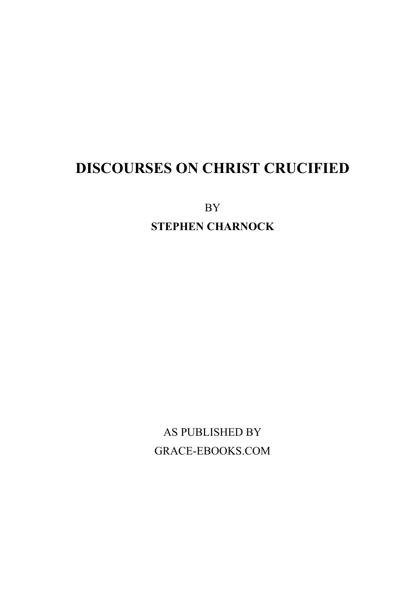# **DISCOURSES ON CHRIST CRUCIFIED**

BY

**STEPHEN CHARNOCK**

AS PUBLISHED BY GRACE-EBOOKS.COM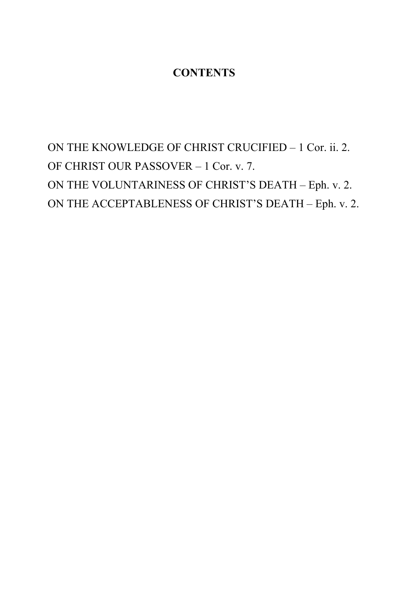## **CONTENTS**

ON THE KNOWLEDGE OF CHRIST CRUCIFIED – 1 Cor. ii. 2. OF CHRIST OUR PASSOVER – 1 Cor. v. 7. ON THE VOLUNTARINESS OF CHRIST'S DEATH – Eph. v. 2. ON THE ACCEPTABLENESS OF CHRIST'S DEATH – Eph. v. 2.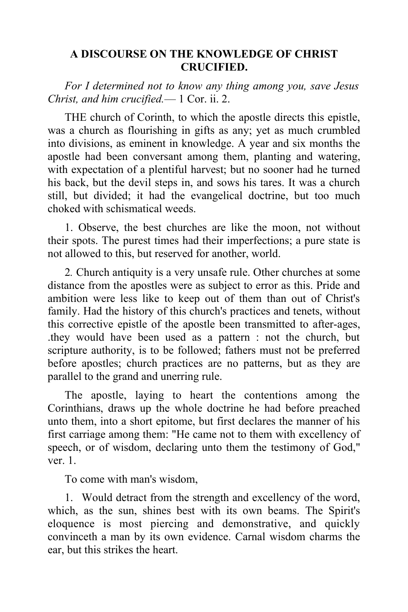## **A DISCOURSE ON THE KNOWLEDGE OF CHRIST CRUCIFIED.**

*For I determined not to know any thing among you, save Jesus Christ, and him crucified.*— 1 Cor. ii. 2.

THE church of Corinth, to which the apostle directs this epistle, was a church as flourishing in gifts as any; yet as much crumbled into divisions, as eminent in knowledge. A year and six months the apostle had been conversant among them, planting and watering, with expectation of a plentiful harvest; but no sooner had he turned his back, but the devil steps in, and sows his tares. It was a church still, but divided; it had the evangelical doctrine, but too much choked with schismatical weeds.

1. Observe, the best churches are like the moon, not without their spots. The purest times had their imperfections; a pure state is not allowed to this, but reserved for another, world.

2*.* Church antiquity is a very unsafe rule. Other churches at some distance from the apostles were as subject to error as this. Pride and ambition were less like to keep out of them than out of Christ's family. Had the history of this church's practices and tenets, without this corrective epistle of the apostle been transmitted to after-ages, .they would have been used as a pattern : not the church, but scripture authority, is to be followed; fathers must not be preferred before apostles; church practices are no patterns, but as they are parallel to the grand and unerring rule.

The apostle, laying to heart the contentions among the Corinthians, draws up the whole doctrine he had before preached unto them, into a short epitome, but first declares the manner of his first carriage among them: "He came not to them with excellency of speech, or of wisdom, declaring unto them the testimony of God," ver. 1.

To come with man's wisdom,

1. Would detract from the strength and excellency of the word, which, as the sun, shines best with its own beams. The Spirit's eloquence is most piercing and demonstrative, and quickly convinceth a man by its own evidence. Carnal wisdom charms the ear, but this strikes the heart.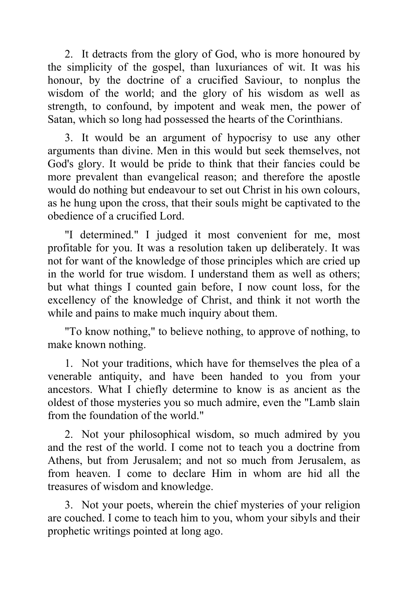2. It detracts from the glory of God, who is more honoured by the simplicity of the gospel, than luxuriances of wit. It was his honour, by the doctrine of a crucified Saviour, to nonplus the wisdom of the world; and the glory of his wisdom as well as strength, to confound, by impotent and weak men, the power of Satan, which so long had possessed the hearts of the Corinthians.

3. It would be an argument of hypocrisy to use any other arguments than divine. Men in this would but seek themselves, not God's glory. It would be pride to think that their fancies could be more prevalent than evangelical reason; and therefore the apostle would do nothing but endeavour to set out Christ in his own colours, as he hung upon the cross, that their souls might be captivated to the obedience of a crucified Lord.

"I determined." I judged it most convenient for me, most profitable for you. It was a resolution taken up deliberately. It was not for want of the knowledge of those principles which are cried up in the world for true wisdom. I understand them as well as others; but what things I counted gain before, I now count loss, for the excellency of the knowledge of Christ, and think it not worth the while and pains to make much inquiry about them.

"To know nothing," to believe nothing, to approve of nothing, to make known nothing.

1. Not your traditions, which have for themselves the plea of a venerable antiquity, and have been handed to you from your ancestors. What I chiefly determine to know is as ancient as the oldest of those mysteries you so much admire, even the "Lamb slain from the foundation of the world."

2. Not your philosophical wisdom, so much admired by you and the rest of the world. I come not to teach you a doctrine from Athens, but from Jerusalem; and not so much from Jerusalem, as from heaven. I come to declare Him in whom are hid all the treasures of wisdom and knowledge.

3. Not your poets, wherein the chief mysteries of your religion are couched. I come to teach him to you, whom your sibyls and their prophetic writings pointed at long ago.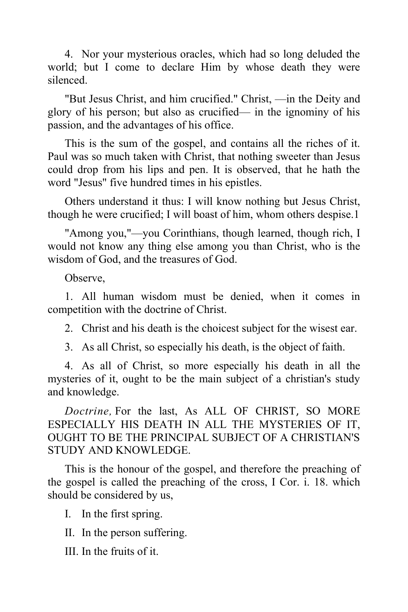4. Nor your mysterious oracles, which had so long deluded the world; but I come to declare Him by whose death they were silenced.

"But Jesus Christ, and him crucified." Christ, —in the Deity and glory of his person; but also as crucified— in the ignominy of his passion, and the advantages of his office.

This is the sum of the gospel, and contains all the riches of it. Paul was so much taken with Christ, that nothing sweeter than Jesus could drop from his lips and pen. It is observed, that he hath the word "Jesus" five hundred times in his epistles.

Others understand it thus: I will know nothing but Jesus Christ, though he were crucified; I will boast of him, whom others despise.1

"Among you,"—you Corinthians, though learned, though rich, I would not know any thing else among you than Christ, who is the wisdom of God, and the treasures of God.

Observe,

1. All human wisdom must be denied, when it comes in competition with the doctrine of Christ.

2. Christ and his death is the choicest subject for the wisest ear.

3. As all Christ, so especially his death, is the object of faith.

4. As all of Christ, so more especially his death in all the mysteries of it, ought to be the main subject of a christian's study and knowledge.

*Doctrine,* For the last, As ALL OF CHRIST, SO MORE ESPECIALLY HIS DEATH IN ALL THE MYSTERIES OF IT, OUGHT TO BE THE PRINCIPAL SUBJECT OF A CHRISTIAN'S STUDY AND KNOWLEDGE.

This is the honour of the gospel, and therefore the preaching of the gospel is called the preaching of the cross, I Cor. i. 18. which should be considered by us,

I. In the first spring.

II. In the person suffering.

III. In the fruits of it.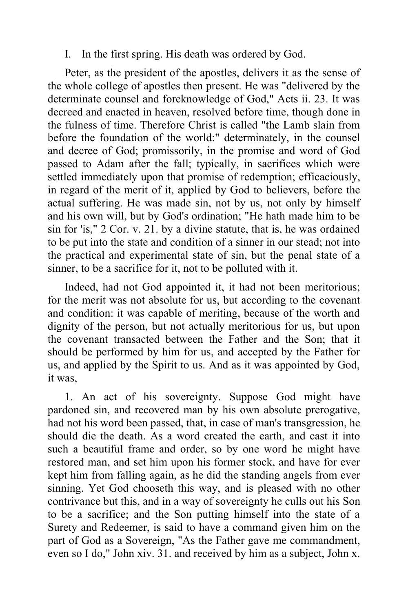#### I. In the first spring. His death was ordered by God.

Peter, as the president of the apostles, delivers it as the sense of the whole college of apostles then present. He was "delivered by the determinate counsel and foreknowledge of God," Acts ii. 23. It was decreed and enacted in heaven, resolved before time, though done in the fulness of time. Therefore Christ is called "the Lamb slain from before the foundation of the world:" determinately, in the counsel and decree of God; promissorily, in the promise and word of God passed to Adam after the fall; typically, in sacrifices which were settled immediately upon that promise of redemption; efficaciously, in regard of the merit of it, applied by God to believers, before the actual suffering. He was made sin, not by us, not only by himself and his own will, but by God's ordination; "He hath made him to be sin for 'is," 2 Cor. v. 21. by a divine statute, that is, he was ordained to be put into the state and condition of a sinner in our stead; not into the practical and experimental state of sin, but the penal state of a sinner, to be a sacrifice for it, not to be polluted with it.

Indeed, had not God appointed it, it had not been meritorious; for the merit was not absolute for us, but according to the covenant and condition: it was capable of meriting, because of the worth and dignity of the person, but not actually meritorious for us, but upon the covenant transacted between the Father and the Son; that it should be performed by him for us, and accepted by the Father for us, and applied by the Spirit to us. And as it was appointed by God, it was,

1. An act of his sovereignty. Suppose God might have pardoned sin, and recovered man by his own absolute prerogative, had not his word been passed, that, in case of man's transgression, he should die the death. As a word created the earth, and cast it into such a beautiful frame and order, so by one word he might have restored man, and set him upon his former stock, and have for ever kept him from falling again, as he did the standing angels from ever sinning. Yet God chooseth this way, and is pleased with no other contrivance but this, and in a way of sovereignty he culls out his Son to be a sacrifice; and the Son putting himself into the state of a Surety and Redeemer, is said to have a command given him on the part of God as a Sovereign, "As the Father gave me commandment, even so I do," John xiv. 31. and received by him as a subject, John x.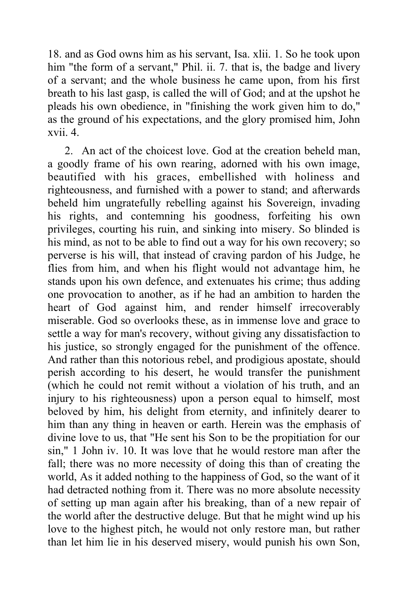18. and as God owns him as his servant, Isa. xlii. 1. So he took upon him "the form of a servant," Phil. ii. 7. that is, the badge and livery of a servant; and the whole business he came upon, from his first breath to his last gasp, is called the will of God; and at the upshot he pleads his own obedience, in "finishing the work given him to do," as the ground of his expectations, and the glory promised him, John xvii. 4.

2. An act of the choicest love. God at the creation beheld man, a goodly frame of his own rearing, adorned with his own image, beautified with his graces, embellished with holiness and righteousness, and furnished with a power to stand; and afterwards beheld him ungratefully rebelling against his Sovereign, invading his rights, and contemning his goodness, forfeiting his own privileges, courting his ruin, and sinking into misery. So blinded is his mind, as not to be able to find out a way for his own recovery; so perverse is his will, that instead of craving pardon of his Judge, he flies from him, and when his flight would not advantage him, he stands upon his own defence, and extenuates his crime; thus adding one provocation to another, as if he had an ambition to harden the heart of God against him, and render himself irrecoverably miserable. God so overlooks these, as in immense love and grace to settle a way for man's recovery, without giving any dissatisfaction to his justice, so strongly engaged for the punishment of the offence. And rather than this notorious rebel, and prodigious apostate, should perish according to his desert, he would transfer the punishment (which he could not remit without a violation of his truth, and an injury to his righteousness) upon a person equal to himself, most beloved by him, his delight from eternity, and infinitely dearer to him than any thing in heaven or earth. Herein was the emphasis of divine love to us, that "He sent his Son to be the propitiation for our sin," 1 John iv. 10. It was love that he would restore man after the fall; there was no more necessity of doing this than of creating the world, As it added nothing to the happiness of God, so the want of it had detracted nothing from it. There was no more absolute necessity of setting up man again after his breaking, than of a new repair of the world after the destructive deluge. But that he might wind up his love to the highest pitch, he would not only restore man, but rather than let him lie in his deserved misery, would punish his own Son,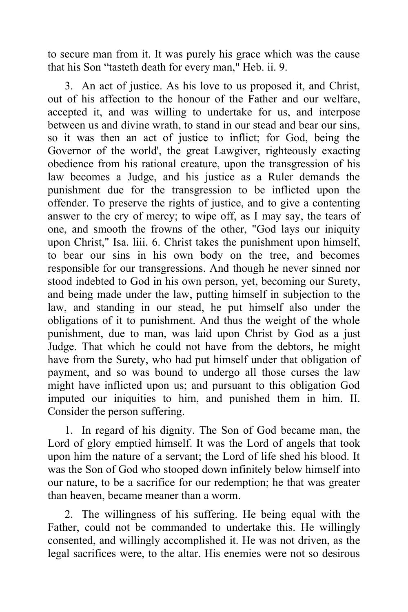to secure man from it. It was purely his grace which was the cause that his Son "tasteth death for every man," Heb. ii. 9.

3. An act of justice. As his love to us proposed it, and Christ, out of his affection to the honour of the Father and our welfare, accepted it, and was willing to undertake for us, and interpose between us and divine wrath, to stand in our stead and bear our sins, so it was then an act of justice to inflict; for God, being the Governor of the world', the great Lawgiver, righteously exacting obedience from his rational creature, upon the transgression of his law becomes a Judge, and his justice as a Ruler demands the punishment due for the transgression to be inflicted upon the offender. To preserve the rights of justice, and to give a contenting answer to the cry of mercy; to wipe off, as I may say, the tears of one, and smooth the frowns of the other, "God lays our iniquity upon Christ," Isa. liii. 6. Christ takes the punishment upon himself, to bear our sins in his own body on the tree, and becomes responsible for our transgressions. And though he never sinned nor stood indebted to God in his own person, yet, becoming our Surety, and being made under the law, putting himself in subjection to the law, and standing in our stead, he put himself also under the obligations of it to punishment. And thus the weight of the whole punishment, due to man, was laid upon Christ by God as a just Judge. That which he could not have from the debtors, he might have from the Surety, who had put himself under that obligation of payment, and so was bound to undergo all those curses the law might have inflicted upon us; and pursuant to this obligation God imputed our iniquities to him, and punished them in him. II. Consider the person suffering.

1. In regard of his dignity. The Son of God became man, the Lord of glory emptied himself. It was the Lord of angels that took upon him the nature of a servant; the Lord of life shed his blood. It was the Son of God who stooped down infinitely below himself into our nature, to be a sacrifice for our redemption; he that was greater than heaven, became meaner than a worm.

2. The willingness of his suffering. He being equal with the Father, could not be commanded to undertake this. He willingly consented, and willingly accomplished it. He was not driven, as the legal sacrifices were, to the altar. His enemies were not so desirous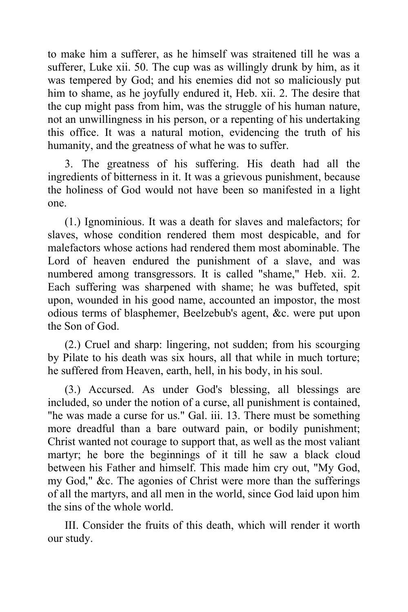to make him a sufferer, as he himself was straitened till he was a sufferer, Luke xii. 50. The cup was as willingly drunk by him, as it was tempered by God; and his enemies did not so maliciously put him to shame, as he joyfully endured it, Heb. xii. 2. The desire that the cup might pass from him, was the struggle of his human nature, not an unwillingness in his person, or a repenting of his undertaking this office. It was a natural motion, evidencing the truth of his humanity, and the greatness of what he was to suffer.

3. The greatness of his suffering. His death had all the ingredients of bitterness in it. It was a grievous punishment, because the holiness of God would not have been so manifested in a light one.

(1.) Ignominious. It was a death for slaves and malefactors; for slaves, whose condition rendered them most despicable, and for malefactors whose actions had rendered them most abominable. The Lord of heaven endured the punishment of a slave, and was numbered among transgressors. It is called "shame," Heb. xii. 2. Each suffering was sharpened with shame; he was buffeted, spit upon, wounded in his good name, accounted an impostor, the most odious terms of blasphemer, Beelzebub's agent, &c. were put upon the Son of God.

(2.) Cruel and sharp: lingering, not sudden; from his scourging by Pilate to his death was six hours, all that while in much torture; he suffered from Heaven, earth, hell, in his body, in his soul.

(3.) Accursed. As under God's blessing, all blessings are included, so under the notion of a curse, all punishment is contained, "he was made a curse for us." Gal. iii. 13. There must be something more dreadful than a bare outward pain, or bodily punishment; Christ wanted not courage to support that, as well as the most valiant martyr; he bore the beginnings of it till he saw a black cloud between his Father and himself. This made him cry out, "My God, my God," &c. The agonies of Christ were more than the sufferings of all the martyrs, and all men in the world, since God laid upon him the sins of the whole world.

III. Consider the fruits of this death, which will render it worth our study.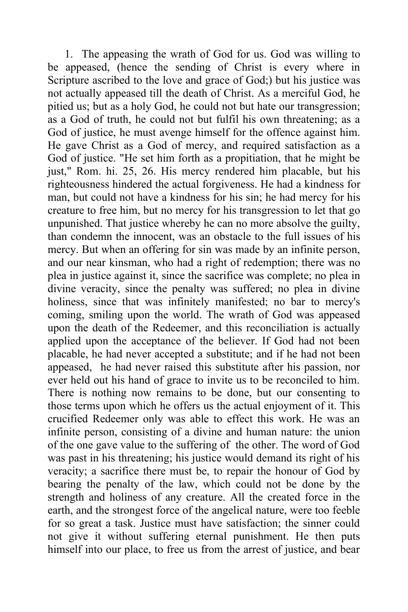1. The appeasing the wrath of God for us. God was willing to be appeased, (hence the sending of Christ is every where in Scripture ascribed to the love and grace of God;) but his justice was not actually appeased till the death of Christ. As a merciful God, he pitied us; but as a holy God, he could not but hate our transgression; as a God of truth, he could not but fulfil his own threatening; as a God of justice, he must avenge himself for the offence against him. He gave Christ as a God of mercy, and required satisfaction as a God of justice. "He set him forth as a propitiation, that he might be just," Rom. hi. 25, 26. His mercy rendered him placable, but his righteousness hindered the actual forgiveness. He had a kindness for man, but could not have a kindness for his sin; he had mercy for his creature to free him, but no mercy for his transgression to let that go unpunished. That justice whereby he can no more absolve the guilty, than condemn the innocent, was an obstacle to the full issues of his mercy. But when an offering for sin was made by an infinite person, and our near kinsman, who had a right of redemption; there was no plea in justice against it, since the sacrifice was complete; no plea in divine veracity, since the penalty was suffered; no plea in divine holiness, since that was infinitely manifested; no bar to mercy's coming, smiling upon the world. The wrath of God was appeased upon the death of the Redeemer, and this reconciliation is actually applied upon the acceptance of the believer. If God had not been placable, he had never accepted a substitute; and if he had not been appeased, he had never raised this substitute after his passion, nor ever held out his hand of grace to invite us to be reconciled to him. There is nothing now remains to be done, but our consenting to those terms upon which he offers us the actual enjoyment of it. This crucified Redeemer only was able to effect this work. He was an infinite person, consisting of a divine and human nature: the union of the one gave value to the suffering of the other. The word of God was past in his threatening; his justice would demand its right of his veracity; a sacrifice there must be, to repair the honour of God by bearing the penalty of the law, which could not be done by the strength and holiness of any creature. All the created force in the earth, and the strongest force of the angelical nature, were too feeble for so great a task. Justice must have satisfaction; the sinner could not give it without suffering eternal punishment. He then puts himself into our place, to free us from the arrest of justice, and bear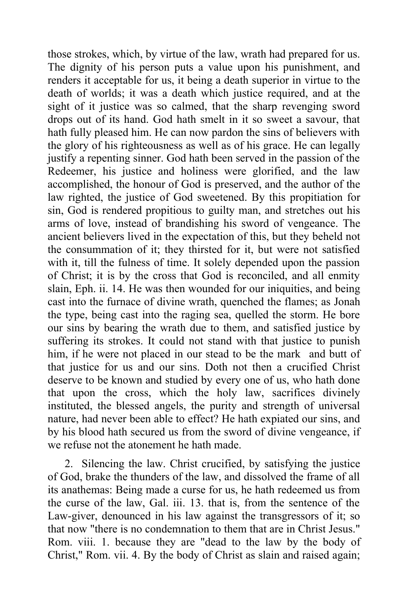those strokes, which, by virtue of the law, wrath had prepared for us. The dignity of his person puts a value upon his punishment, and renders it acceptable for us, it being a death superior in virtue to the death of worlds; it was a death which justice required, and at the sight of it justice was so calmed, that the sharp revenging sword drops out of its hand. God hath smelt in it so sweet a savour, that hath fully pleased him. He can now pardon the sins of believers with the glory of his righteousness as well as of his grace. He can legally justify a repenting sinner. God hath been served in the passion of the Redeemer, his justice and holiness were glorified, and the law accomplished, the honour of God is preserved, and the author of the law righted, the justice of God sweetened. By this propitiation for sin, God is rendered propitious to guilty man, and stretches out his arms of love, instead of brandishing his sword of vengeance. The ancient believers lived in the expectation of this, but they beheld not the consummation of it; they thirsted for it, but were not satisfied with it, till the fulness of time. It solely depended upon the passion of Christ; it is by the cross that God is reconciled, and all enmity slain, Eph. ii. 14. He was then wounded for our iniquities, and being cast into the furnace of divine wrath, quenched the flames; as Jonah the type, being cast into the raging sea, quelled the storm. He bore our sins by bearing the wrath due to them, and satisfied justice by suffering its strokes. It could not stand with that justice to punish him, if he were not placed in our stead to be the mark and butt of that justice for us and our sins. Doth not then a crucified Christ deserve to be known and studied by every one of us, who hath done that upon the cross, which the holy law, sacrifices divinely instituted, the blessed angels, the purity and strength of universal nature, had never been able to effect? He hath expiated our sins, and by his blood hath secured us from the sword of divine vengeance, if we refuse not the atonement he hath made.

2. Silencing the law. Christ crucified, by satisfying the justice of God, brake the thunders of the law, and dissolved the frame of all its anathemas: Being made a curse for us, he hath redeemed us from the curse of the law, Gal. iii. 13. that is, from the sentence of the Law-giver, denounced in his law against the transgressors of it; so that now "there is no condemnation to them that are in Christ Jesus." Rom. viii. 1. because they are "dead to the law by the body of Christ," Rom. vii. 4. By the body of Christ as slain and raised again;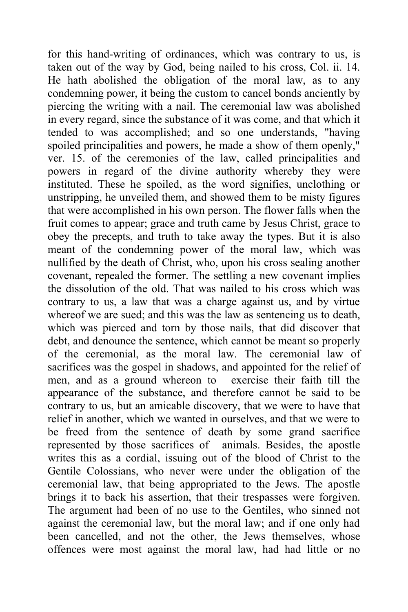for this hand-writing of ordinances, which was contrary to us, is taken out of the way by God, being nailed to his cross, Col. ii. 14. He hath abolished the obligation of the moral law, as to any condemning power, it being the custom to cancel bonds anciently by piercing the writing with a nail. The ceremonial law was abolished in every regard, since the substance of it was come, and that which it tended to was accomplished; and so one understands, "having spoiled principalities and powers, he made a show of them openly," ver. 15. of the ceremonies of the law, called principalities and powers in regard of the divine authority whereby they were instituted. These he spoiled, as the word signifies, unclothing or unstripping, he unveiled them, and showed them to be misty figures that were accomplished in his own person. The flower falls when the fruit comes to appear; grace and truth came by Jesus Christ, grace to obey the precepts, and truth to take away the types. But it is also meant of the condemning power of the moral law, which was nullified by the death of Christ, who, upon his cross sealing another covenant, repealed the former. The settling a new covenant implies the dissolution of the old. That was nailed to his cross which was contrary to us, a law that was a charge against us, and by virtue whereof we are sued; and this was the law as sentencing us to death, which was pierced and torn by those nails, that did discover that debt, and denounce the sentence, which cannot be meant so properly of the ceremonial, as the moral law. The ceremonial law of sacrifices was the gospel in shadows, and appointed for the relief of men, and as a ground whereon to exercise their faith till the appearance of the substance, and therefore cannot be said to be contrary to us, but an amicable discovery, that we were to have that relief in another, which we wanted in ourselves, and that we were to be freed from the sentence of death by some grand sacrifice represented by those sacrifices of animals. Besides, the apostle writes this as a cordial, issuing out of the blood of Christ to the Gentile Colossians, who never were under the obligation of the ceremonial law, that being appropriated to the Jews. The apostle brings it to back his assertion, that their trespasses were forgiven. The argument had been of no use to the Gentiles, who sinned not against the ceremonial law, but the moral law; and if one only had been cancelled, and not the other, the Jews themselves, whose offences were most against the moral law, had had little or no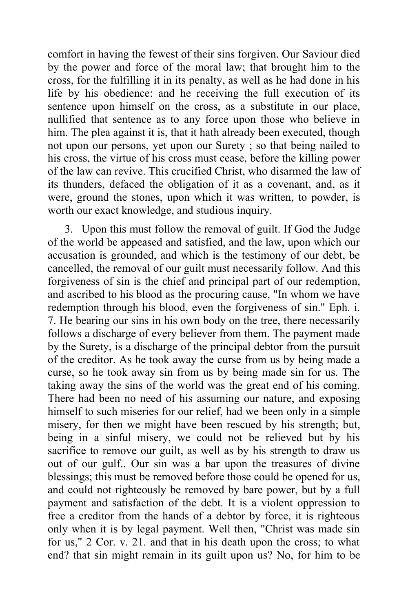comfort in having the fewest of their sins forgiven. Our Saviour died by the power and force of the moral law; that brought him to the cross, for the fulfilling it in its penalty, as well as he had done in his life by his obedience: and he receiving the full execution of its sentence upon himself on the cross, as a substitute in our place, nullified that sentence as to any force upon those who believe in him. The plea against it is, that it hath already been executed, though not upon our persons, yet upon our Surety ; so that being nailed to his cross, the virtue of his cross must cease, before the killing power of the law can revive. This crucified Christ, who disarmed the law of its thunders, defaced the obligation of it as a covenant, and, as it were, ground the stones, upon which it was written, to powder, is worth our exact knowledge, and studious inquiry.

3. Upon this must follow the removal of guilt. If God the Judge of the world be appeased and satisfied, and the law, upon which our accusation is grounded, and which is the testimony of our debt, be cancelled, the removal of our guilt must necessarily follow. And this forgiveness of sin is the chief and principal part of our redemption, and ascribed to his blood as the procuring cause, "In whom we have redemption through his blood, even the forgiveness of sin." Eph. i. 7. He bearing our sins in his own body on the tree, there necessarily follows a discharge of every believer from them. The payment made by the Surety, is a discharge of the principal debtor from the pursuit of the creditor. As he took away the curse from us by being made a curse, so he took away sin from us by being made sin for us. The taking away the sins of the world was the great end of his coming. There had been no need of his assuming our nature, and exposing himself to such miseries for our relief, had we been only in a simple misery, for then we might have been rescued by his strength; but, being in a sinful misery, we could not be relieved but by his sacrifice to remove our guilt, as well as by his strength to draw us out of our gulf.. Our sin was a bar upon the treasures of divine blessings; this must be removed before those could be opened for us, and could not righteously be removed by bare power, but by a full payment and satisfaction of the debt. It is a violent oppression to free a creditor from the hands of a debtor by force, it is righteous only when it is by legal payment. Well then, "Christ was made sin for us," 2 Cor. v. 21. and that in his death upon the cross; to what end? that sin might remain in its guilt upon us? No, for him to be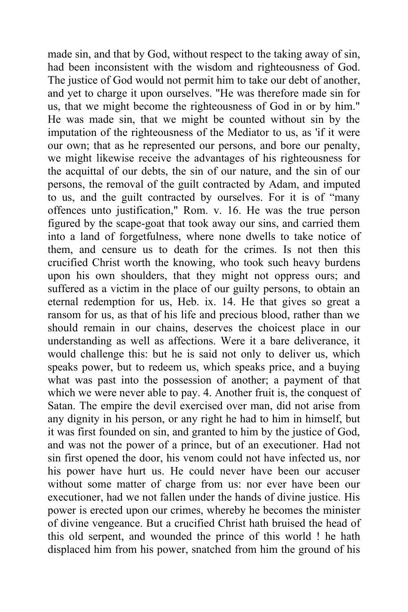made sin, and that by God, without respect to the taking away of sin, had been inconsistent with the wisdom and righteousness of God. The justice of God would not permit him to take our debt of another, and yet to charge it upon ourselves. "He was therefore made sin for us, that we might become the righteousness of God in or by him." He was made sin, that we might be counted without sin by the imputation of the righteousness of the Mediator to us, as 'if it were our own; that as he represented our persons, and bore our penalty, we might likewise receive the advantages of his righteousness for the acquittal of our debts, the sin of our nature, and the sin of our persons, the removal of the guilt contracted by Adam, and imputed to us, and the guilt contracted by ourselves. For it is of "many offences unto justification," Rom. v. 16. He was the true person figured by the scape-goat that took away our sins, and carried them into a land of forgetfulness, where none dwells to take notice of them, and censure us to death for the crimes. Is not then this crucified Christ worth the knowing, who took such heavy burdens upon his own shoulders, that they might not oppress ours; and suffered as a victim in the place of our guilty persons, to obtain an eternal redemption for us, Heb. ix. 14. He that gives so great a ransom for us, as that of his life and precious blood, rather than we should remain in our chains, deserves the choicest place in our understanding as well as affections. Were it a bare deliverance, it would challenge this: but he is said not only to deliver us, which speaks power, but to redeem us, which speaks price, and a buying what was past into the possession of another; a payment of that which we were never able to pay. 4. Another fruit is, the conquest of Satan. The empire the devil exercised over man, did not arise from any dignity in his person, or any right he had to him in himself, but it was first founded on sin, and granted to him by the justice of God, and was not the power of a prince, but of an executioner. Had not sin first opened the door, his venom could not have infected us, nor his power have hurt us. He could never have been our accuser without some matter of charge from us: nor ever have been our executioner, had we not fallen under the hands of divine justice. His power is erected upon our crimes, whereby he becomes the minister of divine vengeance. But a crucified Christ hath bruised the head of this old serpent, and wounded the prince of this world ! he hath displaced him from his power, snatched from him the ground of his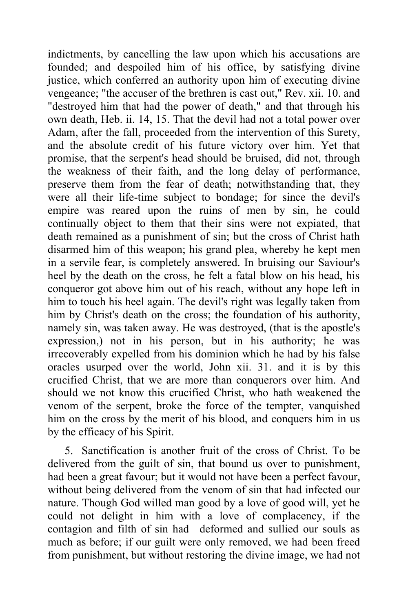indictments, by cancelling the law upon which his accusations are founded; and despoiled him of his office, by satisfying divine justice, which conferred an authority upon him of executing divine vengeance; "the accuser of the brethren is cast out," Rev. xii. 10. and "destroyed him that had the power of death," and that through his own death, Heb. ii. 14, 15. That the devil had not a total power over Adam, after the fall, proceeded from the intervention of this Surety, and the absolute credit of his future victory over him. Yet that promise, that the serpent's head should be bruised, did not, through the weakness of their faith, and the long delay of performance, preserve them from the fear of death; notwithstanding that, they were all their life-time subject to bondage; for since the devil's empire was reared upon the ruins of men by sin, he could continually object to them that their sins were not expiated, that death remained as a punishment of sin; but the cross of Christ hath disarmed him of this weapon; his grand plea, whereby he kept men in a servile fear, is completely answered. In bruising our Saviour's heel by the death on the cross, he felt a fatal blow on his head, his conqueror got above him out of his reach, without any hope left in him to touch his heel again. The devil's right was legally taken from him by Christ's death on the cross; the foundation of his authority, namely sin, was taken away. He was destroyed, (that is the apostle's expression,) not in his person, but in his authority; he was irrecoverably expelled from his dominion which he had by his false oracles usurped over the world, John xii. 31. and it is by this crucified Christ, that we are more than conquerors over him. And should we not know this crucified Christ, who hath weakened the venom of the serpent, broke the force of the tempter, vanquished him on the cross by the merit of his blood, and conquers him in us by the efficacy of his Spirit.

5. Sanctification is another fruit of the cross of Christ. To be delivered from the guilt of sin, that bound us over to punishment, had been a great favour; but it would not have been a perfect favour, without being delivered from the venom of sin that had infected our nature. Though God willed man good by a love of good will, yet he could not delight in him with a love of complacency, if the contagion and filth of sin had deformed and sullied our souls as much as before; if our guilt were only removed, we had been freed from punishment, but without restoring the divine image, we had not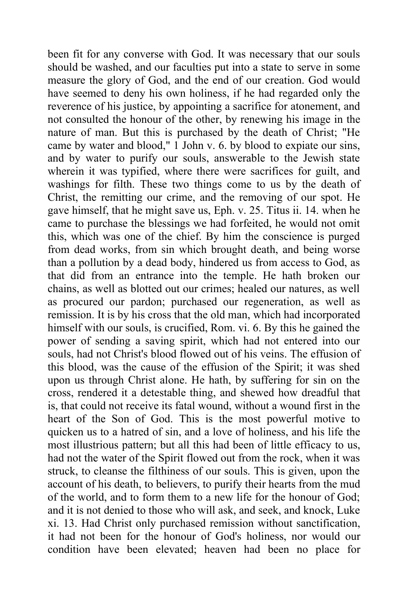been fit for any converse with God. It was necessary that our souls should be washed, and our faculties put into a state to serve in some measure the glory of God, and the end of our creation. God would have seemed to deny his own holiness, if he had regarded only the reverence of his justice, by appointing a sacrifice for atonement, and not consulted the honour of the other, by renewing his image in the nature of man. But this is purchased by the death of Christ; "He came by water and blood," 1 John v. 6. by blood to expiate our sins, and by water to purify our souls, answerable to the Jewish state wherein it was typified, where there were sacrifices for guilt, and washings for filth. These two things come to us by the death of Christ, the remitting our crime, and the removing of our spot. He gave himself, that he might save us, Eph. v. 25. Titus ii. 14. when he came to purchase the blessings we had forfeited, he would not omit this, which was one of the chief. By him the conscience is purged from dead works, from sin which brought death, and being worse than a pollution by a dead body, hindered us from access to God, as that did from an entrance into the temple. He hath broken our chains, as well as blotted out our crimes; healed our natures, as well as procured our pardon; purchased our regeneration, as well as remission. It is by his cross that the old man, which had incorporated himself with our souls, is crucified, Rom. vi. 6. By this he gained the power of sending a saving spirit, which had not entered into our souls, had not Christ's blood flowed out of his veins. The effusion of this blood, was the cause of the effusion of the Spirit; it was shed upon us through Christ alone. He hath, by suffering for sin on the cross, rendered it a detestable thing, and shewed how dreadful that is, that could not receive its fatal wound, without a wound first in the heart of the Son of God. This is the most powerful motive to quicken us to a hatred of sin, and a love of holiness, and his life the most illustrious pattern; but all this had been of little efficacy to us, had not the water of the Spirit flowed out from the rock, when it was struck, to cleanse the filthiness of our souls. This is given, upon the account of his death, to believers, to purify their hearts from the mud of the world, and to form them to a new life for the honour of God; and it is not denied to those who will ask, and seek, and knock, Luke xi. 13. Had Christ only purchased remission without sanctification, it had not been for the honour of God's holiness, nor would our condition have been elevated; heaven had been no place for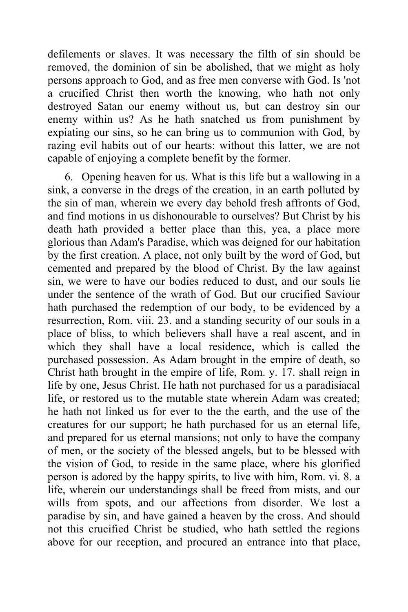defilements or slaves. It was necessary the filth of sin should be removed, the dominion of sin be abolished, that we might as holy persons approach to God, and as free men converse with God. Is 'not a crucified Christ then worth the knowing, who hath not only destroyed Satan our enemy without us, but can destroy sin our enemy within us? As he hath snatched us from punishment by expiating our sins, so he can bring us to communion with God, by razing evil habits out of our hearts: without this latter, we are not capable of enjoying a complete benefit by the former.

6. Opening heaven for us. What is this life but a wallowing in a sink, a converse in the dregs of the creation, in an earth polluted by the sin of man, wherein we every day behold fresh affronts of God, and find motions in us dishonourable to ourselves? But Christ by his death hath provided a better place than this, yea, a place more glorious than Adam's Paradise, which was deigned for our habitation by the first creation. A place, not only built by the word of God, but cemented and prepared by the blood of Christ. By the law against sin, we were to have our bodies reduced to dust, and our souls lie under the sentence of the wrath of God. But our crucified Saviour hath purchased the redemption of our body, to be evidenced by a resurrection, Rom. viii. 23. and a standing security of our souls in a place of bliss, to which believers shall have a real ascent, and in which they shall have a local residence, which is called the purchased possession. As Adam brought in the empire of death, so Christ hath brought in the empire of life, Rom. y. 17. shall reign in life by one, Jesus Christ. He hath not purchased for us a paradisiacal life, or restored us to the mutable state wherein Adam was created; he hath not linked us for ever to the the earth, and the use of the creatures for our support; he hath purchased for us an eternal life, and prepared for us eternal mansions; not only to have the company of men, or the society of the blessed angels, but to be blessed with the vision of God, to reside in the same place, where his glorified person is adored by the happy spirits, to live with him, Rom. vi. 8. a life, wherein our understandings shall be freed from mists, and our wills from spots, and our affections from disorder. We lost a paradise by sin, and have gained a heaven by the cross. And should not this crucified Christ be studied, who hath settled the regions above for our reception, and procured an entrance into that place,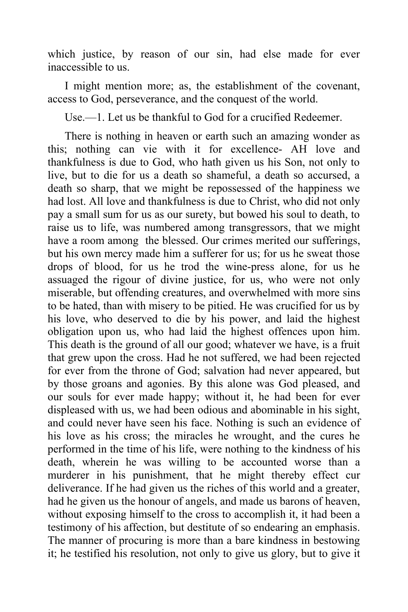which justice, by reason of our sin, had else made for ever inaccessible to us.

I might mention more; as, the establishment of the covenant, access to God, perseverance, and the conquest of the world.

Use.—1. Let us be thankful to God for a crucified Redeemer.

There is nothing in heaven or earth such an amazing wonder as this; nothing can vie with it for excellence- AH love and thankfulness is due to God, who hath given us his Son, not only to live, but to die for us a death so shameful, a death so accursed, a death so sharp, that we might be repossessed of the happiness we had lost. All love and thankfulness is due to Christ, who did not only pay a small sum for us as our surety, but bowed his soul to death, to raise us to life, was numbered among transgressors, that we might have a room among the blessed. Our crimes merited our sufferings, but his own mercy made him a sufferer for us; for us he sweat those drops of blood, for us he trod the wine-press alone, for us he assuaged the rigour of divine justice, for us, who were not only miserable, but offending creatures, and overwhelmed with more sins to be hated, than with misery to be pitied. He was crucified for us by his love, who deserved to die by his power, and laid the highest obligation upon us, who had laid the highest offences upon him. This death is the ground of all our good; whatever we have, is a fruit that grew upon the cross. Had he not suffered, we had been rejected for ever from the throne of God; salvation had never appeared, but by those groans and agonies. By this alone was God pleased, and our souls for ever made happy; without it, he had been for ever displeased with us, we had been odious and abominable in his sight, and could never have seen his face. Nothing is such an evidence of his love as his cross; the miracles he wrought, and the cures he performed in the time of his life, were nothing to the kindness of his death, wherein he was willing to be accounted worse than a murderer in his punishment, that he might thereby effect cur deliverance. If he had given us the riches of this world and a greater, had he given us the honour of angels, and made us barons of heaven, without exposing himself to the cross to accomplish it, it had been a testimony of his affection, but destitute of so endearing an emphasis. The manner of procuring is more than a bare kindness in bestowing it; he testified his resolution, not only to give us glory, but to give it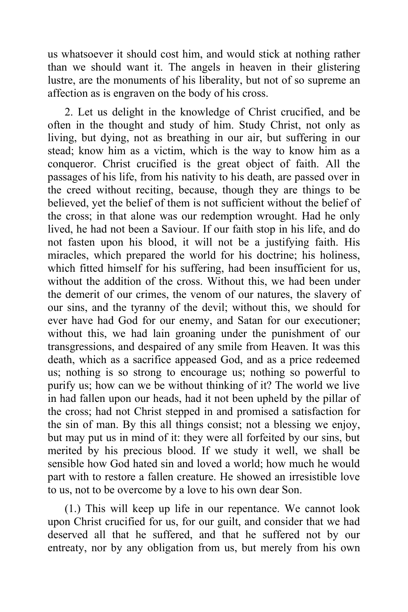us whatsoever it should cost him, and would stick at nothing rather than we should want it. The angels in heaven in their glistering lustre, are the monuments of his liberality, but not of so supreme an affection as is engraven on the body of his cross.

2. Let us delight in the knowledge of Christ crucified, and be often in the thought and study of him. Study Christ, not only as living, but dying, not as breathing in our air, but suffering in our stead; know him as a victim, which is the way to know him as a conqueror. Christ crucified is the great object of faith. All the passages of his life, from his nativity to his death, are passed over in the creed without reciting, because, though they are things to be believed, yet the belief of them is not sufficient without the belief of the cross; in that alone was our redemption wrought. Had he only lived, he had not been a Saviour. If our faith stop in his life, and do not fasten upon his blood, it will not be a justifying faith. His miracles, which prepared the world for his doctrine; his holiness, which fitted himself for his suffering, had been insufficient for us, without the addition of the cross. Without this, we had been under the demerit of our crimes, the venom of our natures, the slavery of our sins, and the tyranny of the devil; without this, we should for ever have had God for our enemy, and Satan for our executioner; without this, we had lain groaning under the punishment of our transgressions, and despaired of any smile from Heaven. It was this death, which as a sacrifice appeased God, and as a price redeemed us; nothing is so strong to encourage us; nothing so powerful to purify us; how can we be without thinking of it? The world we live in had fallen upon our heads, had it not been upheld by the pillar of the cross; had not Christ stepped in and promised a satisfaction for the sin of man. By this all things consist; not a blessing we enjoy, but may put us in mind of it: they were all forfeited by our sins, but merited by his precious blood. If we study it well, we shall be sensible how God hated sin and loved a world; how much he would part with to restore a fallen creature. He showed an irresistible love to us, not to be overcome by a love to his own dear Son.

(1.) This will keep up life in our repentance. We cannot look upon Christ crucified for us, for our guilt, and consider that we had deserved all that he suffered, and that he suffered not by our entreaty, nor by any obligation from us, but merely from his own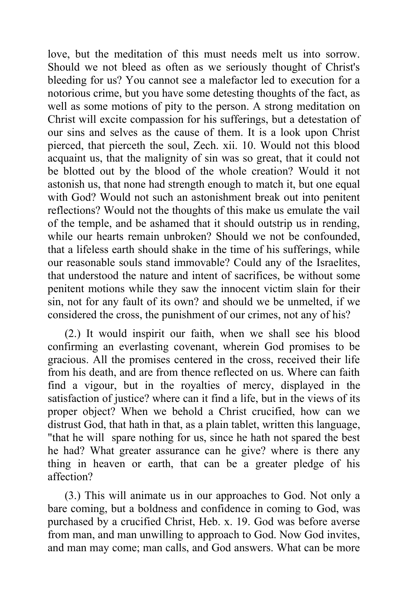love, but the meditation of this must needs melt us into sorrow. Should we not bleed as often as we seriously thought of Christ's bleeding for us? You cannot see a malefactor led to execution for a notorious crime, but you have some detesting thoughts of the fact, as well as some motions of pity to the person. A strong meditation on Christ will excite compassion for his sufferings, but a detestation of our sins and selves as the cause of them. It is a look upon Christ pierced, that pierceth the soul, Zech. xii. 10. Would not this blood acquaint us, that the malignity of sin was so great, that it could not be blotted out by the blood of the whole creation? Would it not astonish us, that none had strength enough to match it, but one equal with God? Would not such an astonishment break out into penitent reflections? Would not the thoughts of this make us emulate the vail of the temple, and be ashamed that it should outstrip us in rending, while our hearts remain unbroken? Should we not be confounded, that a lifeless earth should shake in the time of his sufferings, while our reasonable souls stand immovable? Could any of the Israelites, that understood the nature and intent of sacrifices, be without some penitent motions while they saw the innocent victim slain for their sin, not for any fault of its own? and should we be unmelted, if we considered the cross, the punishment of our crimes, not any of his?

(2.) It would inspirit our faith, when we shall see his blood confirming an everlasting covenant, wherein God promises to be gracious. All the promises centered in the cross, received their life from his death, and are from thence reflected on us. Where can faith find a vigour, but in the royalties of mercy, displayed in the satisfaction of justice? where can it find a life, but in the views of its proper object? When we behold a Christ crucified, how can we distrust God, that hath in that, as a plain tablet, written this language, "that he will spare nothing for us, since he hath not spared the best he had? What greater assurance can he give? where is there any thing in heaven or earth, that can be a greater pledge of his affection?

(3.) This will animate us in our approaches to God. Not only a bare coming, but a boldness and confidence in coming to God, was purchased by a crucified Christ, Heb. x. 19. God was before averse from man, and man unwilling to approach to God. Now God invites, and man may come; man calls, and God answers. What can be more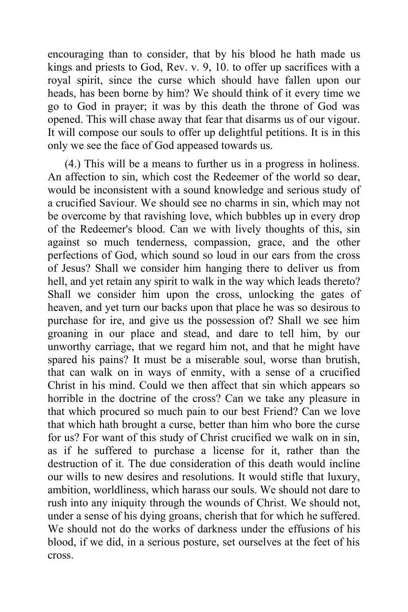encouraging than to consider, that by his blood he hath made us kings and priests to God, Rev. v. 9, 10. to offer up sacrifices with a royal spirit, since the curse which should have fallen upon our heads, has been borne by him? We should think of it every time we go to God in prayer; it was by this death the throne of God was opened. This will chase away that fear that disarms us of our vigour. It will compose our souls to offer up delightful petitions. It is in this only we see the face of God appeased towards us.

(4.) This will be a means to further us in a progress in holiness. An affection to sin, which cost the Redeemer of the world so dear, would be inconsistent with a sound knowledge and serious study of a crucified Saviour. We should see no charms in sin, which may not be overcome by that ravishing love, which bubbles up in every drop of the Redeemer's blood. Can we with lively thoughts of this, sin against so much tenderness, compassion, grace, and the other perfections of God, which sound so loud in our ears from the cross of Jesus? Shall we consider him hanging there to deliver us from hell, and yet retain any spirit to walk in the way which leads thereto? Shall we consider him upon the cross, unlocking the gates of heaven, and yet turn our backs upon that place he was so desirous to purchase for ire, and give us the possession of? Shall we see him groaning in our place and stead, and dare to tell him, by our unworthy carriage, that we regard him not, and that he might have spared his pains? It must be a miserable soul, worse than brutish, that can walk on in ways of enmity, with a sense of a crucified Christ in his mind. Could we then affect that sin which appears so horrible in the doctrine of the cross? Can we take any pleasure in that which procured so much pain to our best Friend? Can we love that which hath brought a curse, better than him who bore the curse for us? For want of this study of Christ crucified we walk on in sin, as if he suffered to purchase a license for it, rather than the destruction of it. The due consideration of this death would incline our wills to new desires and resolutions. It would stifle that luxury, ambition, worldliness, which harass our souls. We should not dare to rush into any iniquity through the wounds of Christ. We should not, under a sense of his dying groans, cherish that for which he suffered. We should not do the works of darkness under the effusions of his blood, if we did, in a serious posture, set ourselves at the feet of his cross.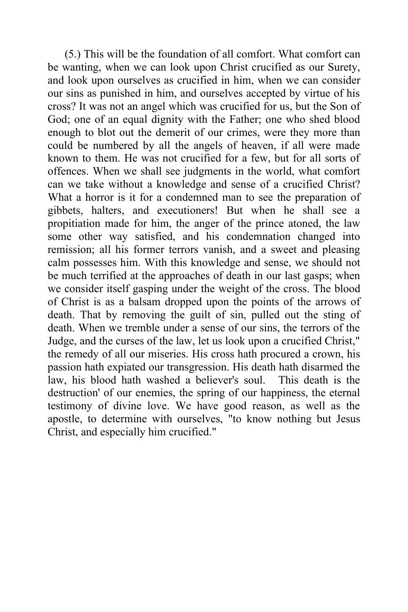(5.) This will be the foundation of all comfort. What comfort can be wanting, when we can look upon Christ crucified as our Surety, and look upon ourselves as crucified in him, when we can consider our sins as punished in him, and ourselves accepted by virtue of his cross? It was not an angel which was crucified for us, but the Son of God; one of an equal dignity with the Father; one who shed blood enough to blot out the demerit of our crimes, were they more than could be numbered by all the angels of heaven, if all were made known to them. He was not crucified for a few, but for all sorts of offences. When we shall see judgments in the world, what comfort can we take without a knowledge and sense of a crucified Christ? What a horror is it for a condemned man to see the preparation of gibbets, halters, and executioners! But when he shall see a propitiation made for him, the anger of the prince atoned, the law some other way satisfied, and his condemnation changed into remission; all his former terrors vanish, and a sweet and pleasing calm possesses him. With this knowledge and sense, we should not be much terrified at the approaches of death in our last gasps; when we consider itself gasping under the weight of the cross. The blood of Christ is as a balsam dropped upon the points of the arrows of death. That by removing the guilt of sin, pulled out the sting of death. When we tremble under a sense of our sins, the terrors of the Judge, and the curses of the law, let us look upon a crucified Christ," the remedy of all our miseries. His cross hath procured a crown, his passion hath expiated our transgression. His death hath disarmed the law, his blood hath washed a believer's soul. This death is the destruction' of our enemies, the spring of our happiness, the eternal testimony of divine love. We have good reason, as well as the apostle, to determine with ourselves, "to know nothing but Jesus Christ, and especially him crucified."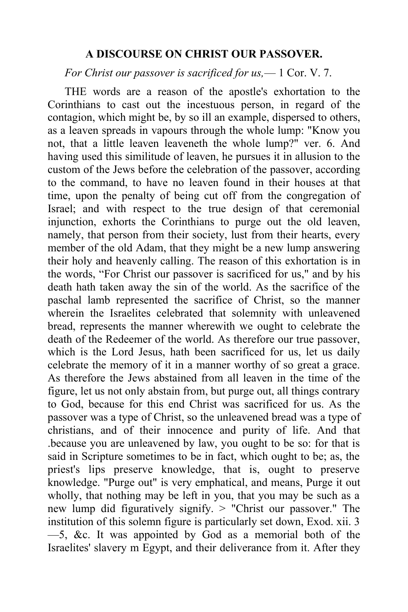#### **A DISCOURSE ON CHRIST OUR PASSOVER.**

*For Christ our passover is sacrificed for us,*— 1 Cor. V. 7.

THE words are a reason of the apostle's exhortation to the Corinthians to cast out the incestuous person, in regard of the contagion, which might be, by so ill an example, dispersed to others, as a leaven spreads in vapours through the whole lump: "Know you not, that a little leaven leaveneth the whole lump?" ver. 6. And having used this similitude of leaven, he pursues it in allusion to the custom of the Jews before the celebration of the passover, according to the command, to have no leaven found in their houses at that time, upon the penalty of being cut off from the congregation of Israel; and with respect to the true design of that ceremonial injunction, exhorts the Corinthians to purge out the old leaven, namely, that person from their society, lust from their hearts, every member of the old Adam, that they might be a new lump answering their holy and heavenly calling. The reason of this exhortation is in the words, "For Christ our passover is sacrificed for us," and by his death hath taken away the sin of the world. As the sacrifice of the paschal lamb represented the sacrifice of Christ, so the manner wherein the Israelites celebrated that solemnity with unleavened bread, represents the manner wherewith we ought to celebrate the death of the Redeemer of the world. As therefore our true passover, which is the Lord Jesus, hath been sacrificed for us, let us daily celebrate the memory of it in a manner worthy of so great a grace. As therefore the Jews abstained from all leaven in the time of the figure, let us not only abstain from, but purge out, all things contrary to God, because for this end Christ was sacrificed for us. As the passover was a type of Christ, so the unleavened bread was a type of christians, and of their innocence and purity of life. And that .because you are unleavened by law, you ought to be so: for that is said in Scripture sometimes to be in fact, which ought to be; as, the priest's lips preserve knowledge, that is, ought to preserve knowledge. "Purge out" is very emphatical, and means, Purge it out wholly, that nothing may be left in you, that you may be such as a new lump did figuratively signify. > "Christ our passover." The institution of this solemn figure is particularly set down, Exod. xii. 3  $-5$ , &c. It was appointed by God as a memorial both of the Israelites' slavery m Egypt, and their deliverance from it. After they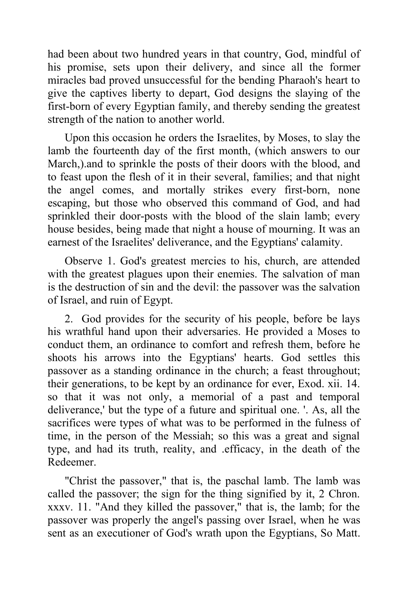had been about two hundred years in that country, God, mindful of his promise, sets upon their delivery, and since all the former miracles bad proved unsuccessful for the bending Pharaoh's heart to give the captives liberty to depart, God designs the slaying of the first-born of every Egyptian family, and thereby sending the greatest strength of the nation to another world.

Upon this occasion he orders the Israelites, by Moses, to slay the lamb the fourteenth day of the first month, (which answers to our March,).and to sprinkle the posts of their doors with the blood, and to feast upon the flesh of it in their several, families; and that night the angel comes, and mortally strikes every first-born, none escaping, but those who observed this command of God, and had sprinkled their door-posts with the blood of the slain lamb; every house besides, being made that night a house of mourning. It was an earnest of the Israelites' deliverance, and the Egyptians' calamity.

Observe 1. God's greatest mercies to his, church, are attended with the greatest plagues upon their enemies. The salvation of man is the destruction of sin and the devil: the passover was the salvation of Israel, and ruin of Egypt.

2. God provides for the security of his people, before be lays his wrathful hand upon their adversaries. He provided a Moses to conduct them, an ordinance to comfort and refresh them, before he shoots his arrows into the Egyptians' hearts. God settles this passover as a standing ordinance in the church; a feast throughout; their generations, to be kept by an ordinance for ever, Exod. xii. 14. so that it was not only, a memorial of a past and temporal deliverance,' but the type of a future and spiritual one. '. As, all the sacrifices were types of what was to be performed in the fulness of time, in the person of the Messiah; so this was a great and signal type, and had its truth, reality, and .efficacy, in the death of the Redeemer.

"Christ the passover," that is, the paschal lamb. The lamb was called the passover; the sign for the thing signified by it, 2 Chron. xxxv. 11. "And they killed the passover," that is, the lamb; for the passover was properly the angel's passing over Israel, when he was sent as an executioner of God's wrath upon the Egyptians, So Matt.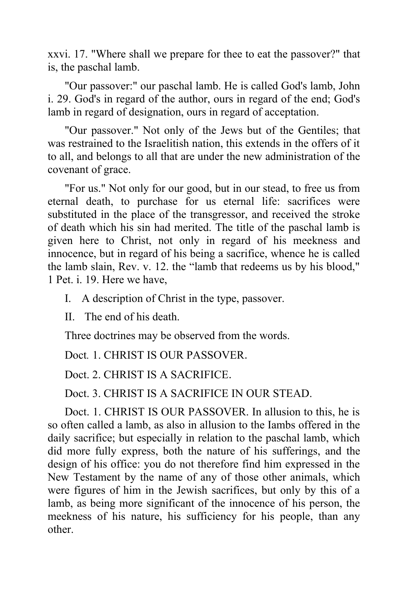xxvi. 17. "Where shall we prepare for thee to eat the passover?" that is, the paschal lamb.

"Our passover:" our paschal lamb. He is called God's lamb, John i. 29. God's in regard of the author, ours in regard of the end; God's lamb in regard of designation, ours in regard of acceptation.

"Our passover." Not only of the Jews but of the Gentiles; that was restrained to the Israelitish nation, this extends in the offers of it to all, and belongs to all that are under the new administration of the covenant of grace.

"For us." Not only for our good, but in our stead, to free us from eternal death, to purchase for us eternal life: sacrifices were substituted in the place of the transgressor, and received the stroke of death which his sin had merited. The title of the paschal lamb is given here to Christ, not only in regard of his meekness and innocence, but in regard of his being a sacrifice, whence he is called the lamb slain, Rev. v. 12. the "lamb that redeems us by his blood," 1 Pet. i. 19. Here we have,

I. A description of Christ in the type, passover.

II. The end of his death.

Three doctrines may be observed from the words.

Doct*.* 1. CHRIST IS OUR PASSOVER.

Doct. 2. CHRIST IS A SACRIFICE.

Doct. 3. CHRIST IS A SACRIFICE IN OUR STEAD.

Doct. 1. CHRIST IS OUR PASSOVER. In allusion to this, he is so often called a lamb, as also in allusion to the Iambs offered in the daily sacrifice; but especially in relation to the paschal lamb, which did more fully express, both the nature of his sufferings, and the design of his office: you do not therefore find him expressed in the New Testament by the name of any of those other animals, which were figures of him in the Jewish sacrifices, but only by this of a lamb, as being more significant of the innocence of his person, the meekness of his nature, his sufficiency for his people, than any other.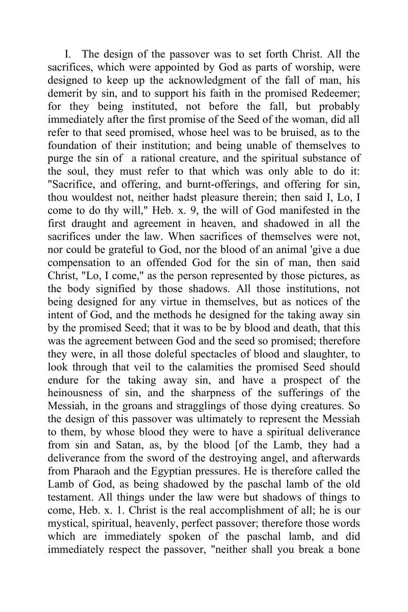I. The design of the passover was to set forth Christ. All the sacrifices, which were appointed by God as parts of worship, were designed to keep up the acknowledgment of the fall of man, his demerit by sin, and to support his faith in the promised Redeemer; for they being instituted, not before the fall, but probably immediately after the first promise of the Seed of the woman, did all refer to that seed promised, whose heel was to be bruised, as to the foundation of their institution; and being unable of themselves to purge the sin of a rational creature, and the spiritual substance of the soul, they must refer to that which was only able to do it: "Sacrifice, and offering, and burnt-offerings, and offering for sin, thou wouldest not, neither hadst pleasure therein; then said I, Lo, I come to do thy will," Heb. x. 9, the will of God manifested in the first draught and agreement in heaven, and shadowed in all the sacrifices under the law. When sacrifices of themselves were not, nor could be grateful to God, nor the blood of an animal 'give a due compensation to an offended God for the sin of man, then said Christ, "Lo, I come," as the person represented by those pictures, as the body signified by those shadows. All those institutions, not being designed for any virtue in themselves, but as notices of the intent of God, and the methods he designed for the taking away sin by the promised Seed; that it was to be by blood and death, that this was the agreement between God and the seed so promised; therefore they were, in all those doleful spectacles of blood and slaughter, to look through that veil to the calamities the promised Seed should endure for the taking away sin, and have a prospect of the heinousness of sin, and the sharpness of the sufferings of the Messiah, in the groans and stragglings of those dying creatures. So the design of this passover was ultimately to represent the Messiah to them, by whose blood they were to have a spiritual deliverance from sin and Satan, as, by the blood [of the Lamb, they had a deliverance from the sword of the destroying angel, and afterwards from Pharaoh and the Egyptian pressures. He is therefore called the Lamb of God, as being shadowed by the paschal lamb of the old testament. All things under the law were but shadows of things to come, Heb. x. 1. Christ is the real accomplishment of all; he is our mystical, spiritual, heavenly, perfect passover; therefore those words which are immediately spoken of the paschal lamb, and did immediately respect the passover, "neither shall you break a bone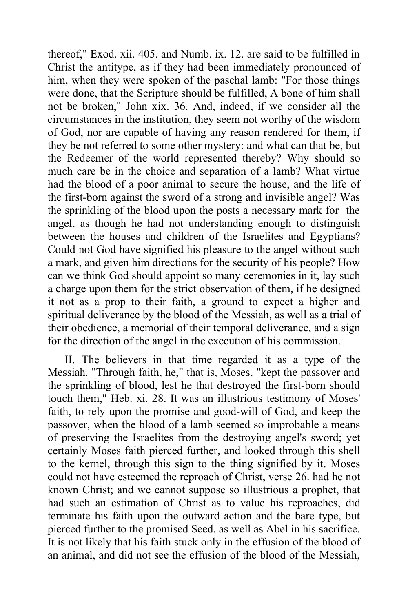thereof," Exod. xii. 405. and Numb. ix. 12. are said to be fulfilled in Christ the antitype, as if they had been immediately pronounced of him, when they were spoken of the paschal lamb: "For those things were done, that the Scripture should be fulfilled, A bone of him shall not be broken," John xix. 36. And, indeed, if we consider all the circumstances in the institution, they seem not worthy of the wisdom of God, nor are capable of having any reason rendered for them, if they be not referred to some other mystery: and what can that be, but the Redeemer of the world represented thereby? Why should so much care be in the choice and separation of a lamb? What virtue had the blood of a poor animal to secure the house, and the life of the first-born against the sword of a strong and invisible angel? Was the sprinkling of the blood upon the posts a necessary mark for the angel, as though he had not understanding enough to distinguish between the houses and children of the Israelites and Egyptians? Could not God have signified his pleasure to the angel without such a mark, and given him directions for the security of his people? How can we think God should appoint so many ceremonies in it, lay such a charge upon them for the strict observation of them, if he designed it not as a prop to their faith, a ground to expect a higher and spiritual deliverance by the blood of the Messiah, as well as a trial of their obedience, a memorial of their temporal deliverance, and a sign for the direction of the angel in the execution of his commission.

II. The believers in that time regarded it as a type of the Messiah. "Through faith, he," that is, Moses, "kept the passover and the sprinkling of blood, lest he that destroyed the first-born should touch them," Heb. xi. 28. It was an illustrious testimony of Moses' faith, to rely upon the promise and good-will of God, and keep the passover, when the blood of a lamb seemed so improbable a means of preserving the Israelites from the destroying angel's sword; yet certainly Moses faith pierced further, and looked through this shell to the kernel, through this sign to the thing signified by it. Moses could not have esteemed the reproach of Christ, verse 26. had he not known Christ; and we cannot suppose so illustrious a prophet, that had such an estimation of Christ as to value his reproaches, did terminate his faith upon the outward action and the bare type, but pierced further to the promised Seed, as well as Abel in his sacrifice. It is not likely that his faith stuck only in the effusion of the blood of an animal, and did not see the effusion of the blood of the Messiah,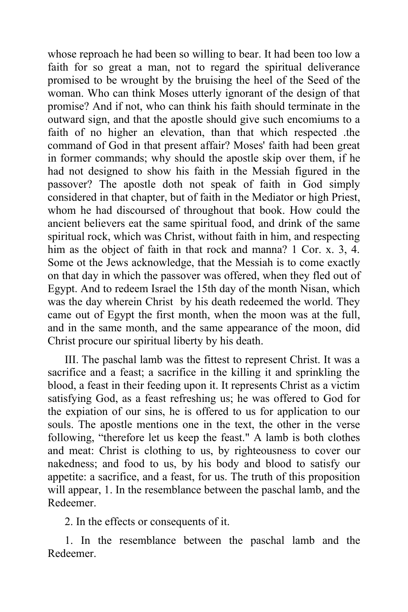whose reproach he had been so willing to bear. It had been too low a faith for so great a man, not to regard the spiritual deliverance promised to be wrought by the bruising the heel of the Seed of the woman. Who can think Moses utterly ignorant of the design of that promise? And if not, who can think his faith should terminate in the outward sign, and that the apostle should give such encomiums to a faith of no higher an elevation, than that which respected .the command of God in that present affair? Moses' faith had been great in former commands; why should the apostle skip over them, if he had not designed to show his faith in the Messiah figured in the passover? The apostle doth not speak of faith in God simply considered in that chapter, but of faith in the Mediator or high Priest, whom he had discoursed of throughout that book. How could the ancient believers eat the same spiritual food, and drink of the same spiritual rock, which was Christ, without faith in him, and respecting him as the object of faith in that rock and manna? 1 Cor. x. 3, 4. Some ot the Jews acknowledge, that the Messiah is to come exactly on that day in which the passover was offered, when they fled out of Egypt. And to redeem Israel the 15th day of the month Nisan, which was the day wherein Christ by his death redeemed the world. They came out of Egypt the first month, when the moon was at the full, and in the same month, and the same appearance of the moon, did Christ procure our spiritual liberty by his death.

III. The paschal lamb was the fittest to represent Christ. It was a sacrifice and a feast; a sacrifice in the killing it and sprinkling the blood, a feast in their feeding upon it. It represents Christ as a victim satisfying God, as a feast refreshing us; he was offered to God for the expiation of our sins, he is offered to us for application to our souls. The apostle mentions one in the text, the other in the verse following, "therefore let us keep the feast." A lamb is both clothes and meat: Christ is clothing to us, by righteousness to cover our nakedness; and food to us, by his body and blood to satisfy our appetite: a sacrifice, and a feast, for us. The truth of this proposition will appear, 1. In the resemblance between the paschal lamb, and the Redeemer.

2. In the effects or consequents of it.

1. In the resemblance between the paschal lamb and the Redeemer.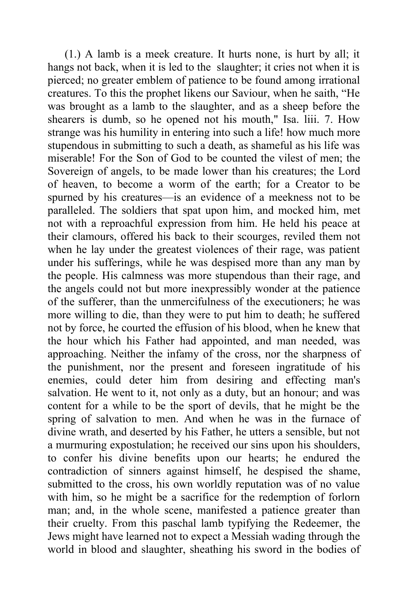(1.) A lamb is a meek creature. It hurts none, is hurt by all; it hangs not back, when it is led to the slaughter; it cries not when it is pierced; no greater emblem of patience to be found among irrational creatures. To this the prophet likens our Saviour, when he saith, "He was brought as a lamb to the slaughter, and as a sheep before the shearers is dumb, so he opened not his mouth," Isa. liii. 7. How strange was his humility in entering into such a life! how much more stupendous in submitting to such a death, as shameful as his life was miserable! For the Son of God to be counted the vilest of men; the Sovereign of angels, to be made lower than his creatures; the Lord of heaven, to become a worm of the earth; for a Creator to be spurned by his creatures—is an evidence of a meekness not to be paralleled. The soldiers that spat upon him, and mocked him, met not with a reproachful expression from him. He held his peace at their clamours, offered his back to their scourges, reviled them not when he lay under the greatest violences of their rage, was patient under his sufferings, while he was despised more than any man by the people. His calmness was more stupendous than their rage, and the angels could not but more inexpressibly wonder at the patience of the sufferer, than the unmercifulness of the executioners; he was more willing to die, than they were to put him to death; he suffered not by force, he courted the effusion of his blood, when he knew that the hour which his Father had appointed, and man needed, was approaching. Neither the infamy of the cross, nor the sharpness of the punishment, nor the present and foreseen ingratitude of his enemies, could deter him from desiring and effecting man's salvation. He went to it, not only as a duty, but an honour; and was content for a while to be the sport of devils, that he might be the spring of salvation to men. And when he was in the furnace of divine wrath, and deserted by his Father, he utters a sensible, but not a murmuring expostulation; he received our sins upon his shoulders, to confer his divine benefits upon our hearts; he endured the contradiction of sinners against himself, he despised the shame, submitted to the cross, his own worldly reputation was of no value with him, so he might be a sacrifice for the redemption of forlorn man; and, in the whole scene, manifested a patience greater than their cruelty. From this paschal lamb typifying the Redeemer, the Jews might have learned not to expect a Messiah wading through the world in blood and slaughter, sheathing his sword in the bodies of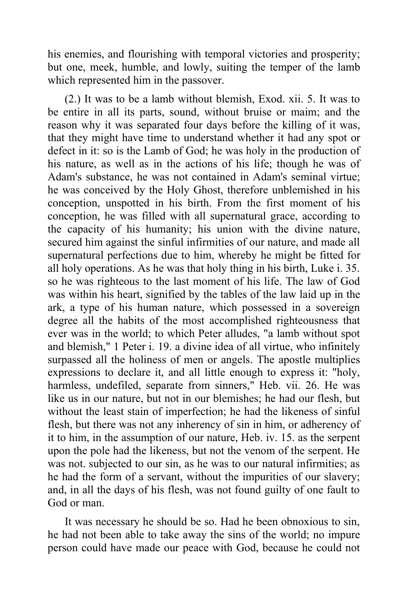his enemies, and flourishing with temporal victories and prosperity; but one, meek, humble, and lowly, suiting the temper of the lamb which represented him in the passover.

(2.) It was to be a lamb without blemish, Exod. xii. 5. It was to be entire in all its parts, sound, without bruise or maim; and the reason why it was separated four days before the killing of it was, that they might have time to understand whether it had any spot or defect in it: so is the Lamb of God; he was holy in the production of his nature, as well as in the actions of his life; though he was of Adam's substance, he was not contained in Adam's seminal virtue; he was conceived by the Holy Ghost, therefore unblemished in his conception, unspotted in his birth. From the first moment of his conception, he was filled with all supernatural grace, according to the capacity of his humanity; his union with the divine nature, secured him against the sinful infirmities of our nature, and made all supernatural perfections due to him, whereby he might be fitted for all holy operations. As he was that holy thing in his birth, Luke i. 35. so he was righteous to the last moment of his life. The law of God was within his heart, signified by the tables of the law laid up in the ark, a type of his human nature, which possessed in a sovereign degree all the habits of the most accomplished righteousness that ever was in the world; to which Peter alludes, "a lamb without spot and blemish," 1 Peter i. 19. a divine idea of all virtue, who infinitely surpassed all the holiness of men or angels. The apostle multiplies expressions to declare it, and all little enough to express it: "holy, harmless, undefiled, separate from sinners," Heb. vii. 26. He was like us in our nature, but not in our blemishes; he had our flesh, but without the least stain of imperfection; he had the likeness of sinful flesh, but there was not any inherency of sin in him, or adherency of it to him, in the assumption of our nature, Heb. iv. 15. as the serpent upon the pole had the likeness, but not the venom of the serpent. He was not. subjected to our sin, as he was to our natural infirmities; as he had the form of a servant, without the impurities of our slavery; and, in all the days of his flesh, was not found guilty of one fault to God or man.

It was necessary he should be so. Had he been obnoxious to sin, he had not been able to take away the sins of the world; no impure person could have made our peace with God, because he could not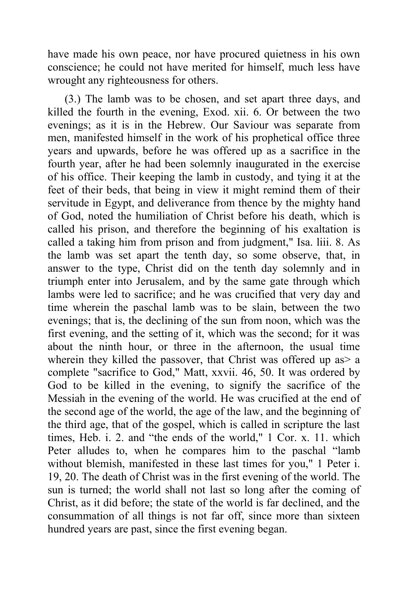have made his own peace, nor have procured quietness in his own conscience; he could not have merited for himself, much less have wrought any righteousness for others.

(3.) The lamb was to be chosen, and set apart three days, and killed the fourth in the evening, Exod. xii. 6. Or between the two evenings; as it is in the Hebrew. Our Saviour was separate from men, manifested himself in the work of his prophetical office three years and upwards, before he was offered up as a sacrifice in the fourth year, after he had been solemnly inaugurated in the exercise of his office. Their keeping the lamb in custody, and tying it at the feet of their beds, that being in view it might remind them of their servitude in Egypt, and deliverance from thence by the mighty hand of God, noted the humiliation of Christ before his death, which is called his prison, and therefore the beginning of his exaltation is called a taking him from prison and from judgment," Isa. liii. 8. As the lamb was set apart the tenth day, so some observe, that, in answer to the type, Christ did on the tenth day solemnly and in triumph enter into Jerusalem, and by the same gate through which lambs were led to sacrifice; and he was crucified that very day and time wherein the paschal lamb was to be slain, between the two evenings; that is, the declining of the sun from noon, which was the first evening, and the setting of it, which was the second; for it was about the ninth hour, or three in the afternoon, the usual time wherein they killed the passover, that Christ was offered up as> a complete "sacrifice to God," Matt, xxvii. 46, 50. It was ordered by God to be killed in the evening, to signify the sacrifice of the Messiah in the evening of the world. He was crucified at the end of the second age of the world, the age of the law, and the beginning of the third age, that of the gospel, which is called in scripture the last times, Heb. i. 2. and "the ends of the world," 1 Cor. x. 11. which Peter alludes to, when he compares him to the paschal "lamb without blemish, manifested in these last times for you," 1 Peter i. 19, 20. The death of Christ was in the first evening of the world. The sun is turned; the world shall not last so long after the coming of Christ, as it did before; the state of the world is far declined, and the consummation of all things is not far off, since more than sixteen hundred years are past, since the first evening began.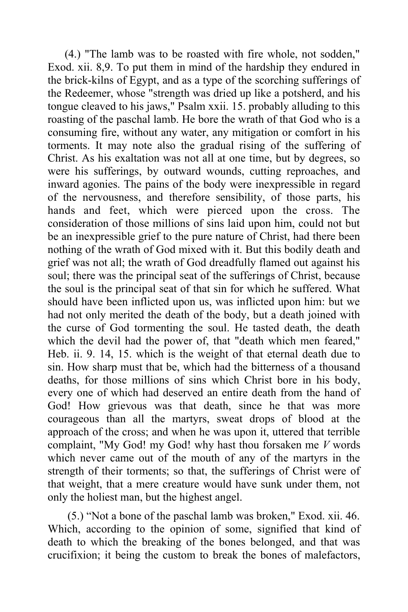(4.) "The lamb was to be roasted with fire whole, not sodden," Exod. xii. 8,9. To put them in mind of the hardship they endured in the brick-kilns of Egypt, and as a type of the scorching sufferings of the Redeemer, whose "strength was dried up like a potsherd, and his tongue cleaved to his jaws," Psalm xxii. 15. probably alluding to this roasting of the paschal lamb. He bore the wrath of that God who is a consuming fire, without any water, any mitigation or comfort in his torments. It may note also the gradual rising of the suffering of Christ. As his exaltation was not all at one time, but by degrees, so were his sufferings, by outward wounds, cutting reproaches, and inward agonies. The pains of the body were inexpressible in regard of the nervousness, and therefore sensibility, of those parts, his hands and feet, which were pierced upon the cross. The consideration of those millions of sins laid upon him, could not but be an inexpressible grief to the pure nature of Christ, had there been nothing of the wrath of God mixed with it. But this bodily death and grief was not all; the wrath of God dreadfully flamed out against his soul; there was the principal seat of the sufferings of Christ, because the soul is the principal seat of that sin for which he suffered. What should have been inflicted upon us, was inflicted upon him: but we had not only merited the death of the body, but a death joined with the curse of God tormenting the soul. He tasted death, the death which the devil had the power of, that "death which men feared," Heb. ii. 9. 14, 15. which is the weight of that eternal death due to sin. How sharp must that be, which had the bitterness of a thousand deaths, for those millions of sins which Christ bore in his body, every one of which had deserved an entire death from the hand of God! How grievous was that death, since he that was more courageous than all the martyrs, sweat drops of blood at the approach of the cross; and when he was upon it, uttered that terrible complaint, "My God! my God! why hast thou forsaken me *V* words which never came out of the mouth of any of the martyrs in the strength of their torments; so that, the sufferings of Christ were of that weight, that a mere creature would have sunk under them, not only the holiest man, but the highest angel.

 (5.) "Not a bone of the paschal lamb was broken," Exod. xii. 46. Which, according to the opinion of some, signified that kind of death to which the breaking of the bones belonged, and that was crucifixion; it being the custom to break the bones of malefactors,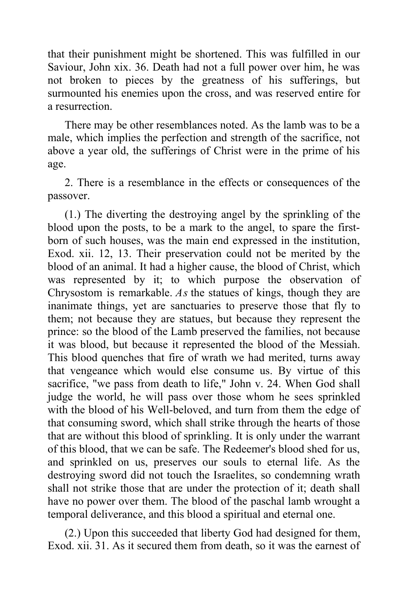that their punishment might be shortened. This was fulfilled in our Saviour, John xix. 36. Death had not a full power over him, he was not broken to pieces by the greatness of his sufferings, but surmounted his enemies upon the cross, and was reserved entire for a resurrection.

There may be other resemblances noted. As the lamb was to be a male, which implies the perfection and strength of the sacrifice, not above a year old, the sufferings of Christ were in the prime of his age.

2. There is a resemblance in the effects or consequences of the passover.

(1.) The diverting the destroying angel by the sprinkling of the blood upon the posts, to be a mark to the angel, to spare the firstborn of such houses, was the main end expressed in the institution, Exod. xii. 12, 13. Their preservation could not be merited by the blood of an animal. It had a higher cause, the blood of Christ, which was represented by it; to which purpose the observation of Chrysostom is remarkable. *As* the statues of kings, though they are inanimate things, yet are sanctuaries to preserve those that fly to them; not because they are statues, but because they represent the prince: so the blood of the Lamb preserved the families, not because it was blood, but because it represented the blood of the Messiah. This blood quenches that fire of wrath we had merited, turns away that vengeance which would else consume us. By virtue of this sacrifice, "we pass from death to life," John v. 24. When God shall judge the world, he will pass over those whom he sees sprinkled with the blood of his Well-beloved, and turn from them the edge of that consuming sword, which shall strike through the hearts of those that are without this blood of sprinkling. It is only under the warrant of this blood, that we can be safe. The Redeemer's blood shed for us, and sprinkled on us, preserves our souls to eternal life. As the destroying sword did not touch the Israelites, so condemning wrath shall not strike those that are under the protection of it; death shall have no power over them. The blood of the paschal lamb wrought a temporal deliverance, and this blood a spiritual and eternal one.

(2.) Upon this succeeded that liberty God had designed for them, Exod. xii. 31. As it secured them from death, so it was the earnest of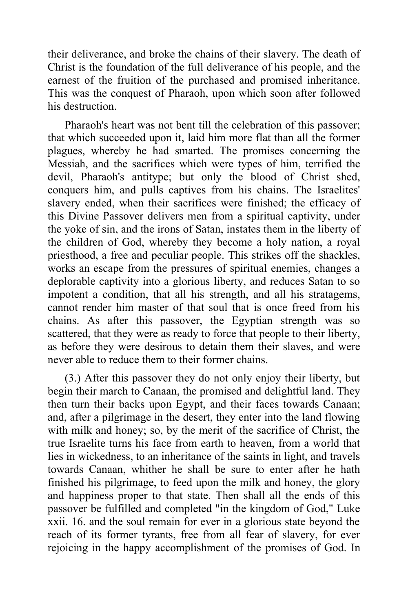their deliverance, and broke the chains of their slavery. The death of Christ is the foundation of the full deliverance of his people, and the earnest of the fruition of the purchased and promised inheritance. This was the conquest of Pharaoh, upon which soon after followed his destruction.

Pharaoh's heart was not bent till the celebration of this passover; that which succeeded upon it, laid him more flat than all the former plagues, whereby he had smarted. The promises concerning the Messiah, and the sacrifices which were types of him, terrified the devil, Pharaoh's antitype; but only the blood of Christ shed, conquers him, and pulls captives from his chains. The Israelites' slavery ended, when their sacrifices were finished; the efficacy of this Divine Passover delivers men from a spiritual captivity, under the yoke of sin, and the irons of Satan, instates them in the liberty of the children of God, whereby they become a holy nation, a royal priesthood, a free and peculiar people. This strikes off the shackles, works an escape from the pressures of spiritual enemies, changes a deplorable captivity into a glorious liberty, and reduces Satan to so impotent a condition, that all his strength, and all his stratagems, cannot render him master of that soul that is once freed from his chains. As after this passover, the Egyptian strength was so scattered, that they were as ready to force that people to their liberty, as before they were desirous to detain them their slaves, and were never able to reduce them to their former chains.

(3.) After this passover they do not only enjoy their liberty, but begin their march to Canaan, the promised and delightful land. They then turn their backs upon Egypt, and their faces towards Canaan; and, after a pilgrimage in the desert, they enter into the land flowing with milk and honey; so, by the merit of the sacrifice of Christ, the true Israelite turns his face from earth to heaven, from a world that lies in wickedness, to an inheritance of the saints in light, and travels towards Canaan, whither he shall be sure to enter after he hath finished his pilgrimage, to feed upon the milk and honey, the glory and happiness proper to that state. Then shall all the ends of this passover be fulfilled and completed "in the kingdom of God," Luke xxii. 16. and the soul remain for ever in a glorious state beyond the reach of its former tyrants, free from all fear of slavery, for ever rejoicing in the happy accomplishment of the promises of God. In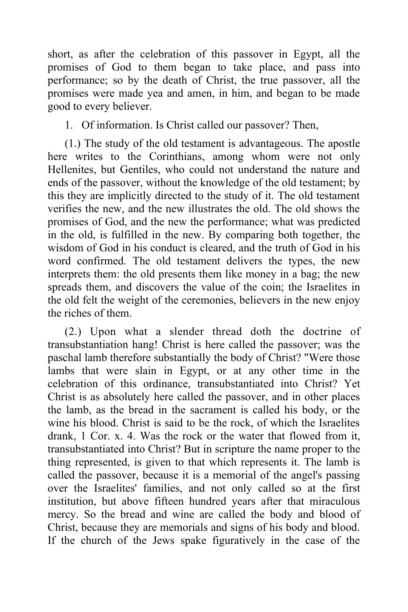short, as after the celebration of this passover in Egypt, all the promises of God to them began to take place, and pass into performance; so by the death of Christ, the true passover, all the promises were made yea and amen, in him, and began to be made good to every believer.

1. Of information. Is Christ called our passover? Then,

(1.) The study of the old testament is advantageous. The apostle here writes to the Corinthians, among whom were not only Hellenites, but Gentiles, who could not understand the nature and ends of the passover, without the knowledge of the old testament; by this they are implicitly directed to the study of it. The old testament verifies the new, and the new illustrates the old. The old shows the promises of God, and the new the performance; what was predicted in the old, is fulfilled in the new. By comparing both together, the wisdom of God in his conduct is cleared, and the truth of God in his word confirmed. The old testament delivers the types, the new interprets them: the old presents them like money in a bag; the new spreads them, and discovers the value of the coin; the Israelites in the old felt the weight of the ceremonies, believers in the new enjoy the riches of them.

(2.) Upon what a slender thread doth the doctrine of transubstantiation hang! Christ is here called the passover; was the paschal lamb therefore substantially the body of Christ? "Were those lambs that were slain in Egypt, or at any other time in the celebration of this ordinance, transubstantiated into Christ? Yet Christ is as absolutely here called the passover, and in other places the lamb, as the bread in the sacrament is called his body, or the wine his blood. Christ is said to be the rock, of which the Israelites drank, 1 Cor. x. 4. Was the rock or the water that flowed from it, transubstantiated into Christ? But in scripture the name proper to the thing represented, is given to that which represents it. The lamb is called the passover, because it is a memorial of the angel's passing over the Israelites' families, and not only called so at the first institution, but above fifteen hundred years after that miraculous mercy. So the bread and wine are called the body and blood of Christ, because they are memorials and signs of his body and blood. If the church of the Jews spake figuratively in the case of the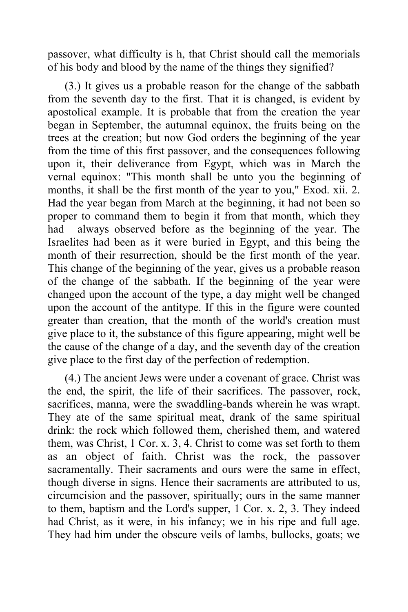passover, what difficulty is h, that Christ should call the memorials of his body and blood by the name of the things they signified?

(3.) It gives us a probable reason for the change of the sabbath from the seventh day to the first. That it is changed, is evident by apostolical example. It is probable that from the creation the year began in September, the autumnal equinox, the fruits being on the trees at the creation; but now God orders the beginning of the year from the time of this first passover, and the consequences following upon it, their deliverance from Egypt, which was in March the vernal equinox: "This month shall be unto you the beginning of months, it shall be the first month of the year to you," Exod. xii. 2. Had the year began from March at the beginning, it had not been so proper to command them to begin it from that month, which they had always observed before as the beginning of the year. The Israelites had been as it were buried in Egypt, and this being the month of their resurrection, should be the first month of the year. This change of the beginning of the year, gives us a probable reason of the change of the sabbath. If the beginning of the year were changed upon the account of the type, a day might well be changed upon the account of the antitype. If this in the figure were counted greater than creation, that the month of the world's creation must give place to it, the substance of this figure appearing, might well be the cause of the change of a day, and the seventh day of the creation give place to the first day of the perfection of redemption.

(4.) The ancient Jews were under a covenant of grace. Christ was the end, the spirit, the life of their sacrifices. The passover, rock, sacrifices, manna, were the swaddling-bands wherein he was wrapt. They ate of the same spiritual meat, drank of the same spiritual drink: the rock which followed them, cherished them, and watered them, was Christ, 1 Cor. x. 3, 4. Christ to come was set forth to them as an object of faith. Christ was the rock, the passover sacramentally. Their sacraments and ours were the same in effect, though diverse in signs. Hence their sacraments are attributed to us, circumcision and the passover, spiritually; ours in the same manner to them, baptism and the Lord's supper, 1 Cor. x. 2, 3. They indeed had Christ, as it were, in his infancy; we in his ripe and full age. They had him under the obscure veils of lambs, bullocks, goats; we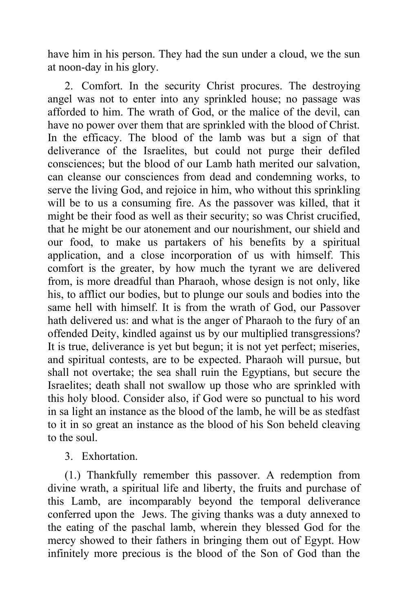have him in his person. They had the sun under a cloud, we the sun at noon-day in his glory.

2. Comfort. In the security Christ procures. The destroying angel was not to enter into any sprinkled house; no passage was afforded to him. The wrath of God, or the malice of the devil, can have no power over them that are sprinkled with the blood of Christ. In the efficacy. The blood of the lamb was but a sign of that deliverance of the Israelites, but could not purge their defiled consciences; but the blood of our Lamb hath merited our salvation, can cleanse our consciences from dead and condemning works, to serve the living God, and rejoice in him, who without this sprinkling will be to us a consuming fire. As the passover was killed, that it might be their food as well as their security; so was Christ crucified, that he might be our atonement and our nourishment, our shield and our food, to make us partakers of his benefits by a spiritual application, and a close incorporation of us with himself. This comfort is the greater, by how much the tyrant we are delivered from, is more dreadful than Pharaoh, whose design is not only, like his, to afflict our bodies, but to plunge our souls and bodies into the same hell with himself. It is from the wrath of God, our Passover hath delivered us: and what is the anger of Pharaoh to the fury of an offended Deity, kindled against us by our multiplied transgressions? It is true, deliverance is yet but begun; it is not yet perfect; miseries, and spiritual contests, are to be expected. Pharaoh will pursue, but shall not overtake; the sea shall ruin the Egyptians, but secure the Israelites; death shall not swallow up those who are sprinkled with this holy blood. Consider also, if God were so punctual to his word in sa light an instance as the blood of the lamb, he will be as stedfast to it in so great an instance as the blood of his Son beheld cleaving to the soul.

3. Exhortation.

(1.) Thankfully remember this passover. A redemption from divine wrath, a spiritual life and liberty, the fruits and purchase of this Lamb, are incomparably beyond the temporal deliverance conferred upon the Jews. The giving thanks was a duty annexed to the eating of the paschal lamb, wherein they blessed God for the mercy showed to their fathers in bringing them out of Egypt. How infinitely more precious is the blood of the Son of God than the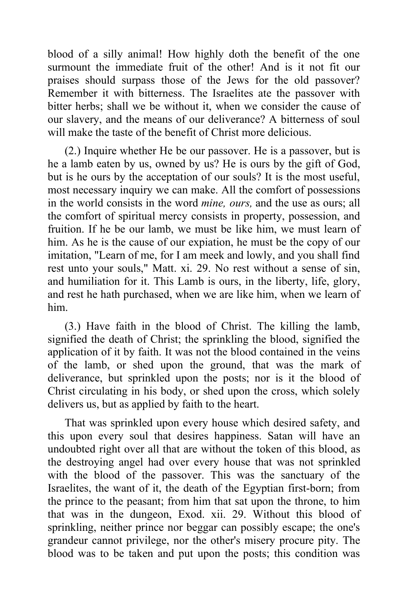blood of a silly animal! How highly doth the benefit of the one surmount the immediate fruit of the other! And is it not fit our praises should surpass those of the Jews for the old passover? Remember it with bitterness. The Israelites ate the passover with bitter herbs; shall we be without it, when we consider the cause of our slavery, and the means of our deliverance? A bitterness of soul will make the taste of the benefit of Christ more delicious.

(2.) Inquire whether He be our passover. He is a passover, but is he a lamb eaten by us, owned by us? He is ours by the gift of God, but is he ours by the acceptation of our souls? It is the most useful, most necessary inquiry we can make. All the comfort of possessions in the world consists in the word *mine, ours,* and the use as ours; all the comfort of spiritual mercy consists in property, possession, and fruition. If he be our lamb, we must be like him, we must learn of him. As he is the cause of our expiation, he must be the copy of our imitation, "Learn of me, for I am meek and lowly, and you shall find rest unto your souls," Matt. xi. 29. No rest without a sense of sin, and humiliation for it. This Lamb is ours, in the liberty, life, glory, and rest he hath purchased, when we are like him, when we learn of him.

(3.) Have faith in the blood of Christ. The killing the lamb, signified the death of Christ; the sprinkling the blood, signified the application of it by faith. It was not the blood contained in the veins of the lamb, or shed upon the ground, that was the mark of deliverance, but sprinkled upon the posts; nor is it the blood of Christ circulating in his body, or shed upon the cross, which solely delivers us, but as applied by faith to the heart.

That was sprinkled upon every house which desired safety, and this upon every soul that desires happiness. Satan will have an undoubted right over all that are without the token of this blood, as the destroying angel had over every house that was not sprinkled with the blood of the passover. This was the sanctuary of the Israelites, the want of it, the death of the Egyptian first-born; from the prince to the peasant; from him that sat upon the throne, to him that was in the dungeon, Exod. xii. 29. Without this blood of sprinkling, neither prince nor beggar can possibly escape; the one's grandeur cannot privilege, nor the other's misery procure pity. The blood was to be taken and put upon the posts; this condition was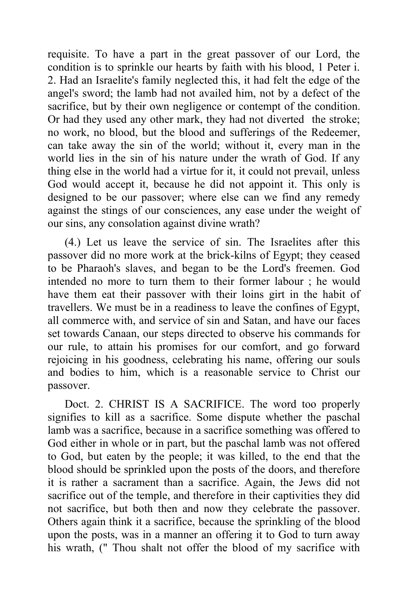requisite. To have a part in the great passover of our Lord, the condition is to sprinkle our hearts by faith with his blood, 1 Peter i. 2. Had an Israelite's family neglected this, it had felt the edge of the angel's sword; the lamb had not availed him, not by a defect of the sacrifice, but by their own negligence or contempt of the condition. Or had they used any other mark, they had not diverted the stroke; no work, no blood, but the blood and sufferings of the Redeemer, can take away the sin of the world; without it, every man in the world lies in the sin of his nature under the wrath of God. If any thing else in the world had a virtue for it, it could not prevail, unless God would accept it, because he did not appoint it. This only is designed to be our passover; where else can we find any remedy against the stings of our consciences, any ease under the weight of our sins, any consolation against divine wrath?

(4.) Let us leave the service of sin. The Israelites after this passover did no more work at the brick-kilns of Egypt; they ceased to be Pharaoh's slaves, and began to be the Lord's freemen. God intended no more to turn them to their former labour ; he would have them eat their passover with their loins girt in the habit of travellers. We must be in a readiness to leave the confines of Egypt, all commerce with, and service of sin and Satan, and have our faces set towards Canaan, our steps directed to observe his commands for our rule, to attain his promises for our comfort, and go forward rejoicing in his goodness, celebrating his name, offering our souls and bodies to him, which is a reasonable service to Christ our passover.

Doct. 2. CHRIST IS A SACRIFICE. The word too properly signifies to kill as a sacrifice. Some dispute whether the paschal lamb was a sacrifice, because in a sacrifice something was offered to God either in whole or in part, but the paschal lamb was not offered to God, but eaten by the people; it was killed, to the end that the blood should be sprinkled upon the posts of the doors, and therefore it is rather a sacrament than a sacrifice. Again, the Jews did not sacrifice out of the temple, and therefore in their captivities they did not sacrifice, but both then and now they celebrate the passover. Others again think it a sacrifice, because the sprinkling of the blood upon the posts, was in a manner an offering it to God to turn away his wrath, (" Thou shalt not offer the blood of my sacrifice with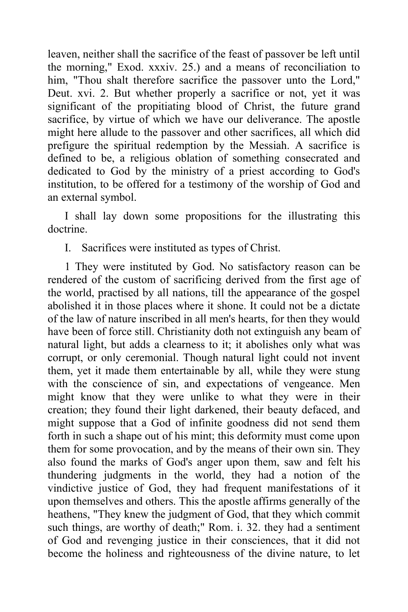leaven, neither shall the sacrifice of the feast of passover be left until the morning," Exod. xxxiv. 25.) and a means of reconciliation to him, "Thou shalt therefore sacrifice the passover unto the Lord," Deut. xvi. 2. But whether properly a sacrifice or not, yet it was significant of the propitiating blood of Christ, the future grand sacrifice, by virtue of which we have our deliverance. The apostle might here allude to the passover and other sacrifices, all which did prefigure the spiritual redemption by the Messiah. A sacrifice is defined to be, a religious oblation of something consecrated and dedicated to God by the ministry of a priest according to God's institution, to be offered for a testimony of the worship of God and an external symbol.

I shall lay down some propositions for the illustrating this doctrine.

I. Sacrifices were instituted as types of Christ.

1 They were instituted by God. No satisfactory reason can be rendered of the custom of sacrificing derived from the first age of the world, practised by all nations, till the appearance of the gospel abolished it in those places where it shone. It could not be a dictate of the law of nature inscribed in all men's hearts, for then they would have been of force still. Christianity doth not extinguish any beam of natural light, but adds a clearness to it; it abolishes only what was corrupt, or only ceremonial. Though natural light could not invent them, yet it made them entertainable by all, while they were stung with the conscience of sin, and expectations of vengeance. Men might know that they were unlike to what they were in their creation; they found their light darkened, their beauty defaced, and might suppose that a God of infinite goodness did not send them forth in such a shape out of his mint; this deformity must come upon them for some provocation, and by the means of their own sin. They also found the marks of God's anger upon them, saw and felt his thundering judgments in the world, they had a notion of the vindictive justice of God, they had frequent manifestations of it upon themselves and others. This the apostle affirms generally of the heathens, "They knew the judgment of God, that they which commit such things, are worthy of death;" Rom. i. 32. they had a sentiment of God and revenging justice in their consciences, that it did not become the holiness and righteousness of the divine nature, to let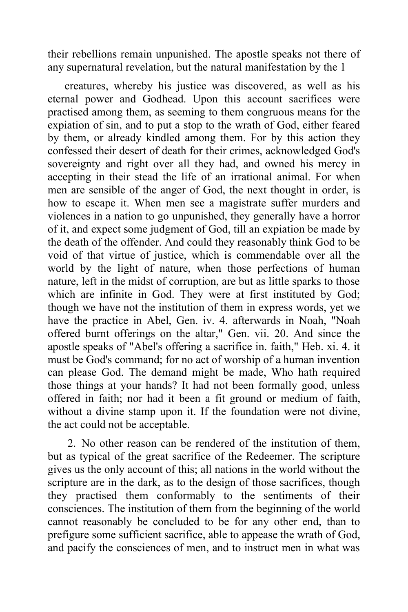their rebellions remain unpunished. The apostle speaks not there of any supernatural revelation, but the natural manifestation by the 1

creatures, whereby his justice was discovered, as well as his eternal power and Godhead. Upon this account sacrifices were practised among them, as seeming to them congruous means for the expiation of sin, and to put a stop to the wrath of God, either feared by them, or already kindled among them. For by this action they confessed their desert of death for their crimes, acknowledged God's sovereignty and right over all they had, and owned his mercy in accepting in their stead the life of an irrational animal. For when men are sensible of the anger of God, the next thought in order, is how to escape it. When men see a magistrate suffer murders and violences in a nation to go unpunished, they generally have a horror of it, and expect some judgment of God, till an expiation be made by the death of the offender. And could they reasonably think God to be void of that virtue of justice, which is commendable over all the world by the light of nature, when those perfections of human nature, left in the midst of corruption, are but as little sparks to those which are infinite in God. They were at first instituted by God; though we have not the institution of them in express words, yet we have the practice in Abel, Gen. iv. 4. afterwards in Noah, "Noah offered burnt offerings on the altar," Gen. vii. 20. And since the apostle speaks of "Abel's offering a sacrifice in. faith," Heb. xi. 4. it must be God's command; for no act of worship of a human invention can please God. The demand might be made, Who hath required those things at your hands? It had not been formally good, unless offered in faith; nor had it been a fit ground or medium of faith, without a divine stamp upon it. If the foundation were not divine, the act could not be acceptable.

 2. No other reason can be rendered of the institution of them, but as typical of the great sacrifice of the Redeemer. The scripture gives us the only account of this; all nations in the world without the scripture are in the dark, as to the design of those sacrifices, though they practised them conformably to the sentiments of their consciences. The institution of them from the beginning of the world cannot reasonably be concluded to be for any other end, than to prefigure some sufficient sacrifice, able to appease the wrath of God, and pacify the consciences of men, and to instruct men in what was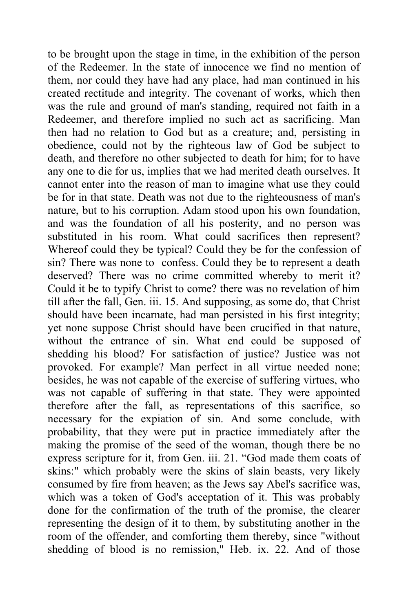to be brought upon the stage in time, in the exhibition of the person of the Redeemer. In the state of innocence we find no mention of them, nor could they have had any place, had man continued in his created rectitude and integrity. The covenant of works, which then was the rule and ground of man's standing, required not faith in a Redeemer, and therefore implied no such act as sacrificing. Man then had no relation to God but as a creature; and, persisting in obedience, could not by the righteous law of God be subject to death, and therefore no other subjected to death for him; for to have any one to die for us, implies that we had merited death ourselves. It cannot enter into the reason of man to imagine what use they could be for in that state. Death was not due to the righteousness of man's nature, but to his corruption. Adam stood upon his own foundation, and was the foundation of all his posterity, and no person was substituted in his room. What could sacrifices then represent? Whereof could they be typical? Could they be for the confession of sin? There was none to confess. Could they be to represent a death deserved? There was no crime committed whereby to merit it? Could it be to typify Christ to come? there was no revelation of him till after the fall, Gen. iii. 15. And supposing, as some do, that Christ should have been incarnate, had man persisted in his first integrity; yet none suppose Christ should have been crucified in that nature, without the entrance of sin. What end could be supposed of shedding his blood? For satisfaction of justice? Justice was not provoked. For example? Man perfect in all virtue needed none; besides, he was not capable of the exercise of suffering virtues, who was not capable of suffering in that state. They were appointed therefore after the fall, as representations of this sacrifice, so necessary for the expiation of sin. And some conclude, with probability, that they were put in practice immediately after the making the promise of the seed of the woman, though there be no express scripture for it, from Gen. iii. 21. "God made them coats of skins:" which probably were the skins of slain beasts, very likely consumed by fire from heaven; as the Jews say Abel's sacrifice was, which was a token of God's acceptation of it. This was probably done for the confirmation of the truth of the promise, the clearer representing the design of it to them, by substituting another in the room of the offender, and comforting them thereby, since "without shedding of blood is no remission," Heb. ix. 22. And of those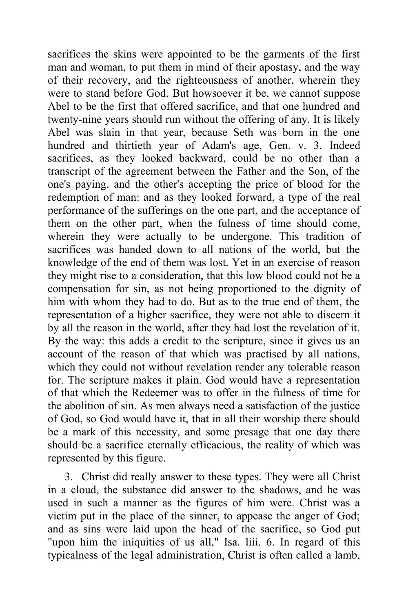sacrifices the skins were appointed to be the garments of the first man and woman, to put them in mind of their apostasy, and the way of their recovery, and the righteousness of another, wherein they were to stand before God. But howsoever it be, we cannot suppose Abel to be the first that offered sacrifice, and that one hundred and twenty-nine years should run without the offering of any. It is likely Abel was slain in that year, because Seth was born in the one hundred and thirtieth year of Adam's age, Gen. v. 3. Indeed sacrifices, as they looked backward, could be no other than a transcript of the agreement between the Father and the Son, of the one's paying, and the other's accepting the price of blood for the redemption of man: and as they looked forward, a type of the real performance of the sufferings on the one part, and the acceptance of them on the other part, when the fulness of time should come, wherein they were actually to be undergone. This tradition of sacrifices was handed down to all nations of the world, but the knowledge of the end of them was lost. Yet in an exercise of reason they might rise to a consideration, that this low blood could not be a compensation for sin, as not being proportioned to the dignity of him with whom they had to do. But as to the true end of them, the representation of a higher sacrifice, they were not able to discern it by all the reason in the world, after they had lost the revelation of it. By the way: this adds a credit to the scripture, since it gives us an account of the reason of that which was practised by all nations, which they could not without revelation render any tolerable reason for. The scripture makes it plain. God would have a representation of that which the Redeemer was to offer in the fulness of time for the abolition of sin. As men always need a satisfaction of the justice of God, so God would have it, that in all their worship there should be a mark of this necessity, and some presage that one day there should be a sacrifice eternally efficacious, the reality of which was represented by this figure.

3. Christ did really answer to these types. They were all Christ in a cloud, the substance did answer to the shadows, and he was used in such a manner as the figures of him were. Christ was a victim put in the place of the sinner, to appease the anger of God; and as sins were laid upon the head of the sacrifice, so God put "upon him the iniquities of us all," Isa. liii. 6. In regard of this typicalness of the legal administration, Christ is often called a lamb,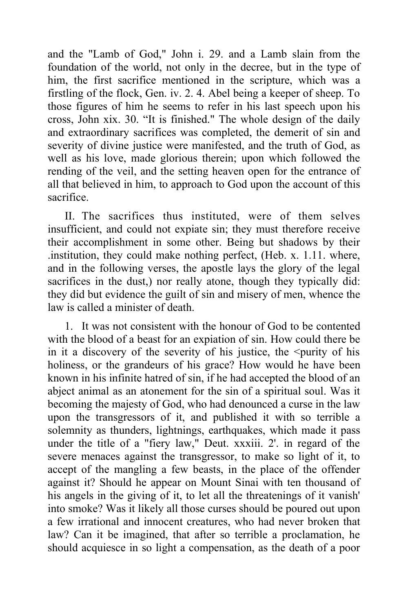and the "Lamb of God," John i. 29. and a Lamb slain from the foundation of the world, not only in the decree, but in the type of him, the first sacrifice mentioned in the scripture, which was a firstling of the flock, Gen. iv. 2. 4. Abel being a keeper of sheep. To those figures of him he seems to refer in his last speech upon his cross, John xix. 30. "It is finished." The whole design of the daily and extraordinary sacrifices was completed, the demerit of sin and severity of divine justice were manifested, and the truth of God, as well as his love, made glorious therein; upon which followed the rending of the veil, and the setting heaven open for the entrance of all that believed in him, to approach to God upon the account of this sacrifice.

II. The sacrifices thus instituted, were of them selves insufficient, and could not expiate sin; they must therefore receive their accomplishment in some other. Being but shadows by their .institution, they could make nothing perfect, (Heb. x. 1.11. where, and in the following verses, the apostle lays the glory of the legal sacrifices in the dust,) nor really atone, though they typically did: they did but evidence the guilt of sin and misery of men, whence the law is called a minister of death.

1. It was not consistent with the honour of God to be contented with the blood of a beast for an expiation of sin. How could there be in it a discovery of the severity of his justice, the  $\le$ purity of his holiness, or the grandeurs of his grace? How would he have been known in his infinite hatred of sin, if he had accepted the blood of an abject animal as an atonement for the sin of a spiritual soul. Was it becoming the majesty of God, who had denounced a curse in the law upon the transgressors of it, and published it with so terrible a solemnity as thunders, lightnings, earthquakes, which made it pass under the title of a "fiery law," Deut. xxxiii. 2'. in regard of the severe menaces against the transgressor, to make so light of it, to accept of the mangling a few beasts, in the place of the offender against it? Should he appear on Mount Sinai with ten thousand of his angels in the giving of it, to let all the threatenings of it vanish' into smoke? Was it likely all those curses should be poured out upon a few irrational and innocent creatures, who had never broken that law? Can it be imagined, that after so terrible a proclamation, he should acquiesce in so light a compensation, as the death of a poor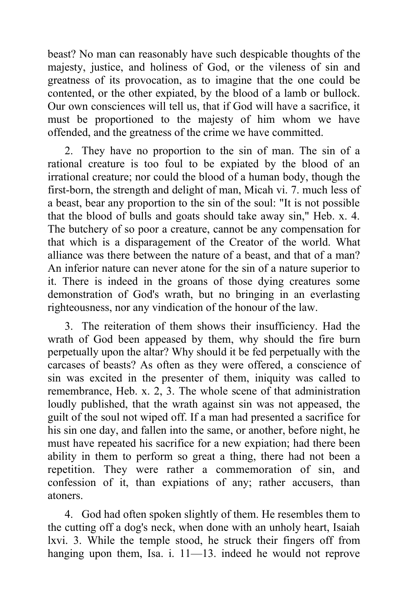beast? No man can reasonably have such despicable thoughts of the majesty, justice, and holiness of God, or the vileness of sin and greatness of its provocation, as to imagine that the one could be contented, or the other expiated, by the blood of a lamb or bullock. Our own consciences will tell us, that if God will have a sacrifice, it must be proportioned to the majesty of him whom we have offended, and the greatness of the crime we have committed.

2. They have no proportion to the sin of man. The sin of a rational creature is too foul to be expiated by the blood of an irrational creature; nor could the blood of a human body, though the first-born, the strength and delight of man, Micah vi. 7. much less of a beast, bear any proportion to the sin of the soul: "It is not possible that the blood of bulls and goats should take away sin," Heb. x. 4. The butchery of so poor a creature, cannot be any compensation for that which is a disparagement of the Creator of the world. What alliance was there between the nature of a beast, and that of a man? An inferior nature can never atone for the sin of a nature superior to it. There is indeed in the groans of those dying creatures some demonstration of God's wrath, but no bringing in an everlasting righteousness, nor any vindication of the honour of the law.

3. The reiteration of them shows their insufficiency. Had the wrath of God been appeased by them, why should the fire burn perpetually upon the altar? Why should it be fed perpetually with the carcases of beasts? As often as they were offered, a conscience of sin was excited in the presenter of them, iniquity was called to remembrance, Heb. x. 2, 3. The whole scene of that administration loudly published, that the wrath against sin was not appeased, the guilt of the soul not wiped off. If a man had presented a sacrifice for his sin one day, and fallen into the same, or another, before night, he must have repeated his sacrifice for a new expiation; had there been ability in them to perform so great a thing, there had not been a repetition. They were rather a commemoration of sin, and confession of it, than expiations of any; rather accusers, than atoners.

4. God had often spoken slightly of them. He resembles them to the cutting off a dog's neck, when done with an unholy heart, Isaiah lxvi. 3. While the temple stood, he struck their fingers off from hanging upon them, Isa. i. 11—13. indeed he would not reprove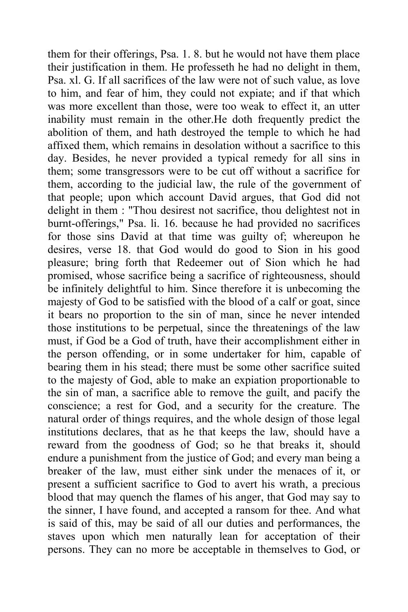them for their offerings, Psa. 1. 8. but he would not have them place their justification in them. He professeth he had no delight in them, Psa. xl. G. If all sacrifices of the law were not of such value, as love to him, and fear of him, they could not expiate; and if that which was more excellent than those, were too weak to effect it, an utter inability must remain in the other.He doth frequently predict the abolition of them, and hath destroyed the temple to which he had affixed them, which remains in desolation without a sacrifice to this day. Besides, he never provided a typical remedy for all sins in them; some transgressors were to be cut off without a sacrifice for them, according to the judicial law, the rule of the government of that people; upon which account David argues, that God did not delight in them : "Thou desirest not sacrifice, thou delightest not in burnt-offerings," Psa. li. 16. because he had provided no sacrifices for those sins David at that time was guilty of; whereupon he desires, verse 18. that God would do good to Sion in his good pleasure; bring forth that Redeemer out of Sion which he had promised, whose sacrifice being a sacrifice of righteousness, should be infinitely delightful to him. Since therefore it is unbecoming the majesty of God to be satisfied with the blood of a calf or goat, since it bears no proportion to the sin of man, since he never intended those institutions to be perpetual, since the threatenings of the law must, if God be a God of truth, have their accomplishment either in the person offending, or in some undertaker for him, capable of bearing them in his stead; there must be some other sacrifice suited to the majesty of God, able to make an expiation proportionable to the sin of man, a sacrifice able to remove the guilt, and pacify the conscience; a rest for God, and a security for the creature. The natural order of things requires, and the whole design of those legal institutions declares, that as he that keeps the law, should have a reward from the goodness of God; so he that breaks it, should endure a punishment from the justice of God; and every man being a breaker of the law, must either sink under the menaces of it, or present a sufficient sacrifice to God to avert his wrath, a precious blood that may quench the flames of his anger, that God may say to the sinner, I have found, and accepted a ransom for thee. And what is said of this, may be said of all our duties and performances, the staves upon which men naturally lean for acceptation of their persons. They can no more be acceptable in themselves to God, or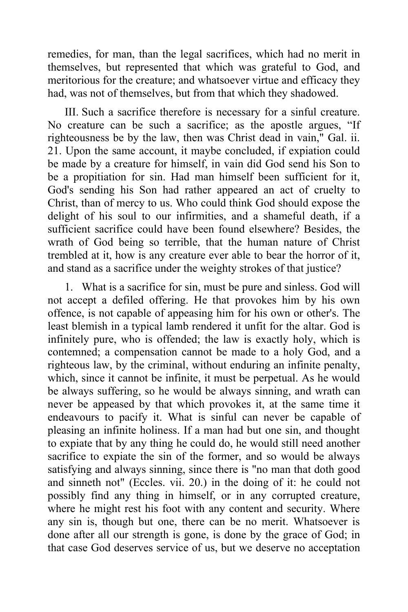remedies, for man, than the legal sacrifices, which had no merit in themselves, but represented that which was grateful to God, and meritorious for the creature; and whatsoever virtue and efficacy they had, was not of themselves, but from that which they shadowed.

III. Such a sacrifice therefore is necessary for a sinful creature. No creature can be such a sacrifice; as the apostle argues, "If righteousness be by the law, then was Christ dead in vain," Gal. ii. 21. Upon the same account, it maybe concluded, if expiation could be made by a creature for himself, in vain did God send his Son to be a propitiation for sin. Had man himself been sufficient for it, God's sending his Son had rather appeared an act of cruelty to Christ, than of mercy to us. Who could think God should expose the delight of his soul to our infirmities, and a shameful death, if a sufficient sacrifice could have been found elsewhere? Besides, the wrath of God being so terrible, that the human nature of Christ trembled at it, how is any creature ever able to bear the horror of it, and stand as a sacrifice under the weighty strokes of that justice?

1. What is a sacrifice for sin, must be pure and sinless. God will not accept a defiled offering. He that provokes him by his own offence, is not capable of appeasing him for his own or other's. The least blemish in a typical lamb rendered it unfit for the altar. God is infinitely pure, who is offended; the law is exactly holy, which is contemned; a compensation cannot be made to a holy God, and a righteous law, by the criminal, without enduring an infinite penalty, which, since it cannot be infinite, it must be perpetual. As he would be always suffering, so he would be always sinning, and wrath can never be appeased by that which provokes it, at the same time it endeavours to pacify it. What is sinful can never be capable of pleasing an infinite holiness. If a man had but one sin, and thought to expiate that by any thing he could do, he would still need another sacrifice to expiate the sin of the former, and so would be always satisfying and always sinning, since there is "no man that doth good and sinneth not" (Eccles. vii. 20.) in the doing of it: he could not possibly find any thing in himself, or in any corrupted creature, where he might rest his foot with any content and security. Where any sin is, though but one, there can be no merit. Whatsoever is done after all our strength is gone, is done by the grace of God; in that case God deserves service of us, but we deserve no acceptation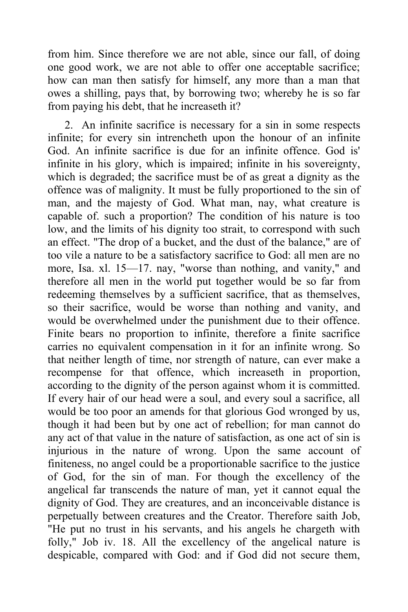from him. Since therefore we are not able, since our fall, of doing one good work, we are not able to offer one acceptable sacrifice; how can man then satisfy for himself, any more than a man that owes a shilling, pays that, by borrowing two; whereby he is so far from paying his debt, that he increaseth it?

2. An infinite sacrifice is necessary for a sin in some respects infinite; for every sin intrencheth upon the honour of an infinite God. An infinite sacrifice is due for an infinite offence. God is' infinite in his glory, which is impaired; infinite in his sovereignty, which is degraded; the sacrifice must be of as great a dignity as the offence was of malignity. It must be fully proportioned to the sin of man, and the majesty of God. What man, nay, what creature is capable of. such a proportion? The condition of his nature is too low, and the limits of his dignity too strait, to correspond with such an effect. "The drop of a bucket, and the dust of the balance," are of too vile a nature to be a satisfactory sacrifice to God: all men are no more, Isa. xl. 15—17. nay, "worse than nothing, and vanity," and therefore all men in the world put together would be so far from redeeming themselves by a sufficient sacrifice, that as themselves, so their sacrifice, would be worse than nothing and vanity, and would be overwhelmed under the punishment due to their offence. Finite bears no proportion to infinite, therefore a finite sacrifice carries no equivalent compensation in it for an infinite wrong. So that neither length of time, nor strength of nature, can ever make a recompense for that offence, which increaseth in proportion, according to the dignity of the person against whom it is committed. If every hair of our head were a soul, and every soul a sacrifice, all would be too poor an amends for that glorious God wronged by us, though it had been but by one act of rebellion; for man cannot do any act of that value in the nature of satisfaction, as one act of sin is injurious in the nature of wrong. Upon the same account of finiteness, no angel could be a proportionable sacrifice to the justice of God, for the sin of man. For though the excellency of the angelical far transcends the nature of man, yet it cannot equal the dignity of God. They are creatures, and an inconceivable distance is perpetually between creatures and the Creator. Therefore saith Job, "He put no trust in his servants, and his angels he chargeth with folly," Job iv. 18. All the excellency of the angelical nature is despicable, compared with God: and if God did not secure them,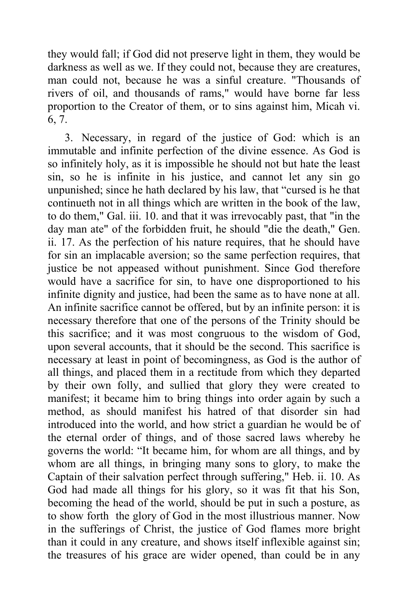they would fall; if God did not preserve light in them, they would be darkness as well as we. If they could not, because they are creatures, man could not, because he was a sinful creature. "Thousands of rivers of oil, and thousands of rams," would have borne far less proportion to the Creator of them, or to sins against him, Micah vi. 6, 7.

3. Necessary, in regard of the justice of God: which is an immutable and infinite perfection of the divine essence. As God is so infinitely holy, as it is impossible he should not but hate the least sin, so he is infinite in his justice, and cannot let any sin go unpunished; since he hath declared by his law, that "cursed is he that continueth not in all things which are written in the book of the law, to do them," Gal. iii. 10. and that it was irrevocably past, that "in the day man ate" of the forbidden fruit, he should "die the death," Gen. ii. 17. As the perfection of his nature requires, that he should have for sin an implacable aversion; so the same perfection requires, that justice be not appeased without punishment. Since God therefore would have a sacrifice for sin, to have one disproportioned to his infinite dignity and justice, had been the same as to have none at all. An infinite sacrifice cannot be offered, but by an infinite person: it is necessary therefore that one of the persons of the Trinity should be this sacrifice; and it was most congruous to the wisdom of God, upon several accounts, that it should be the second. This sacrifice is necessary at least in point of becomingness, as God is the author of all things, and placed them in a rectitude from which they departed by their own folly, and sullied that glory they were created to manifest; it became him to bring things into order again by such a method, as should manifest his hatred of that disorder sin had introduced into the world, and how strict a guardian he would be of the eternal order of things, and of those sacred laws whereby he governs the world: "It became him, for whom are all things, and by whom are all things, in bringing many sons to glory, to make the Captain of their salvation perfect through suffering," Heb. ii. 10. As God had made all things for his glory, so it was fit that his Son, becoming the head of the world, should be put in such a posture, as to show forth the glory of God in the most illustrious manner. Now in the sufferings of Christ, the justice of God flames more bright than it could in any creature, and shows itself inflexible against sin; the treasures of his grace are wider opened, than could be in any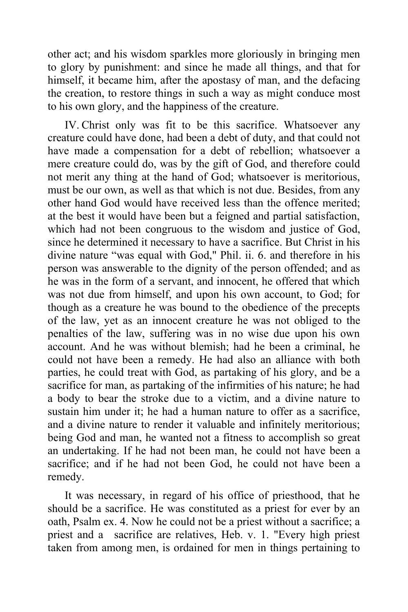other act; and his wisdom sparkles more gloriously in bringing men to glory by punishment: and since he made all things, and that for himself, it became him, after the apostasy of man, and the defacing the creation, to restore things in such a way as might conduce most to his own glory, and the happiness of the creature.

IV. Christ only was fit to be this sacrifice. Whatsoever any creature could have done, had been a debt of duty, and that could not have made a compensation for a debt of rebellion; whatsoever a mere creature could do, was by the gift of God, and therefore could not merit any thing at the hand of God; whatsoever is meritorious, must be our own, as well as that which is not due. Besides, from any other hand God would have received less than the offence merited; at the best it would have been but a feigned and partial satisfaction, which had not been congruous to the wisdom and justice of God, since he determined it necessary to have a sacrifice. But Christ in his divine nature "was equal with God," Phil. ii. 6. and therefore in his person was answerable to the dignity of the person offended; and as he was in the form of a servant, and innocent, he offered that which was not due from himself, and upon his own account, to God; for though as a creature he was bound to the obedience of the precepts of the law, yet as an innocent creature he was not obliged to the penalties of the law, suffering was in no wise due upon his own account. And he was without blemish; had he been a criminal, he could not have been a remedy. He had also an alliance with both parties, he could treat with God, as partaking of his glory, and be a sacrifice for man, as partaking of the infirmities of his nature; he had a body to bear the stroke due to a victim, and a divine nature to sustain him under it; he had a human nature to offer as a sacrifice, and a divine nature to render it valuable and infinitely meritorious; being God and man, he wanted not a fitness to accomplish so great an undertaking. If he had not been man, he could not have been a sacrifice; and if he had not been God, he could not have been a remedy.

It was necessary, in regard of his office of priesthood, that he should be a sacrifice. He was constituted as a priest for ever by an oath, Psalm ex. 4. Now he could not be a priest without a sacrifice; a priest and a sacrifice are relatives, Heb. v. 1. "Every high priest taken from among men, is ordained for men in things pertaining to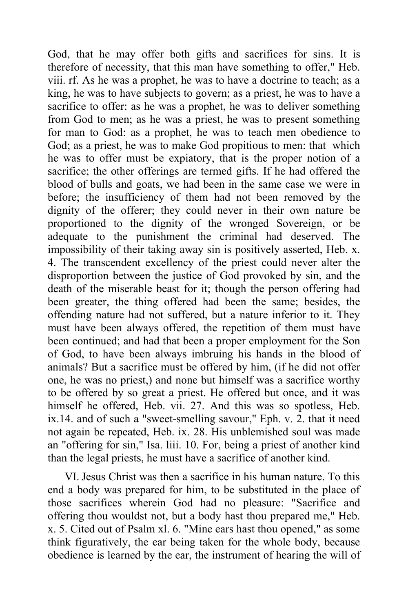God, that he may offer both gifts and sacrifices for sins. It is therefore of necessity, that this man have something to offer," Heb. viii. rf. As he was a prophet, he was to have a doctrine to teach; as a king, he was to have subjects to govern; as a priest, he was to have a sacrifice to offer: as he was a prophet, he was to deliver something from God to men; as he was a priest, he was to present something for man to God: as a prophet, he was to teach men obedience to God; as a priest, he was to make God propitious to men: that which he was to offer must be expiatory, that is the proper notion of a sacrifice; the other offerings are termed gifts. If he had offered the blood of bulls and goats, we had been in the same case we were in before; the insufficiency of them had not been removed by the dignity of the offerer; they could never in their own nature be proportioned to the dignity of the wronged Sovereign, or be adequate to the punishment the criminal had deserved. The impossibility of their taking away sin is positively asserted, Heb. x. 4. The transcendent excellency of the priest could never alter the disproportion between the justice of God provoked by sin, and the death of the miserable beast for it; though the person offering had been greater, the thing offered had been the same; besides, the offending nature had not suffered, but a nature inferior to it. They must have been always offered, the repetition of them must have been continued; and had that been a proper employment for the Son of God, to have been always imbruing his hands in the blood of animals? But a sacrifice must be offered by him, (if he did not offer one, he was no priest,) and none but himself was a sacrifice worthy to be offered by so great a priest. He offered but once, and it was himself he offered, Heb. vii. 27. And this was so spotless, Heb. ix.14. and of such a "sweet-smelling savour," Eph. v. 2. that it need not again be repeated, Heb. ix. 28. His unblemished soul was made an "offering for sin," Isa. liii. 10. For, being a priest of another kind than the legal priests, he must have a sacrifice of another kind.

VI. Jesus Christ was then a sacrifice in his human nature. To this end a body was prepared for him, to be substituted in the place of those sacrifices wherein God had no pleasure: "Sacrifice and offering thou wouldst not, but a body hast thou prepared me," Heb. x. 5. Cited out of Psalm xl. 6. "Mine ears hast thou opened," as some think figuratively, the ear being taken for the whole body, because obedience is learned by the ear, the instrument of hearing the will of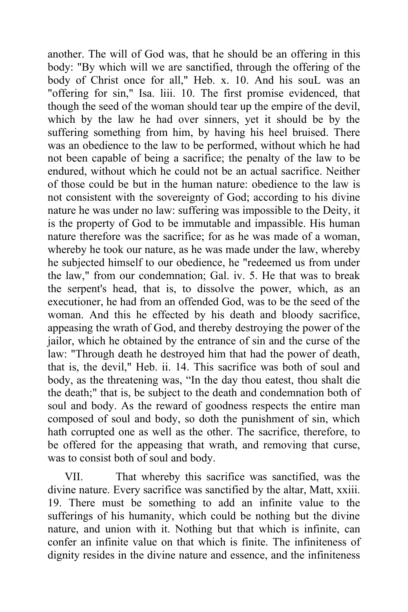another. The will of God was, that he should be an offering in this body: "By which will we are sanctified, through the offering of the body of Christ once for all," Heb. x. 10. And his souL was an "offering for sin," Isa. liii. 10. The first promise evidenced, that though the seed of the woman should tear up the empire of the devil, which by the law he had over sinners, yet it should be by the suffering something from him, by having his heel bruised. There was an obedience to the law to be performed, without which he had not been capable of being a sacrifice; the penalty of the law to be endured, without which he could not be an actual sacrifice. Neither of those could be but in the human nature: obedience to the law is not consistent with the sovereignty of God; according to his divine nature he was under no law: suffering was impossible to the Deity, it is the property of God to be immutable and impassible. His human nature therefore was the sacrifice; for as he was made of a woman, whereby he took our nature, as he was made under the law, whereby he subjected himself to our obedience, he "redeemed us from under the law," from our condemnation; Gal. iv. 5. He that was to break the serpent's head, that is, to dissolve the power, which, as an executioner, he had from an offended God, was to be the seed of the woman. And this he effected by his death and bloody sacrifice, appeasing the wrath of God, and thereby destroying the power of the jailor, which he obtained by the entrance of sin and the curse of the law: "Through death he destroyed him that had the power of death, that is, the devil," Heb. ii. 14. This sacrifice was both of soul and body, as the threatening was, "In the day thou eatest, thou shalt die the death;" that is, be subject to the death and condemnation both of soul and body. As the reward of goodness respects the entire man composed of soul and body, so doth the punishment of sin, which hath corrupted one as well as the other. The sacrifice, therefore, to be offered for the appeasing that wrath, and removing that curse, was to consist both of soul and body.

VII. That whereby this sacrifice was sanctified, was the divine nature. Every sacrifice was sanctified by the altar, Matt, xxiii. 19. There must be something to add an infinite value to the sufferings of his humanity, which could be nothing but the divine nature, and union with it. Nothing but that which is infinite, can confer an infinite value on that which is finite. The infiniteness of dignity resides in the divine nature and essence, and the infiniteness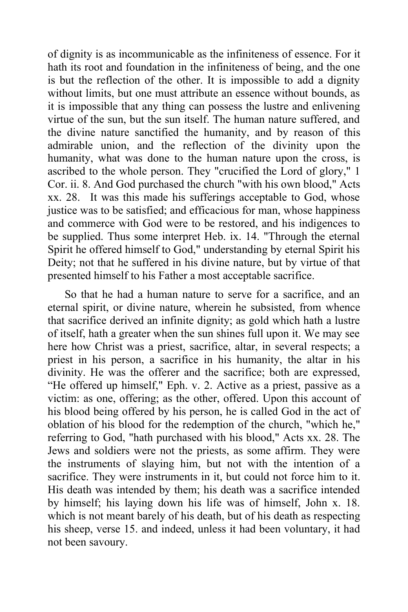of dignity is as incommunicable as the infiniteness of essence. For it hath its root and foundation in the infiniteness of being, and the one is but the reflection of the other. It is impossible to add a dignity without limits, but one must attribute an essence without bounds, as it is impossible that any thing can possess the lustre and enlivening virtue of the sun, but the sun itself. The human nature suffered, and the divine nature sanctified the humanity, and by reason of this admirable union, and the reflection of the divinity upon the humanity, what was done to the human nature upon the cross, is ascribed to the whole person. They "crucified the Lord of glory," 1 Cor. ii. 8. And God purchased the church "with his own blood," Acts xx. 28. It was this made his sufferings acceptable to God, whose justice was to be satisfied; and efficacious for man, whose happiness and commerce with God were to be restored, and his indigences to be supplied. Thus some interpret Heb. ix. 14. "Through the eternal Spirit he offered himself to God," understanding by eternal Spirit his Deity; not that he suffered in his divine nature, but by virtue of that presented himself to his Father a most acceptable sacrifice.

So that he had a human nature to serve for a sacrifice, and an eternal spirit, or divine nature, wherein he subsisted, from whence that sacrifice derived an infinite dignity; as gold which hath a lustre of itself, hath a greater when the sun shines full upon it. We may see here how Christ was a priest, sacrifice, altar, in several respects; a priest in his person, a sacrifice in his humanity, the altar in his divinity. He was the offerer and the sacrifice; both are expressed, "He offered up himself," Eph. v. 2. Active as a priest, passive as a victim: as one, offering; as the other, offered. Upon this account of his blood being offered by his person, he is called God in the act of oblation of his blood for the redemption of the church, "which he," referring to God, "hath purchased with his blood," Acts xx. 28. The Jews and soldiers were not the priests, as some affirm. They were the instruments of slaying him, but not with the intention of a sacrifice. They were instruments in it, but could not force him to it. His death was intended by them; his death was a sacrifice intended by himself; his laying down his life was of himself, John x. 18. which is not meant barely of his death, but of his death as respecting his sheep, verse 15. and indeed, unless it had been voluntary, it had not been savoury.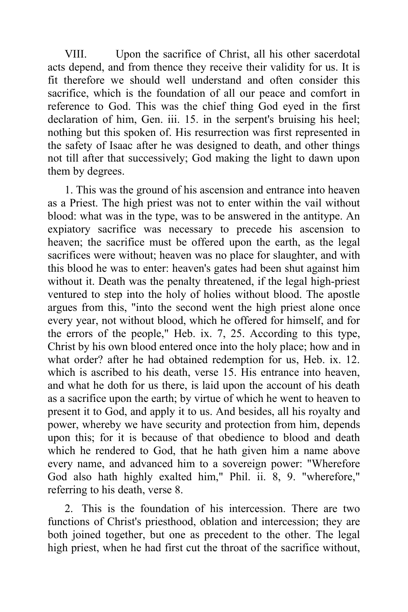VIII. Upon the sacrifice of Christ, all his other sacerdotal acts depend, and from thence they receive their validity for us. It is fit therefore we should well understand and often consider this sacrifice, which is the foundation of all our peace and comfort in reference to God. This was the chief thing God eyed in the first declaration of him, Gen. iii. 15. in the serpent's bruising his heel; nothing but this spoken of. His resurrection was first represented in the safety of Isaac after he was designed to death, and other things not till after that successively; God making the light to dawn upon them by degrees.

1. This was the ground of his ascension and entrance into heaven as a Priest. The high priest was not to enter within the vail without blood: what was in the type, was to be answered in the antitype. An expiatory sacrifice was necessary to precede his ascension to heaven; the sacrifice must be offered upon the earth, as the legal sacrifices were without; heaven was no place for slaughter, and with this blood he was to enter: heaven's gates had been shut against him without it. Death was the penalty threatened, if the legal high-priest ventured to step into the holy of holies without blood. The apostle argues from this, "into the second went the high priest alone once every year, not without blood, which he offered for himself, and for the errors of the people," Heb. ix. 7, 25. According to this type, Christ by his own blood entered once into the holy place; how and in what order? after he had obtained redemption for us, Heb. ix. 12. which is ascribed to his death, verse 15. His entrance into heaven, and what he doth for us there, is laid upon the account of his death as a sacrifice upon the earth; by virtue of which he went to heaven to present it to God, and apply it to us. And besides, all his royalty and power, whereby we have security and protection from him, depends upon this; for it is because of that obedience to blood and death which he rendered to God, that he hath given him a name above every name, and advanced him to a sovereign power: "Wherefore God also hath highly exalted him," Phil. ii. 8, 9. "wherefore," referring to his death, verse 8.

2. This is the foundation of his intercession. There are two functions of Christ's priesthood, oblation and intercession; they are both joined together, but one as precedent to the other. The legal high priest, when he had first cut the throat of the sacrifice without,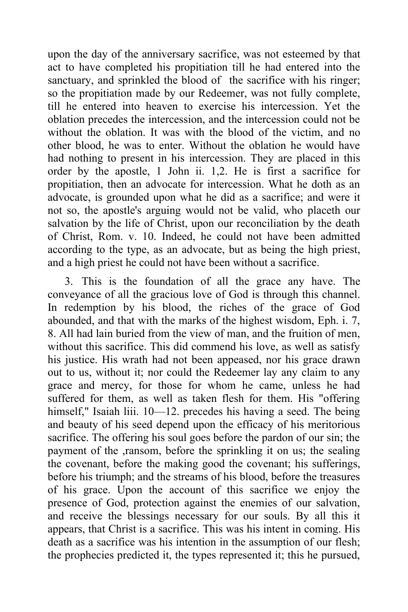upon the day of the anniversary sacrifice, was not esteemed by that act to have completed his propitiation till he had entered into the sanctuary, and sprinkled the blood of the sacrifice with his ringer; so the propitiation made by our Redeemer, was not fully complete, till he entered into heaven to exercise his intercession. Yet the oblation precedes the intercession, and the intercession could not be without the oblation. It was with the blood of the victim, and no other blood, he was to enter. Without the oblation he would have had nothing to present in his intercession. They are placed in this order by the apostle, 1 John ii. 1,2. He is first a sacrifice for propitiation, then an advocate for intercession. What he doth as an advocate, is grounded upon what he did as a sacrifice; and were it not so, the apostle's arguing would not be valid, who placeth our salvation by the life of Christ, upon our reconciliation by the death of Christ, Rom. v. 10. Indeed, he could not have been admitted according to the type, as an advocate, but as being the high priest, and a high priest he could not have been without a sacrifice.

3. This is the foundation of all the grace any have. The conveyance of all the gracious love of God is through this channel. In redemption by his blood, the riches of the grace of God abounded, and that with the marks of the highest wisdom, Eph. i. 7, 8. All had lain buried from the view of man, and the fruition of men, without this sacrifice. This did commend his love, as well as satisfy his justice. His wrath had not been appeased, nor his grace drawn out to us, without it; nor could the Redeemer lay any claim to any grace and mercy, for those for whom he came, unless he had suffered for them, as well as taken flesh for them. His "offering himself," Isaiah liii. 10—12. precedes his having a seed. The being and beauty of his seed depend upon the efficacy of his meritorious sacrifice. The offering his soul goes before the pardon of our sin; the payment of the ,ransom, before the sprinkling it on us; the sealing the covenant, before the making good the covenant; his sufferings, before his triumph; and the streams of his blood, before the treasures of his grace. Upon the account of this sacrifice we enjoy the presence of God, protection against the enemies of our salvation, and receive the blessings necessary for our souls. By all this it appears, that Christ is a sacrifice. This was his intent in coming. His death as a sacrifice was his intention in the assumption of our flesh; the prophecies predicted it, the types represented it; this he pursued,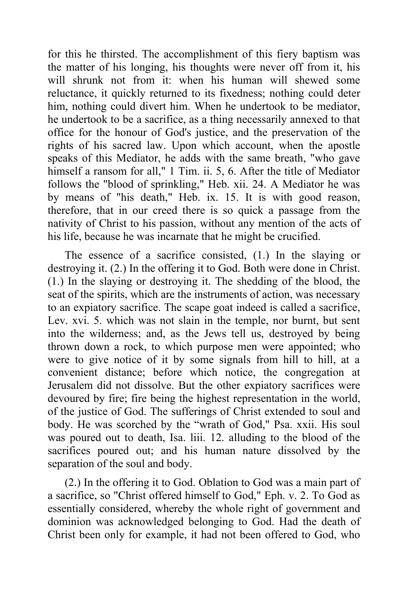for this he thirsted. The accomplishment of this fiery baptism was the matter of his longing, his thoughts were never off from it, his will shrunk not from it: when his human will shewed some reluctance, it quickly returned to its fixedness; nothing could deter him, nothing could divert him. When he undertook to be mediator, he undertook to be a sacrifice, as a thing necessarily annexed to that office for the honour of God's justice, and the preservation of the rights of his sacred law. Upon which account, when the apostle speaks of this Mediator, he adds with the same breath, "who gave himself a ransom for all," 1 Tim. ii. 5, 6. After the title of Mediator follows the "blood of sprinkling," Heb. xii. 24. A Mediator he was by means of "his death," Heb. ix. 15. It is with good reason, therefore, that in our creed there is so quick a passage from the nativity of Christ to his passion, without any mention of the acts of his life, because he was incarnate that he might be crucified.

The essence of a sacrifice consisted, (1.) In the slaying or destroying it. (2.) In the offering it to God. Both were done in Christ. (1.) In the slaying or destroying it. The shedding of the blood, the seat of the spirits, which are the instruments of action, was necessary to an expiatory sacrifice. The scape goat indeed is called a sacrifice, Lev. xvi. 5. which was not slain in the temple, nor burnt, but sent into the wilderness; and, as the Jews tell us, destroyed by being thrown down a rock, to which purpose men were appointed; who were to give notice of it by some signals from hill to hill, at a convenient distance; before which notice, the congregation at Jerusalem did not dissolve. But the other expiatory sacrifices were devoured by fire; fire being the highest representation in the world, of the justice of God. The sufferings of Christ extended to soul and body. He was scorched by the "wrath of God," Psa. xxii. His soul was poured out to death, Isa. liii. 12. alluding to the blood of the sacrifices poured out; and his human nature dissolved by the separation of the soul and body.

(2.) In the offering it to God. Oblation to God was a main part of a sacrifice, so "Christ offered himself to God," Eph. v. 2. To God as essentially considered, whereby the whole right of government and dominion was acknowledged belonging to God. Had the death of Christ been only for example, it had not been offered to God, who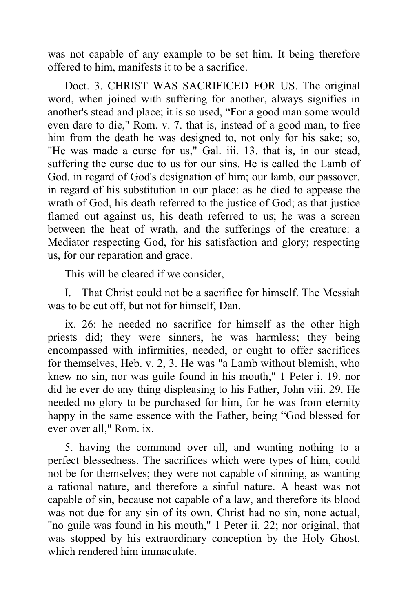was not capable of any example to be set him. It being therefore offered to him, manifests it to be a sacrifice.

Doct. 3. CHRIST WAS SACRIFICED FOR US. The original word, when joined with suffering for another, always signifies in another's stead and place; it is so used, "For a good man some would even dare to die," Rom. v. 7. that is, instead of a good man, to free him from the death he was designed to, not only for his sake; so, "He was made a curse for us," Gal. iii. 13. that is, in our stead, suffering the curse due to us for our sins. He is called the Lamb of God, in regard of God's designation of him; our lamb, our passover, in regard of his substitution in our place: as he died to appease the wrath of God, his death referred to the justice of God; as that justice flamed out against us, his death referred to us; he was a screen between the heat of wrath, and the sufferings of the creature: a Mediator respecting God, for his satisfaction and glory; respecting us, for our reparation and grace.

This will be cleared if we consider,

I. That Christ could not be a sacrifice for himself. The Messiah was to be cut off, but not for himself, Dan.

ix. 26: he needed no sacrifice for himself as the other high priests did; they were sinners, he was harmless; they being encompassed with infirmities, needed, or ought to offer sacrifices for themselves, Heb. v. 2, 3. He was "a Lamb without blemish, who knew no sin, nor was guile found in his mouth," 1 Peter i. 19. nor did he ever do any thing displeasing to his Father, John viii. 29. He needed no glory to be purchased for him, for he was from eternity happy in the same essence with the Father, being "God blessed for ever over all," Rom. ix.

5. having the command over all, and wanting nothing to a perfect blessedness. The sacrifices which were types of him, could not be for themselves; they were not capable of sinning, as wanting a rational nature, and therefore a sinful nature. A beast was not capable of sin, because not capable of a law, and therefore its blood was not due for any sin of its own. Christ had no sin, none actual, "no guile was found in his mouth," 1 Peter ii. 22; nor original, that was stopped by his extraordinary conception by the Holy Ghost, which rendered him immaculate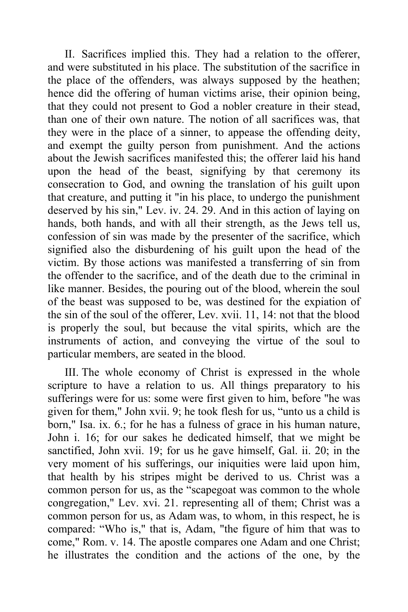II. Sacrifices implied this. They had a relation to the offerer, and were substituted in his place. The substitution of the sacrifice in the place of the offenders, was always supposed by the heathen; hence did the offering of human victims arise, their opinion being, that they could not present to God a nobler creature in their stead, than one of their own nature. The notion of all sacrifices was, that they were in the place of a sinner, to appease the offending deity, and exempt the guilty person from punishment. And the actions about the Jewish sacrifices manifested this; the offerer laid his hand upon the head of the beast, signifying by that ceremony its consecration to God, and owning the translation of his guilt upon that creature, and putting it "in his place, to undergo the punishment deserved by his sin," Lev. iv. 24. 29. And in this action of laying on hands, both hands, and with all their strength, as the Jews tell us, confession of sin was made by the presenter of the sacrifice, which signified also the disburdening of his guilt upon the head of the victim. By those actions was manifested a transferring of sin from the offender to the sacrifice, and of the death due to the criminal in like manner. Besides, the pouring out of the blood, wherein the soul of the beast was supposed to be, was destined for the expiation of the sin of the soul of the offerer, Lev. xvii. 11, 14: not that the blood is properly the soul, but because the vital spirits, which are the instruments of action, and conveying the virtue of the soul to particular members, are seated in the blood.

III. The whole economy of Christ is expressed in the whole scripture to have a relation to us. All things preparatory to his sufferings were for us: some were first given to him, before "he was given for them," John xvii. 9; he took flesh for us, "unto us a child is born," Isa. ix. 6.; for he has a fulness of grace in his human nature, John i. 16; for our sakes he dedicated himself, that we might be sanctified, John xvii. 19; for us he gave himself, Gal. ii. 20; in the very moment of his sufferings, our iniquities were laid upon him, that health by his stripes might be derived to us. Christ was a common person for us, as the "scapegoat was common to the whole congregation," Lev. xvi. 21. representing all of them; Christ was a common person for us, as Adam was, to whom, in this respect, he is compared: "Who is," that is, Adam, "the figure of him that was to come," Rom. v. 14. The apostle compares one Adam and one Christ; he illustrates the condition and the actions of the one, by the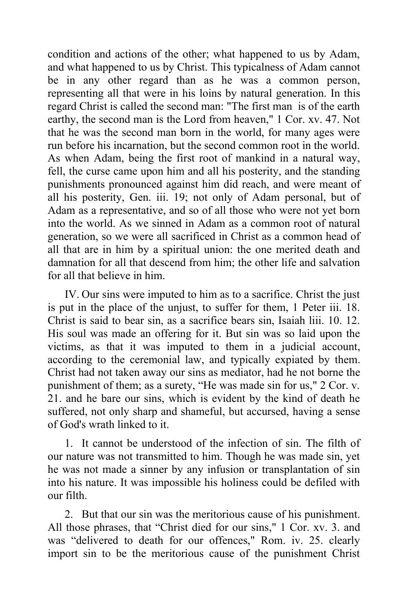condition and actions of the other; what happened to us by Adam, and what happened to us by Christ. This typicalness of Adam cannot be in any other regard than as he was a common person, representing all that were in his loins by natural generation. In this regard Christ is called the second man: "The first man is of the earth earthy, the second man is the Lord from heaven," 1 Cor. xv. 47. Not that he was the second man born in the world, for many ages were run before his incarnation, but the second common root in the world. As when Adam, being the first root of mankind in a natural way, fell, the curse came upon him and all his posterity, and the standing punishments pronounced against him did reach, and were meant of all his posterity, Gen. iii. 19; not only of Adam personal, but of Adam as a representative, and so of all those who were not yet born into the world. As we sinned in Adam as a common root of natural generation, so we were all sacrificed in Christ as a common head of all that are in him by a spiritual union: the one merited death and damnation for all that descend from him; the other life and salvation for all that believe in him.

IV. Our sins were imputed to him as to a sacrifice. Christ the just is put in the place of the unjust, to suffer for them, 1 Peter iii. 18. Christ is said to bear sin, as a sacrifice bears sin, Isaiah liii. 10. 12. His soul was made an offering for it. But sin was so laid upon the victims, as that it was imputed to them in a judicial account, according to the ceremonial law, and typically expiated by them. Christ had not taken away our sins as mediator, had he not borne the punishment of them; as a surety, "He was made sin for us," 2 Cor. v. 21. and he bare our sins, which is evident by the kind of death he suffered, not only sharp and shameful, but accursed, having a sense of God's wrath linked to it.

1. It cannot be understood of the infection of sin. The filth of our nature was not transmitted to him. Though he was made sin, yet he was not made a sinner by any infusion or transplantation of sin into his nature. It was impossible his holiness could be defiled with our filth.

2. But that our sin was the meritorious cause of his punishment. All those phrases, that "Christ died for our sins," 1 Cor. xv. 3. and was "delivered to death for our offences," Rom. iv. 25. clearly import sin to be the meritorious cause of the punishment Christ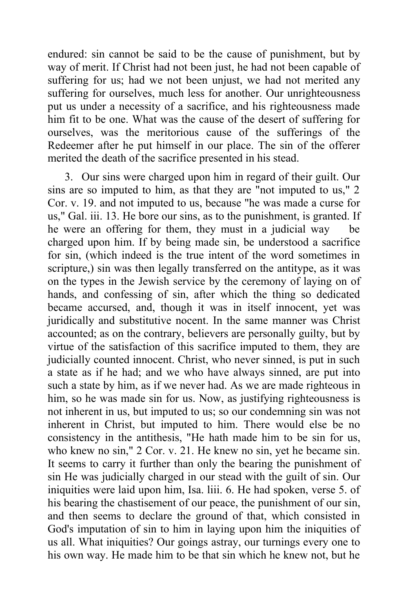endured: sin cannot be said to be the cause of punishment, but by way of merit. If Christ had not been just, he had not been capable of suffering for us; had we not been unjust, we had not merited any suffering for ourselves, much less for another. Our unrighteousness put us under a necessity of a sacrifice, and his righteousness made him fit to be one. What was the cause of the desert of suffering for ourselves, was the meritorious cause of the sufferings of the Redeemer after he put himself in our place. The sin of the offerer merited the death of the sacrifice presented in his stead.

3. Our sins were charged upon him in regard of their guilt. Our sins are so imputed to him, as that they are "not imputed to us," 2 Cor. v. 19. and not imputed to us, because "he was made a curse for us," Gal. iii. 13. He bore our sins, as to the punishment, is granted. If he were an offering for them, they must in a judicial way be charged upon him. If by being made sin, be understood a sacrifice for sin, (which indeed is the true intent of the word sometimes in scripture,) sin was then legally transferred on the antitype, as it was on the types in the Jewish service by the ceremony of laying on of hands, and confessing of sin, after which the thing so dedicated became accursed, and, though it was in itself innocent, yet was juridically and substitutive nocent. In the same manner was Christ accounted; as on the contrary, believers are personally guilty, but by virtue of the satisfaction of this sacrifice imputed to them, they are judicially counted innocent. Christ, who never sinned, is put in such a state as if he had; and we who have always sinned, are put into such a state by him, as if we never had. As we are made righteous in him, so he was made sin for us. Now, as justifying righteousness is not inherent in us, but imputed to us; so our condemning sin was not inherent in Christ, but imputed to him. There would else be no consistency in the antithesis, "He hath made him to be sin for us, who knew no sin," 2 Cor. v. 21. He knew no sin, yet he became sin. It seems to carry it further than only the bearing the punishment of sin He was judicially charged in our stead with the guilt of sin. Our iniquities were laid upon him, Isa. liii. 6. He had spoken, verse 5. of his bearing the chastisement of our peace, the punishment of our sin, and then seems to declare the ground of that, which consisted in God's imputation of sin to him in laying upon him the iniquities of us all. What iniquities? Our goings astray, our turnings every one to his own way. He made him to be that sin which he knew not, but he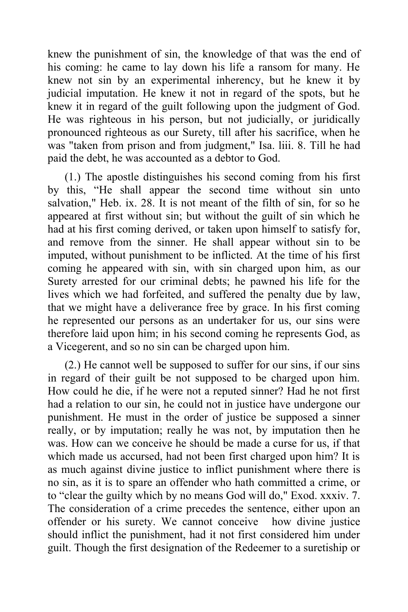knew the punishment of sin, the knowledge of that was the end of his coming: he came to lay down his life a ransom for many. He knew not sin by an experimental inherency, but he knew it by judicial imputation. He knew it not in regard of the spots, but he knew it in regard of the guilt following upon the judgment of God. He was righteous in his person, but not judicially, or juridically pronounced righteous as our Surety, till after his sacrifice, when he was "taken from prison and from judgment," Isa. liii. 8. Till he had paid the debt, he was accounted as a debtor to God.

(1.) The apostle distinguishes his second coming from his first by this, "He shall appear the second time without sin unto salvation," Heb. ix. 28. It is not meant of the filth of sin, for so he appeared at first without sin; but without the guilt of sin which he had at his first coming derived, or taken upon himself to satisfy for, and remove from the sinner. He shall appear without sin to be imputed, without punishment to be inflicted. At the time of his first coming he appeared with sin, with sin charged upon him, as our Surety arrested for our criminal debts; he pawned his life for the lives which we had forfeited, and suffered the penalty due by law, that we might have a deliverance free by grace. In his first coming he represented our persons as an undertaker for us, our sins were therefore laid upon him; in his second coming he represents God, as a Vicegerent, and so no sin can be charged upon him.

(2.) He cannot well be supposed to suffer for our sins, if our sins in regard of their guilt be not supposed to be charged upon him. How could he die, if he were not a reputed sinner? Had he not first had a relation to our sin, he could not in justice have undergone our punishment. He must in the order of justice be supposed a sinner really, or by imputation; really he was not, by imputation then he was. How can we conceive he should be made a curse for us, if that which made us accursed, had not been first charged upon him? It is as much against divine justice to inflict punishment where there is no sin, as it is to spare an offender who hath committed a crime, or to "clear the guilty which by no means God will do," Exod. xxxiv. 7. The consideration of a crime precedes the sentence, either upon an offender or his surety. We cannot conceive how divine justice should inflict the punishment, had it not first considered him under guilt. Though the first designation of the Redeemer to a suretiship or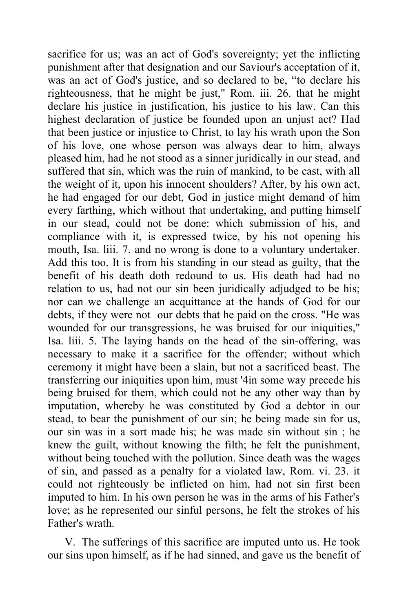sacrifice for us; was an act of God's sovereignty; yet the inflicting punishment after that designation and our Saviour's acceptation of it, was an act of God's justice, and so declared to be, "to declare his righteousness, that he might be just," Rom. iii. 26. that he might declare his justice in justification, his justice to his law. Can this highest declaration of justice be founded upon an unjust act? Had that been justice or injustice to Christ, to lay his wrath upon the Son of his love, one whose person was always dear to him, always pleased him, had he not stood as a sinner juridically in our stead, and suffered that sin, which was the ruin of mankind, to be cast, with all the weight of it, upon his innocent shoulders? After, by his own act, he had engaged for our debt, God in justice might demand of him every farthing, which without that undertaking, and putting himself in our stead, could not be done: which submission of his, and compliance with it, is expressed twice, by his not opening his mouth, Isa. liii. 7. and no wrong is done to a voluntary undertaker. Add this too. It is from his standing in our stead as guilty, that the benefit of his death doth redound to us. His death had had no relation to us, had not our sin been juridically adjudged to be his; nor can we challenge an acquittance at the hands of God for our debts, if they were not our debts that he paid on the cross. "He was wounded for our transgressions, he was bruised for our iniquities," Isa. liii. 5. The laying hands on the head of the sin-offering, was necessary to make it a sacrifice for the offender; without which ceremony it might have been a slain, but not a sacrificed beast. The transferring our iniquities upon him, must '4in some way precede his being bruised for them, which could not be any other way than by imputation, whereby he was constituted by God a debtor in our stead, to bear the punishment of our sin; he being made sin for us, our sin was in a sort made his; he was made sin without sin ; he knew the guilt, without knowing the filth; he felt the punishment, without being touched with the pollution. Since death was the wages of sin, and passed as a penalty for a violated law, Rom. vi. 23. it could not righteously be inflicted on him, had not sin first been imputed to him. In his own person he was in the arms of his Father's love; as he represented our sinful persons, he felt the strokes of his Father's wrath.

V. The sufferings of this sacrifice are imputed unto us. He took our sins upon himself, as if he had sinned, and gave us the benefit of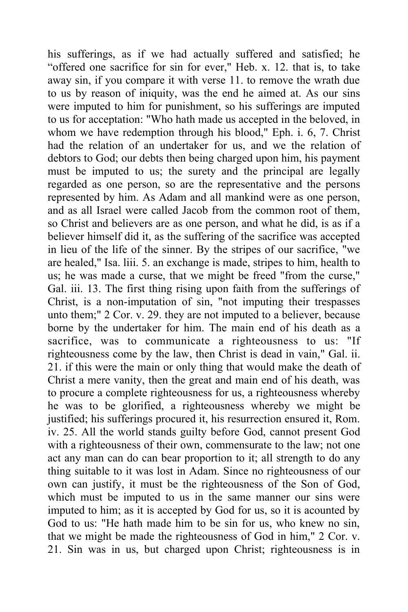his sufferings, as if we had actually suffered and satisfied; he "offered one sacrifice for sin for ever," Heb. x. 12. that is, to take away sin, if you compare it with verse 11. to remove the wrath due to us by reason of iniquity, was the end he aimed at. As our sins were imputed to him for punishment, so his sufferings are imputed to us for acceptation: "Who hath made us accepted in the beloved, in whom we have redemption through his blood," Eph. i. 6, 7. Christ had the relation of an undertaker for us, and we the relation of debtors to God; our debts then being charged upon him, his payment must be imputed to us; the surety and the principal are legally regarded as one person, so are the representative and the persons represented by him. As Adam and all mankind were as one person, and as all Israel were called Jacob from the common root of them, so Christ and believers are as one person, and what he did, is as if a believer himself did it, as the suffering of the sacrifice was accepted in lieu of the life of the sinner. By the stripes of our sacrifice, "we are healed," Isa. liii. 5. an exchange is made, stripes to him, health to us; he was made a curse, that we might be freed "from the curse," Gal. iii. 13. The first thing rising upon faith from the sufferings of Christ, is a non-imputation of sin, "not imputing their trespasses unto them;" 2 Cor. v. 29. they are not imputed to a believer, because borne by the undertaker for him. The main end of his death as a sacrifice, was to communicate a righteousness to us: "If righteousness come by the law, then Christ is dead in vain," Gal. ii. 21. if this were the main or only thing that would make the death of Christ a mere vanity, then the great and main end of his death, was to procure a complete righteousness for us, a righteousness whereby he was to be glorified, a righteousness whereby we might be justified; his sufferings procured it, his resurrection ensured it, Rom. iv. 25. All the world stands guilty before God, cannot present God with a righteousness of their own, commensurate to the law; not one act any man can do can bear proportion to it; all strength to do any thing suitable to it was lost in Adam. Since no righteousness of our own can justify, it must be the righteousness of the Son of God, which must be imputed to us in the same manner our sins were imputed to him; as it is accepted by God for us, so it is acounted by God to us: "He hath made him to be sin for us, who knew no sin, that we might be made the righteousness of God in him," 2 Cor. v. 21. Sin was in us, but charged upon Christ; righteousness is in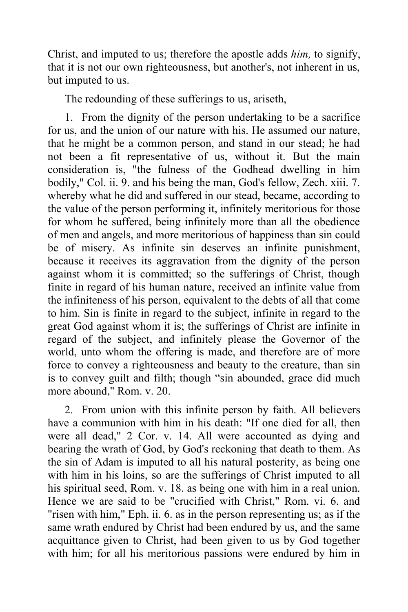Christ, and imputed to us; therefore the apostle adds *him,* to signify, that it is not our own righteousness, but another's, not inherent in us, but imputed to us.

The redounding of these sufferings to us, ariseth,

1. From the dignity of the person undertaking to be a sacrifice for us, and the union of our nature with his. He assumed our nature, that he might be a common person, and stand in our stead; he had not been a fit representative of us, without it. But the main consideration is, "the fulness of the Godhead dwelling in him bodily," Col. ii. 9. and his being the man, God's fellow, Zech. xiii. 7. whereby what he did and suffered in our stead, became, according to the value of the person performing it, infinitely meritorious for those for whom he suffered, being infinitely more than all the obedience of men and angels, and more meritorious of happiness than sin could be of misery. As infinite sin deserves an infinite punishment, because it receives its aggravation from the dignity of the person against whom it is committed; so the sufferings of Christ, though finite in regard of his human nature, received an infinite value from the infiniteness of his person, equivalent to the debts of all that come to him. Sin is finite in regard to the subject, infinite in regard to the great God against whom it is; the sufferings of Christ are infinite in regard of the subject, and infinitely please the Governor of the world, unto whom the offering is made, and therefore are of more force to convey a righteousness and beauty to the creature, than sin is to convey guilt and filth; though "sin abounded, grace did much more abound," Rom. v. 20.

2. From union with this infinite person by faith. All believers have a communion with him in his death: "If one died for all, then were all dead," 2 Cor. v. 14. All were accounted as dying and bearing the wrath of God, by God's reckoning that death to them. As the sin of Adam is imputed to all his natural posterity, as being one with him in his loins, so are the sufferings of Christ imputed to all his spiritual seed, Rom. v. 18. as being one with him in a real union. Hence we are said to be "crucified with Christ," Rom. vi. 6. and "risen with him," Eph. ii. 6. as in the person representing us; as if the same wrath endured by Christ had been endured by us, and the same acquittance given to Christ, had been given to us by God together with him; for all his meritorious passions were endured by him in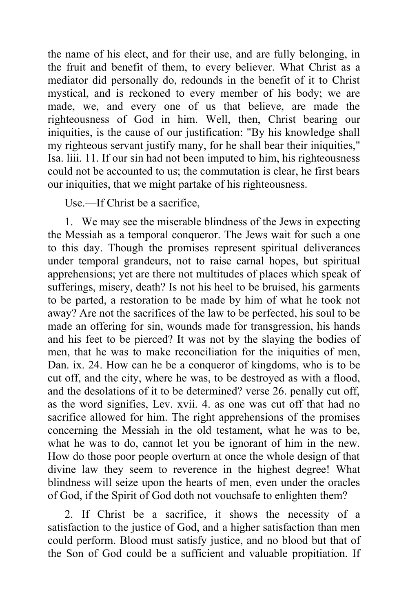the name of his elect, and for their use, and are fully belonging, in the fruit and benefit of them, to every believer. What Christ as a mediator did personally do, redounds in the benefit of it to Christ mystical, and is reckoned to every member of his body; we are made, we, and every one of us that believe, are made the righteousness of God in him. Well, then, Christ bearing our iniquities, is the cause of our justification: "By his knowledge shall my righteous servant justify many, for he shall bear their iniquities," Isa. liii. 11. If our sin had not been imputed to him, his righteousness could not be accounted to us; the commutation is clear, he first bears our iniquities, that we might partake of his righteousness.

Use.—If Christ be a sacrifice,

1. We may see the miserable blindness of the Jews in expecting the Messiah as a temporal conqueror. The Jews wait for such a one to this day. Though the promises represent spiritual deliverances under temporal grandeurs, not to raise carnal hopes, but spiritual apprehensions; yet are there not multitudes of places which speak of sufferings, misery, death? Is not his heel to be bruised, his garments to be parted, a restoration to be made by him of what he took not away? Are not the sacrifices of the law to be perfected, his soul to be made an offering for sin, wounds made for transgression, his hands and his feet to be pierced? It was not by the slaying the bodies of men, that he was to make reconciliation for the iniquities of men, Dan. ix. 24. How can he be a conqueror of kingdoms, who is to be cut off, and the city, where he was, to be destroyed as with a flood, and the desolations of it to be determined? verse 26. penally cut off, as the word signifies, Lev. xvii. 4. as one was cut off that had no sacrifice allowed for him. The right apprehensions of the promises concerning the Messiah in the old testament, what he was to be, what he was to do, cannot let you be ignorant of him in the new. How do those poor people overturn at once the whole design of that divine law they seem to reverence in the highest degree! What blindness will seize upon the hearts of men, even under the oracles of God, if the Spirit of God doth not vouchsafe to enlighten them?

2. If Christ be a sacrifice, it shows the necessity of a satisfaction to the justice of God, and a higher satisfaction than men could perform. Blood must satisfy justice, and no blood but that of the Son of God could be a sufficient and valuable propitiation. If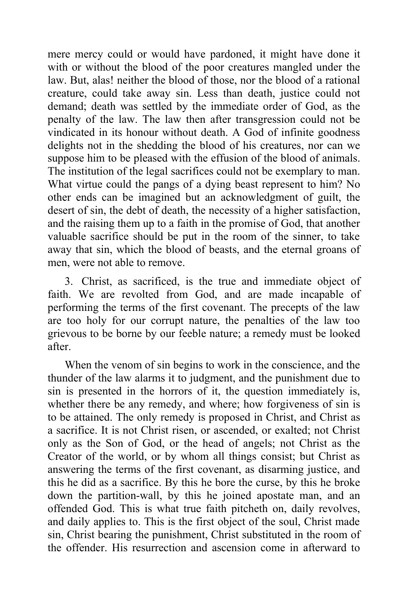mere mercy could or would have pardoned, it might have done it with or without the blood of the poor creatures mangled under the law. But, alas! neither the blood of those, nor the blood of a rational creature, could take away sin. Less than death, justice could not demand; death was settled by the immediate order of God, as the penalty of the law. The law then after transgression could not be vindicated in its honour without death. A God of infinite goodness delights not in the shedding the blood of his creatures, nor can we suppose him to be pleased with the effusion of the blood of animals. The institution of the legal sacrifices could not be exemplary to man. What virtue could the pangs of a dying beast represent to him? No other ends can be imagined but an acknowledgment of guilt, the desert of sin, the debt of death, the necessity of a higher satisfaction, and the raising them up to a faith in the promise of God, that another valuable sacrifice should be put in the room of the sinner, to take away that sin, which the blood of beasts, and the eternal groans of men, were not able to remove.

3. Christ, as sacrificed, is the true and immediate object of faith. We are revolted from God, and are made incapable of performing the terms of the first covenant. The precepts of the law are too holy for our corrupt nature, the penalties of the law too grievous to be borne by our feeble nature; a remedy must be looked after.

When the venom of sin begins to work in the conscience, and the thunder of the law alarms it to judgment, and the punishment due to sin is presented in the horrors of it, the question immediately is, whether there be any remedy, and where; how forgiveness of sin is to be attained. The only remedy is proposed in Christ, and Christ as a sacrifice. It is not Christ risen, or ascended, or exalted; not Christ only as the Son of God, or the head of angels; not Christ as the Creator of the world, or by whom all things consist; but Christ as answering the terms of the first covenant, as disarming justice, and this he did as a sacrifice. By this he bore the curse, by this he broke down the partition-wall, by this he joined apostate man, and an offended God. This is what true faith pitcheth on, daily revolves, and daily applies to. This is the first object of the soul, Christ made sin, Christ bearing the punishment, Christ substituted in the room of the offender. His resurrection and ascension come in afterward to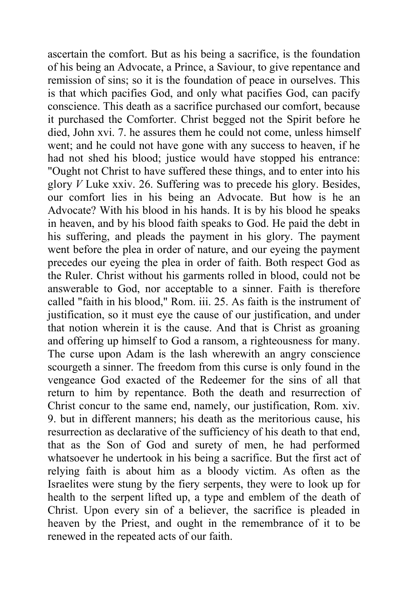ascertain the comfort. But as his being a sacrifice, is the foundation of his being an Advocate, a Prince, a Saviour, to give repentance and remission of sins; so it is the foundation of peace in ourselves. This is that which pacifies God, and only what pacifies God, can pacify conscience. This death as a sacrifice purchased our comfort, because it purchased the Comforter. Christ begged not the Spirit before he died, John xvi. 7. he assures them he could not come, unless himself went; and he could not have gone with any success to heaven, if he had not shed his blood; justice would have stopped his entrance: "Ought not Christ to have suffered these things, and to enter into his glory *V* Luke xxiv. 26. Suffering was to precede his glory. Besides, our comfort lies in his being an Advocate. But how is he an Advocate? With his blood in his hands. It is by his blood he speaks in heaven, and by his blood faith speaks to God. He paid the debt in his suffering, and pleads the payment in his glory. The payment went before the plea in order of nature, and our eyeing the payment precedes our eyeing the plea in order of faith. Both respect God as the Ruler. Christ without his garments rolled in blood, could not be answerable to God, nor acceptable to a sinner. Faith is therefore called "faith in his blood," Rom. iii. 25. As faith is the instrument of justification, so it must eye the cause of our justification, and under that notion wherein it is the cause. And that is Christ as groaning and offering up himself to God a ransom, a righteousness for many. The curse upon Adam is the lash wherewith an angry conscience scourgeth a sinner. The freedom from this curse is only found in the vengeance God exacted of the Redeemer for the sins of all that return to him by repentance. Both the death and resurrection of Christ concur to the same end, namely, our justification, Rom. xiv. 9. but in different manners; his death as the meritorious cause, his resurrection as declarative of the sufficiency of his death to that end, that as the Son of God and surety of men, he had performed whatsoever he undertook in his being a sacrifice. But the first act of relying faith is about him as a bloody victim. As often as the Israelites were stung by the fiery serpents, they were to look up for health to the serpent lifted up, a type and emblem of the death of Christ. Upon every sin of a believer, the sacrifice is pleaded in heaven by the Priest, and ought in the remembrance of it to be renewed in the repeated acts of our faith.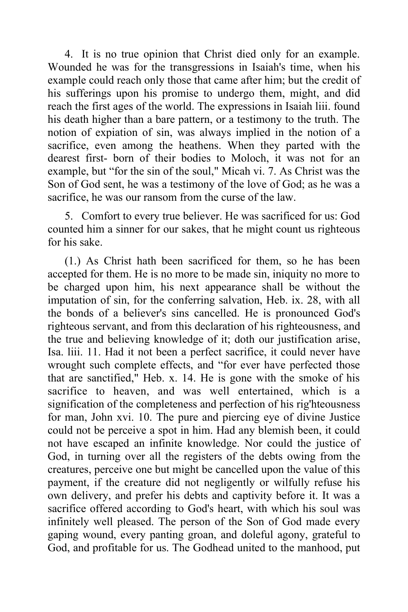4. It is no true opinion that Christ died only for an example. Wounded he was for the transgressions in Isaiah's time, when his example could reach only those that came after him; but the credit of his sufferings upon his promise to undergo them, might, and did reach the first ages of the world. The expressions in Isaiah liii. found his death higher than a bare pattern, or a testimony to the truth. The notion of expiation of sin, was always implied in the notion of a sacrifice, even among the heathens. When they parted with the dearest first- born of their bodies to Moloch, it was not for an example, but "for the sin of the soul," Micah vi. 7. As Christ was the Son of God sent, he was a testimony of the love of God; as he was a sacrifice, he was our ransom from the curse of the law.

5. Comfort to every true believer. He was sacrificed for us: God counted him a sinner for our sakes, that he might count us righteous for his sake.

(1.) As Christ hath been sacrificed for them, so he has been accepted for them. He is no more to be made sin, iniquity no more to be charged upon him, his next appearance shall be without the imputation of sin, for the conferring salvation, Heb. ix. 28, with all the bonds of a believer's sins cancelled. He is pronounced God's righteous servant, and from this declaration of his righteousness, and the true and believing knowledge of it; doth our justification arise, Isa. liii. 11. Had it not been a perfect sacrifice, it could never have wrought such complete effects, and "for ever have perfected those that are sanctified," Heb. x. 14. He is gone with the smoke of his sacrifice to heaven, and was well entertained, which is a signification of the completeness and perfection of his rig'hteousness for man, John xvi. 10. The pure and piercing eye of divine Justice could not be perceive a spot in him. Had any blemish been, it could not have escaped an infinite knowledge. Nor could the justice of God, in turning over all the registers of the debts owing from the creatures, perceive one but might be cancelled upon the value of this payment, if the creature did not negligently or wilfully refuse his own delivery, and prefer his debts and captivity before it. It was a sacrifice offered according to God's heart, with which his soul was infinitely well pleased. The person of the Son of God made every gaping wound, every panting groan, and doleful agony, grateful to God, and profitable for us. The Godhead united to the manhood, put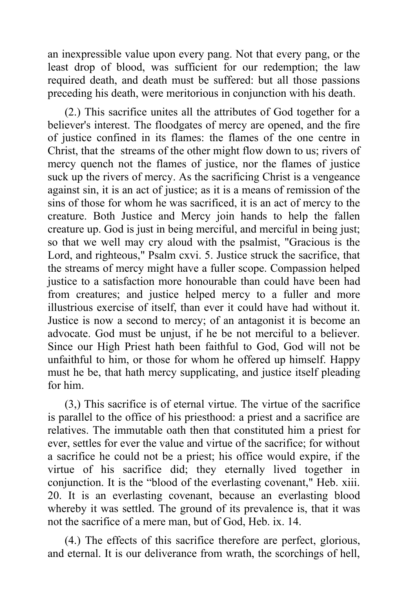an inexpressible value upon every pang. Not that every pang, or the least drop of blood, was sufficient for our redemption; the law required death, and death must be suffered: but all those passions preceding his death, were meritorious in conjunction with his death.

(2.) This sacrifice unites all the attributes of God together for a believer's interest. The floodgates of mercy are opened, and the fire of justice confined in its flames: the flames of the one centre in Christ, that the streams of the other might flow down to us; rivers of mercy quench not the flames of justice, nor the flames of justice suck up the rivers of mercy. As the sacrificing Christ is a vengeance against sin, it is an act of justice; as it is a means of remission of the sins of those for whom he was sacrificed, it is an act of mercy to the creature. Both Justice and Mercy join hands to help the fallen creature up. God is just in being merciful, and merciful in being just; so that we well may cry aloud with the psalmist, "Gracious is the Lord, and righteous," Psalm cxvi. 5. Justice struck the sacrifice, that the streams of mercy might have a fuller scope. Compassion helped justice to a satisfaction more honourable than could have been had from creatures; and justice helped mercy to a fuller and more illustrious exercise of itself, than ever it could have had without it. Justice is now a second to mercy; of an antagonist it is become an advocate. God must be unjust, if he be not merciful to a believer. Since our High Priest hath been faithful to God, God will not be unfaithful to him, or those for whom he offered up himself. Happy must he be, that hath mercy supplicating, and justice itself pleading for him.

(3,) This sacrifice is of eternal virtue. The virtue of the sacrifice is parallel to the office of his priesthood: a priest and a sacrifice are relatives. The immutable oath then that constituted him a priest for ever, settles for ever the value and virtue of the sacrifice; for without a sacrifice he could not be a priest; his office would expire, if the virtue of his sacrifice did; they eternally lived together in conjunction. It is the "blood of the everlasting covenant," Heb. xiii. 20. It is an everlasting covenant, because an everlasting blood whereby it was settled. The ground of its prevalence is, that it was not the sacrifice of a mere man, but of God, Heb. ix. 14.

(4.) The effects of this sacrifice therefore are perfect, glorious, and eternal. It is our deliverance from wrath, the scorchings of hell,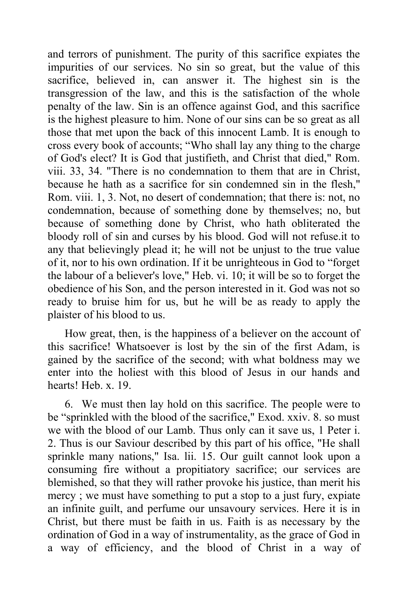and terrors of punishment. The purity of this sacrifice expiates the impurities of our services. No sin so great, but the value of this sacrifice, believed in, can answer it. The highest sin is the transgression of the law, and this is the satisfaction of the whole penalty of the law. Sin is an offence against God, and this sacrifice is the highest pleasure to him. None of our sins can be so great as all those that met upon the back of this innocent Lamb. It is enough to cross every book of accounts; "Who shall lay any thing to the charge of God's elect? It is God that justifieth, and Christ that died," Rom. viii. 33, 34. "There is no condemnation to them that are in Christ, because he hath as a sacrifice for sin condemned sin in the flesh," Rom. viii. 1, 3. Not, no desert of condemnation; that there is: not, no condemnation, because of something done by themselves; no, but because of something done by Christ, who hath obliterated the bloody roll of sin and curses by his blood. God will not refuse.it to any that believingly plead it; he will not be unjust to the true value of it, nor to his own ordination. If it be unrighteous in God to "forget the labour of a believer's love," Heb. vi. 10; it will be so to forget the obedience of his Son, and the person interested in it. God was not so ready to bruise him for us, but he will be as ready to apply the plaister of his blood to us.

How great, then, is the happiness of a believer on the account of this sacrifice! Whatsoever is lost by the sin of the first Adam, is gained by the sacrifice of the second; with what boldness may we enter into the holiest with this blood of Jesus in our hands and hearts! Heb. x. 19.

6. We must then lay hold on this sacrifice. The people were to be "sprinkled with the blood of the sacrifice," Exod. xxiv. 8. so must we with the blood of our Lamb. Thus only can it save us, 1 Peter i. 2. Thus is our Saviour described by this part of his office, "He shall sprinkle many nations," Isa. lii. 15. Our guilt cannot look upon a consuming fire without a propitiatory sacrifice; our services are blemished, so that they will rather provoke his justice, than merit his mercy ; we must have something to put a stop to a just fury, expiate an infinite guilt, and perfume our unsavoury services. Here it is in Christ, but there must be faith in us. Faith is as necessary by the ordination of God in a way of instrumentality, as the grace of God in a way of efficiency, and the blood of Christ in a way of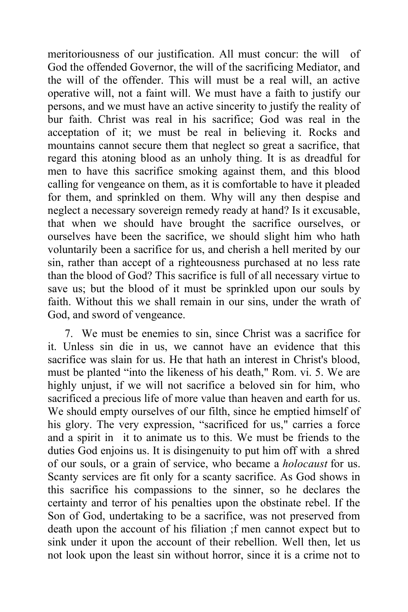meritoriousness of our justification. All must concur: the will of God the offended Governor, the will of the sacrificing Mediator, and the will of the offender. This will must be a real will, an active operative will, not a faint will. We must have a faith to justify our persons, and we must have an active sincerity to justify the reality of bur faith. Christ was real in his sacrifice; God was real in the acceptation of it; we must be real in believing it. Rocks and mountains cannot secure them that neglect so great a sacrifice, that regard this atoning blood as an unholy thing. It is as dreadful for men to have this sacrifice smoking against them, and this blood calling for vengeance on them, as it is comfortable to have it pleaded for them, and sprinkled on them. Why will any then despise and neglect a necessary sovereign remedy ready at hand? Is it excusable, that when we should have brought the sacrifice ourselves, or ourselves have been the sacrifice, we should slight him who hath voluntarily been a sacrifice for us, and cherish a hell merited by our sin, rather than accept of a righteousness purchased at no less rate than the blood of God? This sacrifice is full of all necessary virtue to save us; but the blood of it must be sprinkled upon our souls by faith. Without this we shall remain in our sins, under the wrath of God, and sword of vengeance.

7. We must be enemies to sin, since Christ was a sacrifice for it. Unless sin die in us, we cannot have an evidence that this sacrifice was slain for us. He that hath an interest in Christ's blood, must be planted "into the likeness of his death," Rom. vi. 5. We are highly unjust, if we will not sacrifice a beloved sin for him, who sacrificed a precious life of more value than heaven and earth for us. We should empty ourselves of our filth, since he emptied himself of his glory. The very expression, "sacrificed for us," carries a force and a spirit in it to animate us to this. We must be friends to the duties God enjoins us. It is disingenuity to put him off with a shred of our souls, or a grain of service, who became a *holocaust* for us. Scanty services are fit only for a scanty sacrifice. As God shows in this sacrifice his compassions to the sinner, so he declares the certainty and terror of his penalties upon the obstinate rebel. If the Son of God, undertaking to be a sacrifice, was not preserved from death upon the account of his filiation ;f men cannot expect but to sink under it upon the account of their rebellion. Well then, let us not look upon the least sin without horror, since it is a crime not to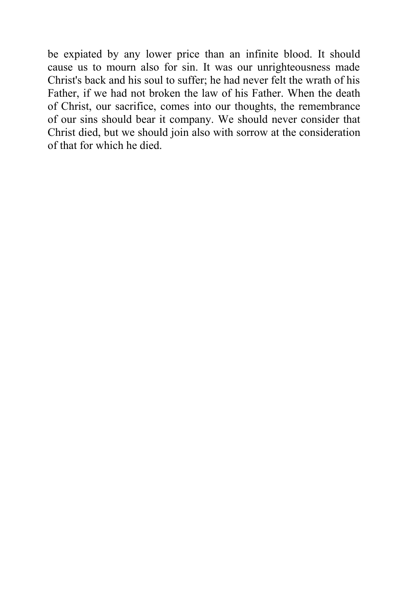be expiated by any lower price than an infinite blood. It should cause us to mourn also for sin. It was our unrighteousness made Christ's back and his soul to suffer; he had never felt the wrath of his Father, if we had not broken the law of his Father. When the death of Christ, our sacrifice, comes into our thoughts, the remembrance of our sins should bear it company. We should never consider that Christ died, but we should join also with sorrow at the consideration of that for which he died.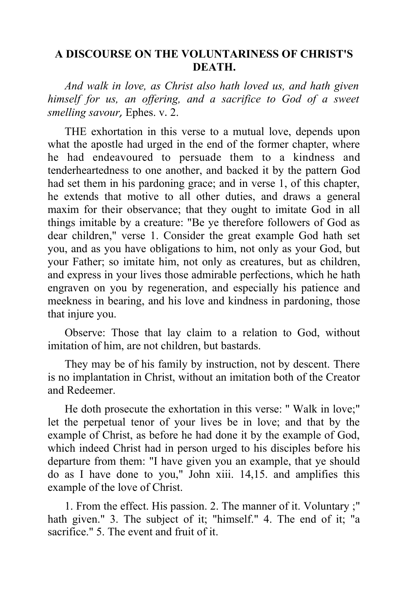## **A DISCOURSE ON THE VOLUNTARINESS OF CHRIST'S DEATH.**

*And walk in love, as Christ also hath loved us, and hath given himself for us, an offering, and a sacrifice to God of a sweet smelling savour,* Ephes. v. 2.

THE exhortation in this verse to a mutual love, depends upon what the apostle had urged in the end of the former chapter, where he had endeavoured to persuade them to a kindness and tenderheartedness to one another, and backed it by the pattern God had set them in his pardoning grace; and in verse 1, of this chapter, he extends that motive to all other duties, and draws a general maxim for their observance; that they ought to imitate God in all things imitable by a creature: "Be ye therefore followers of God as dear children," verse 1. Consider the great example God hath set you, and as you have obligations to him, not only as your God, but your Father; so imitate him, not only as creatures, but as children, and express in your lives those admirable perfections, which he hath engraven on you by regeneration, and especially his patience and meekness in bearing, and his love and kindness in pardoning, those that injure you.

Observe: Those that lay claim to a relation to God, without imitation of him, are not children, but bastards.

They may be of his family by instruction, not by descent. There is no implantation in Christ, without an imitation both of the Creator and Redeemer.

He doth prosecute the exhortation in this verse: '' Walk in love;" let the perpetual tenor of your lives be in love; and that by the example of Christ, as before he had done it by the example of God, which indeed Christ had in person urged to his disciples before his departure from them: "I have given you an example, that ye should do as I have done to you," John xiii. 14,15. and amplifies this example of the love of Christ.

1. From the effect. His passion. 2. The manner of it. Voluntary ;" hath given." 3. The subject of it; "himself." 4. The end of it; "a sacrifice." 5. The event and fruit of it.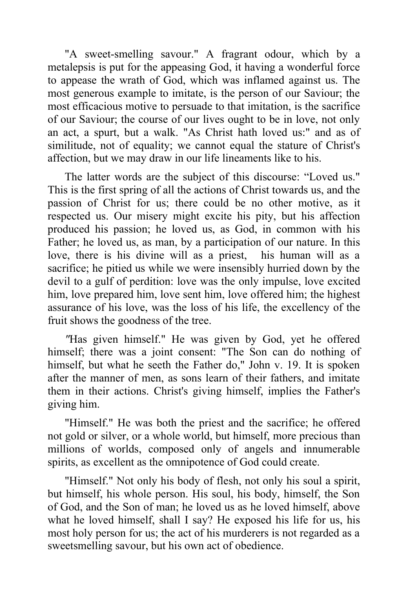"A sweet-smelling savour." A fragrant odour, which by a metalepsis is put for the appeasing God, it having a wonderful force to appease the wrath of God, which was inflamed against us. The most generous example to imitate, is the person of our Saviour; the most efficacious motive to persuade to that imitation, is the sacrifice of our Saviour; the course of our lives ought to be in love, not only an act, a spurt, but a walk. "As Christ hath loved us:" and as of similitude, not of equality; we cannot equal the stature of Christ's affection, but we may draw in our life lineaments like to his.

The latter words are the subject of this discourse: "Loved us." This is the first spring of all the actions of Christ towards us, and the passion of Christ for us; there could be no other motive, as it respected us. Our misery might excite his pity, but his affection produced his passion; he loved us, as God, in common with his Father; he loved us, as man, by a participation of our nature. In this love, there is his divine will as a priest, his human will as a sacrifice; he pitied us while we were insensibly hurried down by the devil to a gulf of perdition: love was the only impulse, love excited him, love prepared him, love sent him, love offered him; the highest assurance of his love, was the loss of his life, the excellency of the fruit shows the goodness of the tree.

*"*Has given himself." He was given by God, yet he offered himself; there was a joint consent: "The Son can do nothing of himself, but what he seeth the Father do," John v. 19. It is spoken after the manner of men, as sons learn of their fathers, and imitate them in their actions. Christ's giving himself, implies the Father's giving him.

"Himself." He was both the priest and the sacrifice; he offered not gold or silver, or a whole world, but himself, more precious than millions of worlds, composed only of angels and innumerable spirits, as excellent as the omnipotence of God could create.

"Himself." Not only his body of flesh, not only his soul a spirit, but himself, his whole person. His soul, his body, himself, the Son of God, and the Son of man; he loved us as he loved himself, above what he loved himself, shall I say? He exposed his life for us, his most holy person for us; the act of his murderers is not regarded as a sweetsmelling savour, but his own act of obedience.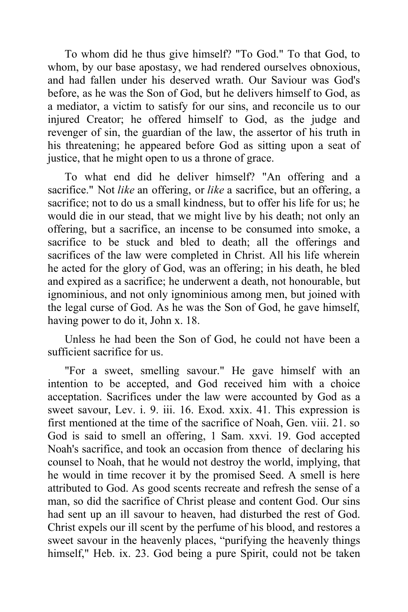To whom did he thus give himself? "To God." To that God, to whom, by our base apostasy, we had rendered ourselves obnoxious, and had fallen under his deserved wrath. Our Saviour was God's before, as he was the Son of God, but he delivers himself to God, as a mediator, a victim to satisfy for our sins, and reconcile us to our injured Creator; he offered himself to God, as the judge and revenger of sin, the guardian of the law, the assertor of his truth in his threatening; he appeared before God as sitting upon a seat of justice, that he might open to us a throne of grace.

To what end did he deliver himself? "An offering and a sacrifice." Not *like* an offering, or *like* a sacrifice, but an offering, a sacrifice; not to do us a small kindness, but to offer his life for us; he would die in our stead, that we might live by his death; not only an offering, but a sacrifice, an incense to be consumed into smoke, a sacrifice to be stuck and bled to death; all the offerings and sacrifices of the law were completed in Christ. All his life wherein he acted for the glory of God, was an offering; in his death, he bled and expired as a sacrifice; he underwent a death, not honourable, but ignominious, and not only ignominious among men, but joined with the legal curse of God. As he was the Son of God, he gave himself, having power to do it, John x. 18.

Unless he had been the Son of God, he could not have been a sufficient sacrifice for us.

"For a sweet, smelling savour." He gave himself with an intention to be accepted, and God received him with a choice acceptation. Sacrifices under the law were accounted by God as a sweet savour, Lev. i. 9. iii. 16. Exod. xxix. 41. This expression is first mentioned at the time of the sacrifice of Noah, Gen. viii. 21. so God is said to smell an offering, 1 Sam. xxvi. 19. God accepted Noah's sacrifice, and took an occasion from thence of declaring his counsel to Noah, that he would not destroy the world, implying, that he would in time recover it by the promised Seed. A smell is here attributed to God. As good scents recreate and refresh the sense of a man, so did the sacrifice of Christ please and content God. Our sins had sent up an ill savour to heaven, had disturbed the rest of God. Christ expels our ill scent by the perfume of his blood, and restores a sweet savour in the heavenly places, "purifying the heavenly things himself," Heb. ix. 23. God being a pure Spirit, could not be taken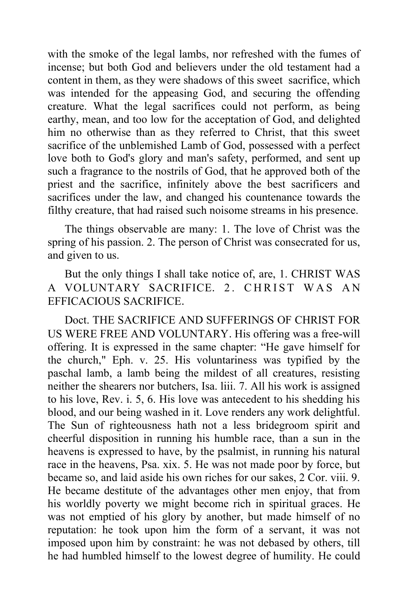with the smoke of the legal lambs, nor refreshed with the fumes of incense; but both God and believers under the old testament had a content in them, as they were shadows of this sweet sacrifice, which was intended for the appeasing God, and securing the offending creature. What the legal sacrifices could not perform, as being earthy, mean, and too low for the acceptation of God, and delighted him no otherwise than as they referred to Christ, that this sweet sacrifice of the unblemished Lamb of God, possessed with a perfect love both to God's glory and man's safety, performed, and sent up such a fragrance to the nostrils of God, that he approved both of the priest and the sacrifice, infinitely above the best sacrificers and sacrifices under the law, and changed his countenance towards the filthy creature, that had raised such noisome streams in his presence.

The things observable are many: 1. The love of Christ was the spring of his passion. 2. The person of Christ was consecrated for us, and given to us.

But the only things I shall take notice of, are, 1. CHRIST WAS A VOLUNTARY SACRIFICE. 2. CHRIST WAS AN EFFICACIOUS SACRIFICE.

Doct. THE SACRIFICE AND SUFFERINGS OF CHRIST FOR US WERE FREE AND VOLUNTARY. His offering was a free-will offering. It is expressed in the same chapter: "He gave himself for the church," Eph. v. 25. His voluntariness was typified by the paschal lamb, a lamb being the mildest of all creatures, resisting neither the shearers nor butchers, Isa. liii. 7. All his work is assigned to his love, Rev. i. 5, 6. His love was antecedent to his shedding his blood, and our being washed in it. Love renders any work delightful. The Sun of righteousness hath not a less bridegroom spirit and cheerful disposition in running his humble race, than a sun in the heavens is expressed to have, by the psalmist, in running his natural race in the heavens, Psa. xix. 5. He was not made poor by force, but became so, and laid aside his own riches for our sakes, 2 Cor. viii. 9. He became destitute of the advantages other men enjoy, that from his worldly poverty we might become rich in spiritual graces. He was not emptied of his glory by another, but made himself of no reputation: he took upon him the form of a servant, it was not imposed upon him by constraint: he was not debased by others, till he had humbled himself to the lowest degree of humility. He could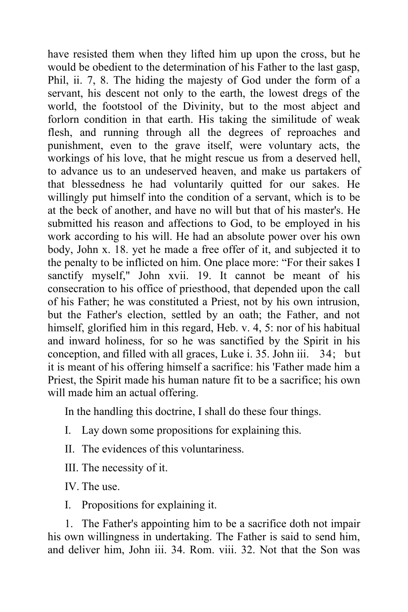have resisted them when they lifted him up upon the cross, but he would be obedient to the determination of his Father to the last gasp, Phil, ii. 7, 8. The hiding the majesty of God under the form of a servant, his descent not only to the earth, the lowest dregs of the world, the footstool of the Divinity, but to the most abject and forlorn condition in that earth. His taking the similitude of weak flesh, and running through all the degrees of reproaches and punishment, even to the grave itself, were voluntary acts, the workings of his love, that he might rescue us from a deserved hell, to advance us to an undeserved heaven, and make us partakers of that blessedness he had voluntarily quitted for our sakes. He willingly put himself into the condition of a servant, which is to be at the beck of another, and have no will but that of his master's. He submitted his reason and affections to God, to be employed in his work according to his will. He had an absolute power over his own body, John x. 18. yet he made a free offer of it, and subjected it to the penalty to be inflicted on him. One place more: "For their sakes I sanctify myself," John xvii. 19. It cannot be meant of his consecration to his office of priesthood, that depended upon the call of his Father; he was constituted a Priest, not by his own intrusion, but the Father's election, settled by an oath; the Father, and not himself, glorified him in this regard, Heb. v. 4, 5: nor of his habitual and inward holiness, for so he was sanctified by the Spirit in his conception, and filled with all graces, Luke i. 35. John iii. 34; but it is meant of his offering himself a sacrifice: his 'Father made him a Priest, the Spirit made his human nature fit to be a sacrifice; his own will made him an actual offering.

In the handling this doctrine, I shall do these four things.

- I. Lay down some propositions for explaining this.
- II. The evidences of this voluntariness.
- III. The necessity of it.

IV. The use.

I. Propositions for explaining it.

1. The Father's appointing him to be a sacrifice doth not impair his own willingness in undertaking. The Father is said to send him, and deliver him, John iii. 34. Rom. viii. 32. Not that the Son was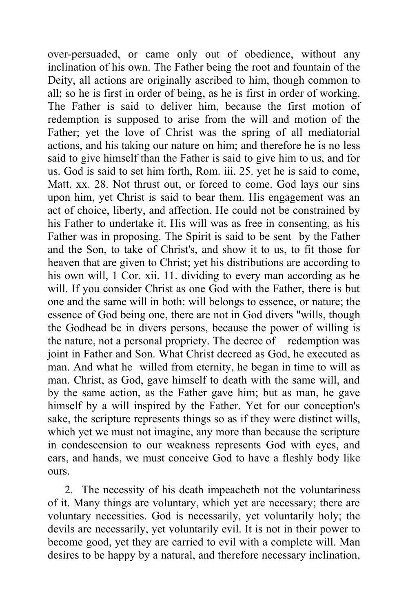over-persuaded, or came only out of obedience, without any inclination of his own. The Father being the root and fountain of the Deity, all actions are originally ascribed to him, though common to all; so he is first in order of being, as he is first in order of working. The Father is said to deliver him, because the first motion of redemption is supposed to arise from the will and motion of the Father; yet the love of Christ was the spring of all mediatorial actions, and his taking our nature on him; and therefore he is no less said to give himself than the Father is said to give him to us, and for us. God is said to set him forth, Rom. iii. 25. yet he is said to come, Matt. xx. 28. Not thrust out, or forced to come. God lays our sins upon him, yet Christ is said to bear them. His engagement was an act of choice, liberty, and affection. He could not be constrained by his Father to undertake it. His will was as free in consenting, as his Father was in proposing. The Spirit is said to be sent by the Father and the Son, to take of Christ's, and show it to us, to fit those for heaven that are given to Christ; yet his distributions are according to his own will, 1 Cor. xii. 11. dividing to every man according as he will. If you consider Christ as one God with the Father, there is but one and the same will in both: will belongs to essence, or nature; the essence of God being one, there are not in God divers "wills, though the Godhead be in divers persons, because the power of willing is the nature, not a personal propriety. The decree of redemption was joint in Father and Son. What Christ decreed as God, he executed as man. And what he willed from eternity, he began in time to will as man. Christ, as God, gave himself to death with the same will, and by the same action, as the Father gave him; but as man, he gave himself by a will inspired by the Father. Yet for our conception's sake, the scripture represents things so as if they were distinct wills, which yet we must not imagine, any more than because the scripture in condescension to our weakness represents God with eyes, and ears, and hands, we must conceive God to have a fleshly body like ours.

2. The necessity of his death impeacheth not the voluntariness of it. Many things are voluntary, which yet are necessary; there are voluntary necessities. God is necessarily, yet voluntarily holy; the devils are necessarily, yet voluntarily evil. It is not in their power to become good, yet they are carried to evil with a complete will. Man desires to be happy by a natural, and therefore necessary inclination,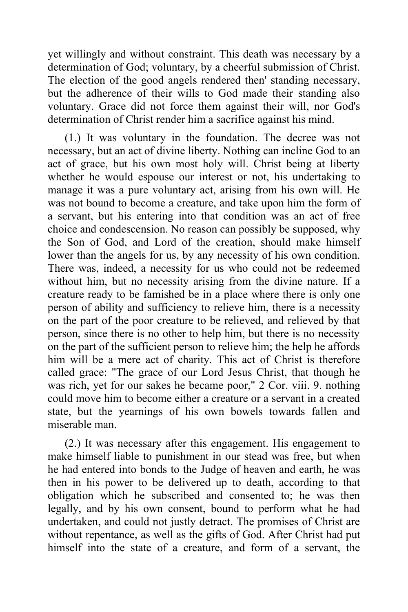yet willingly and without constraint. This death was necessary by a determination of God; voluntary, by a cheerful submission of Christ. The election of the good angels rendered then' standing necessary, but the adherence of their wills to God made their standing also voluntary. Grace did not force them against their will, nor God's determination of Christ render him a sacrifice against his mind.

(1.) It was voluntary in the foundation. The decree was not necessary, but an act of divine liberty. Nothing can incline God to an act of grace, but his own most holy will. Christ being at liberty whether he would espouse our interest or not, his undertaking to manage it was a pure voluntary act, arising from his own will. He was not bound to become a creature, and take upon him the form of a servant, but his entering into that condition was an act of free choice and condescension. No reason can possibly be supposed, why the Son of God, and Lord of the creation, should make himself lower than the angels for us, by any necessity of his own condition. There was, indeed, a necessity for us who could not be redeemed without him, but no necessity arising from the divine nature. If a creature ready to be famished be in a place where there is only one person of ability and sufficiency to relieve him, there is a necessity on the part of the poor creature to be relieved, and relieved by that person, since there is no other to help him, but there is no necessity on the part of the sufficient person to relieve him; the help he affords him will be a mere act of charity. This act of Christ is therefore called grace: "The grace of our Lord Jesus Christ, that though he was rich, yet for our sakes he became poor," 2 Cor. viii. 9. nothing could move him to become either a creature or a servant in a created state, but the yearnings of his own bowels towards fallen and miserable man.

(2.) It was necessary after this engagement. His engagement to make himself liable to punishment in our stead was free, but when he had entered into bonds to the Judge of heaven and earth, he was then in his power to be delivered up to death, according to that obligation which he subscribed and consented to; he was then legally, and by his own consent, bound to perform what he had undertaken, and could not justly detract. The promises of Christ are without repentance, as well as the gifts of God. After Christ had put himself into the state of a creature, and form of a servant, the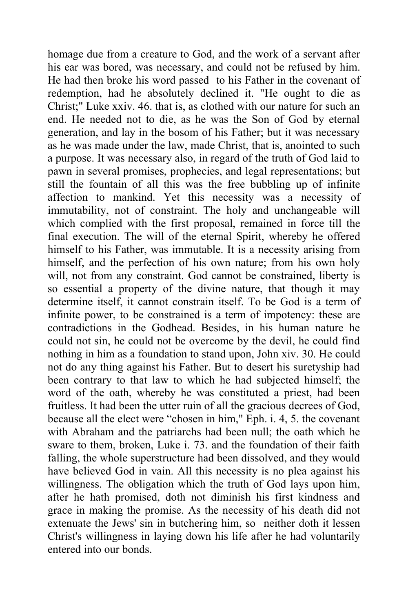homage due from a creature to God, and the work of a servant after his ear was bored, was necessary, and could not be refused by him. He had then broke his word passed to his Father in the covenant of redemption, had he absolutely declined it. "He ought to die as Christ;" Luke xxiv. 46. that is, as clothed with our nature for such an end. He needed not to die, as he was the Son of God by eternal generation, and lay in the bosom of his Father; but it was necessary as he was made under the law, made Christ, that is, anointed to such a purpose. It was necessary also, in regard of the truth of God laid to pawn in several promises, prophecies, and legal representations; but still the fountain of all this was the free bubbling up of infinite affection to mankind. Yet this necessity was a necessity of immutability, not of constraint. The holy and unchangeable will which complied with the first proposal, remained in force till the final execution. The will of the eternal Spirit, whereby he offered himself to his Father, was immutable. It is a necessity arising from himself, and the perfection of his own nature; from his own holy will, not from any constraint. God cannot be constrained, liberty is so essential a property of the divine nature, that though it may determine itself, it cannot constrain itself. To be God is a term of infinite power, to be constrained is a term of impotency: these are contradictions in the Godhead. Besides, in his human nature he could not sin, he could not be overcome by the devil, he could find nothing in him as a foundation to stand upon, John xiv. 30. He could not do any thing against his Father. But to desert his suretyship had been contrary to that law to which he had subjected himself; the word of the oath, whereby he was constituted a priest, had been fruitless. It had been the utter ruin of all the gracious decrees of God, because all the elect were "chosen in him," Eph. i. 4, 5. the covenant with Abraham and the patriarchs had been null; the oath which he sware to them, broken, Luke i. 73. and the foundation of their faith falling, the whole superstructure had been dissolved, and they would have believed God in vain. All this necessity is no plea against his willingness. The obligation which the truth of God lays upon him, after he hath promised, doth not diminish his first kindness and grace in making the promise. As the necessity of his death did not extenuate the Jews' sin in butchering him, so neither doth it lessen Christ's willingness in laying down his life after he had voluntarily entered into our bonds.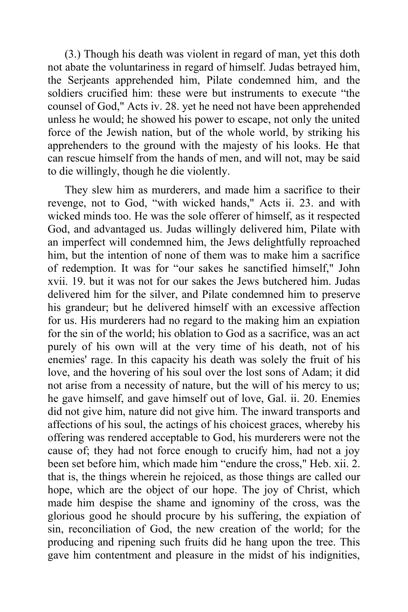(3.) Though his death was violent in regard of man, yet this doth not abate the voluntariness in regard of himself. Judas betrayed him, the Serjeants apprehended him, Pilate condemned him, and the soldiers crucified him: these were but instruments to execute "the counsel of God," Acts iv. 28. yet he need not have been apprehended unless he would; he showed his power to escape, not only the united force of the Jewish nation, but of the whole world, by striking his apprehenders to the ground with the majesty of his looks. He that can rescue himself from the hands of men, and will not, may be said to die willingly, though he die violently.

They slew him as murderers, and made him a sacrifice to their revenge, not to God, "with wicked hands," Acts ii. 23. and with wicked minds too. He was the sole offerer of himself, as it respected God, and advantaged us. Judas willingly delivered him, Pilate with an imperfect will condemned him, the Jews delightfully reproached him, but the intention of none of them was to make him a sacrifice of redemption. It was for "our sakes he sanctified himself," John xvii. 19. but it was not for our sakes the Jews butchered him. Judas delivered him for the silver, and Pilate condemned him to preserve his grandeur; but he delivered himself with an excessive affection for us. His murderers had no regard to the making him an expiation for the sin of the world; his oblation to God as a sacrifice, was an act purely of his own will at the very time of his death, not of his enemies' rage. In this capacity his death was solely the fruit of his love, and the hovering of his soul over the lost sons of Adam; it did not arise from a necessity of nature, but the will of his mercy to us; he gave himself, and gave himself out of love, Gal. ii. 20. Enemies did not give him, nature did not give him. The inward transports and affections of his soul, the actings of his choicest graces, whereby his offering was rendered acceptable to God, his murderers were not the cause of; they had not force enough to crucify him, had not a joy been set before him, which made him "endure the cross," Heb. xii. 2. that is, the things wherein he rejoiced, as those things are called our hope, which are the object of our hope. The joy of Christ, which made him despise the shame and ignominy of the cross, was the glorious good he should procure by his suffering, the expiation of sin, reconciliation of God, the new creation of the world; for the producing and ripening such fruits did he hang upon the tree. This gave him contentment and pleasure in the midst of his indignities,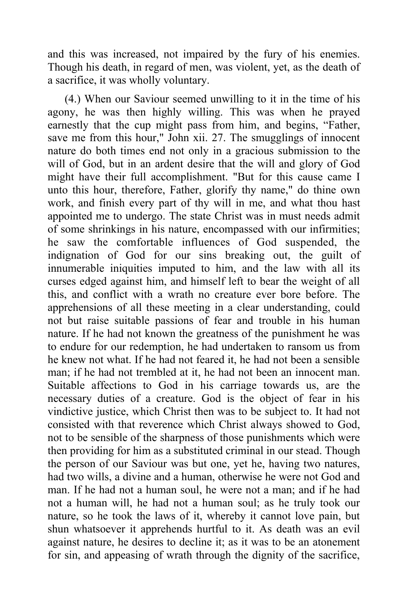and this was increased, not impaired by the fury of his enemies. Though his death, in regard of men, was violent, yet, as the death of a sacrifice, it was wholly voluntary.

(4.) When our Saviour seemed unwilling to it in the time of his agony, he was then highly willing. This was when he prayed earnestly that the cup might pass from him, and begins, "Father, save me from this hour," John xii. 27. The smugglings of innocent nature do both times end not only in a gracious submission to the will of God, but in an ardent desire that the will and glory of God might have their full accomplishment. "But for this cause came I unto this hour, therefore, Father, glorify thy name," do thine own work, and finish every part of thy will in me, and what thou hast appointed me to undergo. The state Christ was in must needs admit of some shrinkings in his nature, encompassed with our infirmities; he saw the comfortable influences of God suspended, the indignation of God for our sins breaking out, the guilt of innumerable iniquities imputed to him, and the law with all its curses edged against him, and himself left to bear the weight of all this, and conflict with a wrath no creature ever bore before. The apprehensions of all these meeting in a clear understanding, could not but raise suitable passions of fear and trouble in his human nature. If he had not known the greatness of the punishment he was to endure for our redemption, he had undertaken to ransom us from he knew not what. If he had not feared it, he had not been a sensible man; if he had not trembled at it, he had not been an innocent man. Suitable affections to God in his carriage towards us, are the necessary duties of a creature. God is the object of fear in his vindictive justice, which Christ then was to be subject to. It had not consisted with that reverence which Christ always showed to God, not to be sensible of the sharpness of those punishments which were then providing for him as a substituted criminal in our stead. Though the person of our Saviour was but one, yet he, having two natures, had two wills, a divine and a human, otherwise he were not God and man. If he had not a human soul, he were not a man; and if he had not a human will, he had not a human soul; as he truly took our nature, so he took the laws of it, whereby it cannot love pain, but shun whatsoever it apprehends hurtful to it. As death was an evil against nature, he desires to decline it; as it was to be an atonement for sin, and appeasing of wrath through the dignity of the sacrifice,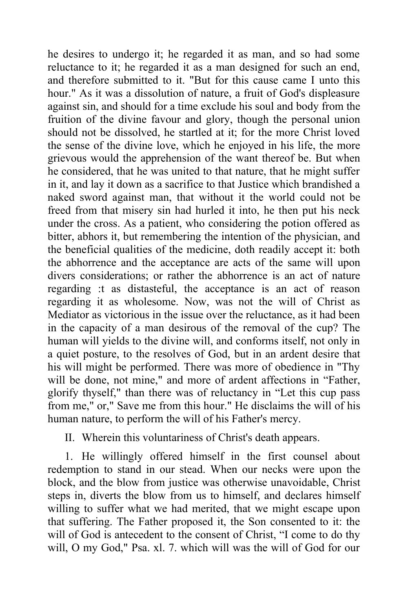he desires to undergo it; he regarded it as man, and so had some reluctance to it; he regarded it as a man designed for such an end, and therefore submitted to it. "But for this cause came I unto this hour." As it was a dissolution of nature, a fruit of God's displeasure against sin, and should for a time exclude his soul and body from the fruition of the divine favour and glory, though the personal union should not be dissolved, he startled at it; for the more Christ loved the sense of the divine love, which he enjoyed in his life, the more grievous would the apprehension of the want thereof be. But when he considered, that he was united to that nature, that he might suffer in it, and lay it down as a sacrifice to that Justice which brandished a naked sword against man, that without it the world could not be freed from that misery sin had hurled it into, he then put his neck under the cross. As a patient, who considering the potion offered as bitter, abhors it, but remembering the intention of the physician, and the beneficial qualities of the medicine, doth readily accept it: both the abhorrence and the acceptance are acts of the same will upon divers considerations; or rather the abhorrence is an act of nature regarding :t as distasteful, the acceptance is an act of reason regarding it as wholesome. Now, was not the will of Christ as Mediator as victorious in the issue over the reluctance, as it had been in the capacity of a man desirous of the removal of the cup? The human will yields to the divine will, and conforms itself, not only in a quiet posture, to the resolves of God, but in an ardent desire that his will might be performed. There was more of obedience in "Thy will be done, not mine," and more of ardent affections in "Father, glorify thyself," than there was of reluctancy in "Let this cup pass from me," or," Save me from this hour." He disclaims the will of his human nature, to perform the will of his Father's mercy.

II. Wherein this voluntariness of Christ's death appears.

1. He willingly offered himself in the first counsel about redemption to stand in our stead. When our necks were upon the block, and the blow from justice was otherwise unavoidable, Christ steps in, diverts the blow from us to himself, and declares himself willing to suffer what we had merited, that we might escape upon that suffering. The Father proposed it, the Son consented to it: the will of God is antecedent to the consent of Christ, "I come to do thy will, O my God," Psa. xl. 7. which will was the will of God for our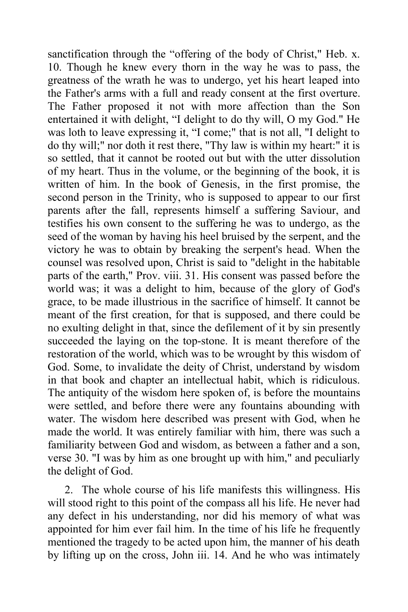sanctification through the "offering of the body of Christ," Heb. x. 10. Though he knew every thorn in the way he was to pass, the greatness of the wrath he was to undergo, yet his heart leaped into the Father's arms with a full and ready consent at the first overture. The Father proposed it not with more affection than the Son entertained it with delight, "I delight to do thy will, O my God." He was loth to leave expressing it, "I come;" that is not all, "I delight to do thy will;" nor doth it rest there, "Thy law is within my heart:" it is so settled, that it cannot be rooted out but with the utter dissolution of my heart. Thus in the volume, or the beginning of the book, it is written of him. In the book of Genesis, in the first promise, the second person in the Trinity, who is supposed to appear to our first parents after the fall, represents himself a suffering Saviour, and testifies his own consent to the suffering he was to undergo, as the seed of the woman by having his heel bruised by the serpent, and the victory he was to obtain by breaking the serpent's head. When the counsel was resolved upon, Christ is said to "delight in the habitable parts of the earth," Prov. viii. 31. His consent was passed before the world was; it was a delight to him, because of the glory of God's grace, to be made illustrious in the sacrifice of himself. It cannot be meant of the first creation, for that is supposed, and there could be no exulting delight in that, since the defilement of it by sin presently succeeded the laying on the top-stone. It is meant therefore of the restoration of the world, which was to be wrought by this wisdom of God. Some, to invalidate the deity of Christ, understand by wisdom in that book and chapter an intellectual habit, which is ridiculous. The antiquity of the wisdom here spoken of, is before the mountains were settled, and before there were any fountains abounding with water. The wisdom here described was present with God, when he made the world. It was entirely familiar with him, there was such a familiarity between God and wisdom, as between a father and a son, verse 30. "I was by him as one brought up with him," and peculiarly the delight of God.

2. The whole course of his life manifests this willingness. His will stood right to this point of the compass all his life. He never had any defect in his understanding, nor did his memory of what was appointed for him ever fail him. In the time of his life he frequently mentioned the tragedy to be acted upon him, the manner of his death by lifting up on the cross, John iii. 14. And he who was intimately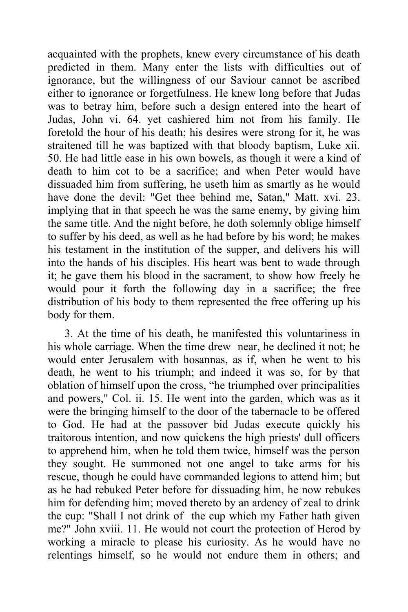acquainted with the prophets, knew every circumstance of his death predicted in them. Many enter the lists with difficulties out of ignorance, but the willingness of our Saviour cannot be ascribed either to ignorance or forgetfulness. He knew long before that Judas was to betray him, before such a design entered into the heart of Judas, John vi. 64. yet cashiered him not from his family. He foretold the hour of his death; his desires were strong for it, he was straitened till he was baptized with that bloody baptism, Luke xii. 50. He had little ease in his own bowels, as though it were a kind of death to him cot to be a sacrifice; and when Peter would have dissuaded him from suffering, he useth him as smartly as he would have done the devil: "Get thee behind me, Satan," Matt. xvi. 23. implying that in that speech he was the same enemy, by giving him the same title. And the night before, he doth solemnly oblige himself to suffer by his deed, as well as he had before by his word; he makes his testament in the institution of the supper, and delivers his will into the hands of his disciples. His heart was bent to wade through it; he gave them his blood in the sacrament, to show how freely he would pour it forth the following day in a sacrifice; the free distribution of his body to them represented the free offering up his body for them.

3. At the time of his death, he manifested this voluntariness in his whole carriage. When the time drew near, he declined it not; he would enter Jerusalem with hosannas, as if, when he went to his death, he went to his triumph; and indeed it was so, for by that oblation of himself upon the cross, "he triumphed over principalities and powers," Col. ii. 15. He went into the garden, which was as it were the bringing himself to the door of the tabernacle to be offered to God. He had at the passover bid Judas execute quickly his traitorous intention, and now quickens the high priests' dull officers to apprehend him, when he told them twice, himself was the person they sought. He summoned not one angel to take arms for his rescue, though he could have commanded legions to attend him; but as he had rebuked Peter before for dissuading him, he now rebukes him for defending him; moved thereto by an ardency of zeal to drink the cup: "Shall I not drink of the cup which my Father hath given me?" John xviii. 11. He would not court the protection of Herod by working a miracle to please his curiosity. As he would have no relentings himself, so he would not endure them in others; and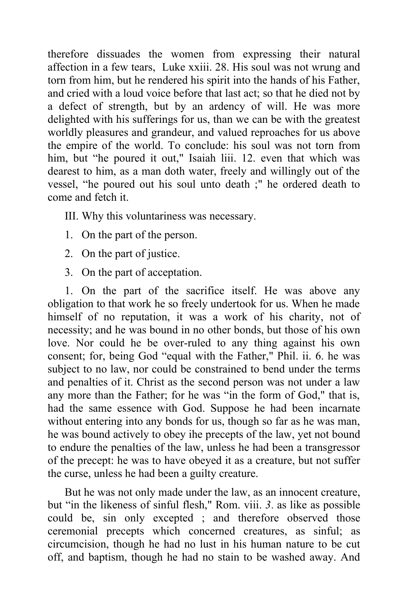therefore dissuades the women from expressing their natural affection in a few tears, Luke xxiii. 28. His soul was not wrung and torn from him, but he rendered his spirit into the hands of his Father, and cried with a loud voice before that last act; so that he died not by a defect of strength, but by an ardency of will. He was more delighted with his sufferings for us, than we can be with the greatest worldly pleasures and grandeur, and valued reproaches for us above the empire of the world. To conclude: his soul was not torn from him, but "he poured it out," Isaiah liii. 12. even that which was dearest to him, as a man doth water, freely and willingly out of the vessel, "he poured out his soul unto death ;" he ordered death to come and fetch it.

III. Why this voluntariness was necessary.

- 1. On the part of the person.
- 2. On the part of justice.
- 3. On the part of acceptation.

1. On the part of the sacrifice itself. He was above any obligation to that work he so freely undertook for us. When he made himself of no reputation, it was a work of his charity, not of necessity; and he was bound in no other bonds, but those of his own love. Nor could he be over-ruled to any thing against his own consent; for, being God "equal with the Father," Phil. ii. 6. he was subject to no law, nor could be constrained to bend under the terms and penalties of it. Christ as the second person was not under a law any more than the Father; for he was "in the form of God," that is, had the same essence with God. Suppose he had been incarnate without entering into any bonds for us, though so far as he was man, he was bound actively to obey ihe precepts of the law, yet not bound to endure the penalties of the law, unless he had been a transgressor of the precept: he was to have obeyed it as a creature, but not suffer the curse, unless he had been a guilty creature.

But he was not only made under the law, as an innocent creature, but "in the likeness of sinful flesh," Rom. viii. *3.* as like as possible could be, sin only excepted ; and therefore observed those ceremonial precepts which concerned creatures, as sinful; as circumcision, though he had no lust in his human nature to be cut off, and baptism, though he had no stain to be washed away. And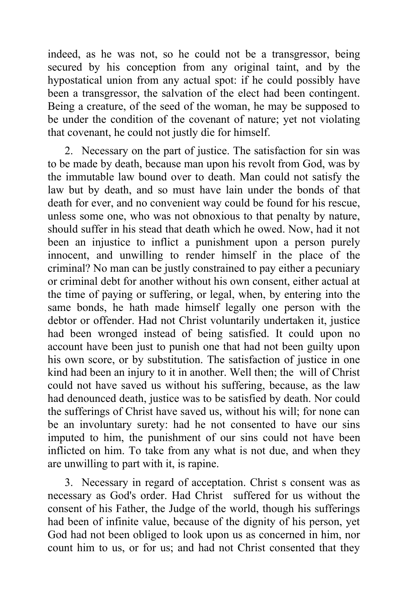indeed, as he was not, so he could not be a transgressor, being secured by his conception from any original taint, and by the hypostatical union from any actual spot: if he could possibly have been a transgressor, the salvation of the elect had been contingent. Being a creature, of the seed of the woman, he may be supposed to be under the condition of the covenant of nature; yet not violating that covenant, he could not justly die for himself.

2. Necessary on the part of justice. The satisfaction for sin was to be made by death, because man upon his revolt from God, was by the immutable law bound over to death. Man could not satisfy the law but by death, and so must have lain under the bonds of that death for ever, and no convenient way could be found for his rescue, unless some one, who was not obnoxious to that penalty by nature, should suffer in his stead that death which he owed. Now, had it not been an injustice to inflict a punishment upon a person purely innocent, and unwilling to render himself in the place of the criminal? No man can be justly constrained to pay either a pecuniary or criminal debt for another without his own consent, either actual at the time of paying or suffering, or legal, when, by entering into the same bonds, he hath made himself legally one person with the debtor or offender. Had not Christ voluntarily undertaken it, justice had been wronged instead of being satisfied. It could upon no account have been just to punish one that had not been guilty upon his own score, or by substitution. The satisfaction of justice in one kind had been an injury to it in another. Well then; the will of Christ could not have saved us without his suffering, because, as the law had denounced death, justice was to be satisfied by death. Nor could the sufferings of Christ have saved us, without his will; for none can be an involuntary surety: had he not consented to have our sins imputed to him, the punishment of our sins could not have been inflicted on him. To take from any what is not due, and when they are unwilling to part with it, is rapine.

3. Necessary in regard of acceptation. Christ s consent was as necessary as God's order. Had Christ suffered for us without the consent of his Father, the Judge of the world, though his sufferings had been of infinite value, because of the dignity of his person, yet God had not been obliged to look upon us as concerned in him, nor count him to us, or for us; and had not Christ consented that they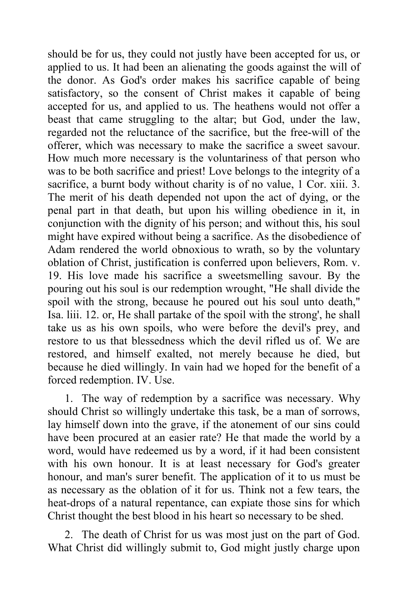should be for us, they could not justly have been accepted for us, or applied to us. It had been an alienating the goods against the will of the donor. As God's order makes his sacrifice capable of being satisfactory, so the consent of Christ makes it capable of being accepted for us, and applied to us. The heathens would not offer a beast that came struggling to the altar; but God, under the law, regarded not the reluctance of the sacrifice, but the free-will of the offerer, which was necessary to make the sacrifice a sweet savour. How much more necessary is the voluntariness of that person who was to be both sacrifice and priest! Love belongs to the integrity of a sacrifice, a burnt body without charity is of no value, 1 Cor. xiii. 3. The merit of his death depended not upon the act of dying, or the penal part in that death, but upon his willing obedience in it, in conjunction with the dignity of his person; and without this, his soul might have expired without being a sacrifice. As the disobedience of Adam rendered the world obnoxious to wrath, so by the voluntary oblation of Christ, justification is conferred upon believers, Rom. v. 19. His love made his sacrifice a sweetsmelling savour. By the pouring out his soul is our redemption wrought, "He shall divide the spoil with the strong, because he poured out his soul unto death," Isa. liii. 12. or, He shall partake of the spoil with the strong', he shall take us as his own spoils, who were before the devil's prey, and restore to us that blessedness which the devil rifled us of. We are restored, and himself exalted, not merely because he died, but because he died willingly. In vain had we hoped for the benefit of a forced redemption. IV. Use.

1. The way of redemption by a sacrifice was necessary. Why should Christ so willingly undertake this task, be a man of sorrows, lay himself down into the grave, if the atonement of our sins could have been procured at an easier rate? He that made the world by a word, would have redeemed us by a word, if it had been consistent with his own honour. It is at least necessary for God's greater honour, and man's surer benefit. The application of it to us must be as necessary as the oblation of it for us. Think not a few tears, the heat-drops of a natural repentance, can expiate those sins for which Christ thought the best blood in his heart so necessary to be shed.

2. The death of Christ for us was most just on the part of God. What Christ did willingly submit to, God might justly charge upon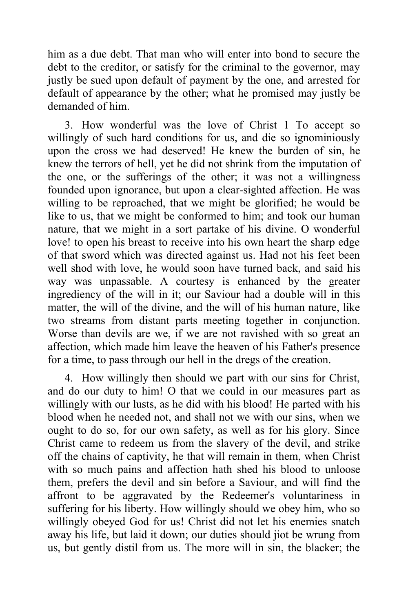him as a due debt. That man who will enter into bond to secure the debt to the creditor, or satisfy for the criminal to the governor, may justly be sued upon default of payment by the one, and arrested for default of appearance by the other; what he promised may justly be demanded of him.

3. How wonderful was the love of Christ 1 To accept so willingly of such hard conditions for us, and die so ignominiously upon the cross we had deserved! He knew the burden of sin, he knew the terrors of hell, yet he did not shrink from the imputation of the one, or the sufferings of the other; it was not a willingness founded upon ignorance, but upon a clear-sighted affection. He was willing to be reproached, that we might be glorified; he would be like to us, that we might be conformed to him; and took our human nature, that we might in a sort partake of his divine. O wonderful love! to open his breast to receive into his own heart the sharp edge of that sword which was directed against us. Had not his feet been well shod with love, he would soon have turned back, and said his way was unpassable. A courtesy is enhanced by the greater ingrediency of the will in it; our Saviour had a double will in this matter, the will of the divine, and the will of his human nature, like two streams from distant parts meeting together in conjunction. Worse than devils are we, if we are not ravished with so great an affection, which made him leave the heaven of his Father's presence for a time, to pass through our hell in the dregs of the creation.

4. How willingly then should we part with our sins for Christ, and do our duty to him! O that we could in our measures part as willingly with our lusts, as he did with his blood! He parted with his blood when he needed not, and shall not we with our sins, when we ought to do so, for our own safety, as well as for his glory. Since Christ came to redeem us from the slavery of the devil, and strike off the chains of captivity, he that will remain in them, when Christ with so much pains and affection hath shed his blood to unloose them, prefers the devil and sin before a Saviour, and will find the affront to be aggravated by the Redeemer's voluntariness in suffering for his liberty. How willingly should we obey him, who so willingly obeyed God for us! Christ did not let his enemies snatch away his life, but laid it down; our duties should jiot be wrung from us, but gently distil from us. The more will in sin, the blacker; the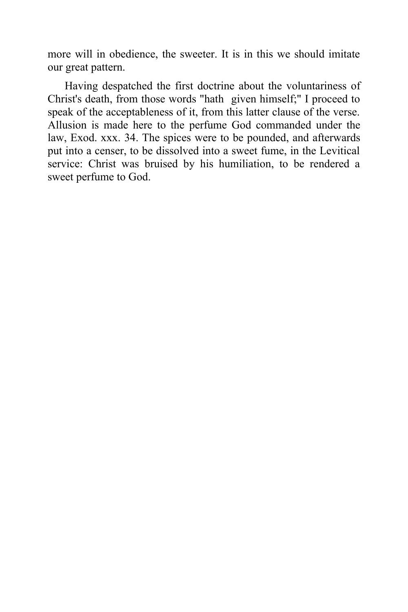more will in obedience, the sweeter. It is in this we should imitate our great pattern.

Having despatched the first doctrine about the voluntariness of Christ's death, from those words "hath given himself;" I proceed to speak of the acceptableness of it, from this latter clause of the verse. Allusion is made here to the perfume God commanded under the law, Exod. xxx. 34. The spices were to be pounded, and afterwards put into a censer, to be dissolved into a sweet fume, in the Levitical service: Christ was bruised by his humiliation, to be rendered a sweet perfume to God.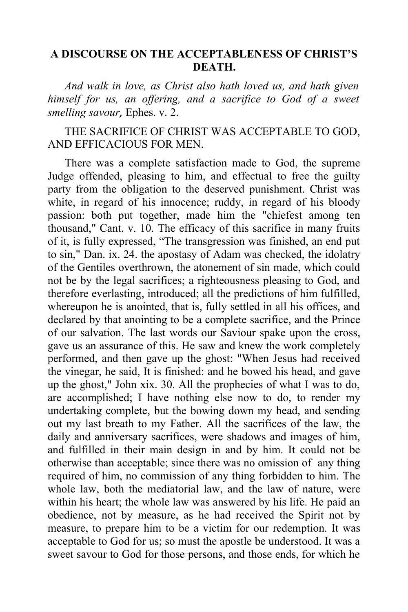## **A DISCOURSE ON THE ACCEPTABLENESS OF CHRIST'S DEATH.**

*And walk in love, as Christ also hath loved us, and hath given himself for us, an offering, and a sacrifice to God of a sweet smelling savour,* Ephes. v. 2.

## THE SACRIFICE OF CHRIST WAS ACCEPTABLE TO GOD, AND EFFICACIOUS FOR MEN.

There was a complete satisfaction made to God, the supreme Judge offended, pleasing to him, and effectual to free the guilty party from the obligation to the deserved punishment. Christ was white, in regard of his innocence; ruddy, in regard of his bloody passion: both put together, made him the "chiefest among ten thousand," Cant. v. 10. The efficacy of this sacrifice in many fruits of it, is fully expressed, "The transgression was finished, an end put to sin," Dan. ix. 24. the apostasy of Adam was checked, the idolatry of the Gentiles overthrown, the atonement of sin made, which could not be by the legal sacrifices; a righteousness pleasing to God, and therefore everlasting, introduced; all the predictions of him fulfilled, whereupon he is anointed, that is, fully settled in all his offices, and declared by that anointing to be a complete sacrifice, and the Prince of our salvation. The last words our Saviour spake upon the cross, gave us an assurance of this. He saw and knew the work completely performed, and then gave up the ghost: "When Jesus had received the vinegar, he said, It is finished: and he bowed his head, and gave up the ghost," John xix. 30. All the prophecies of what I was to do, are accomplished; I have nothing else now to do, to render my undertaking complete, but the bowing down my head, and sending out my last breath to my Father. All the sacrifices of the law, the daily and anniversary sacrifices, were shadows and images of him, and fulfilled in their main design in and by him. It could not be otherwise than acceptable; since there was no omission of any thing required of him, no commission of any thing forbidden to him. The whole law, both the mediatorial law, and the law of nature, were within his heart; the whole law was answered by his life. He paid an obedience, not by measure, as he had received the Spirit not by measure, to prepare him to be a victim for our redemption. It was acceptable to God for us; so must the apostle be understood. It was a sweet savour to God for those persons, and those ends, for which he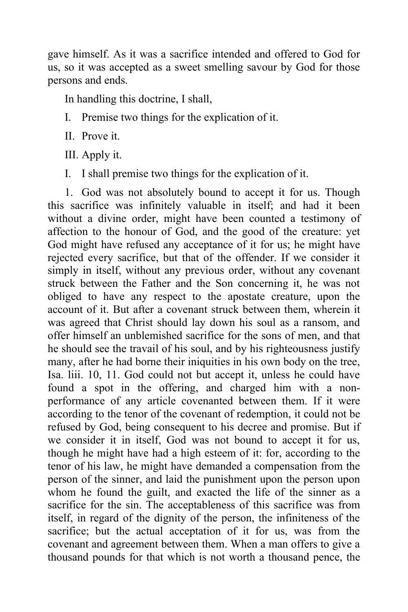gave himself. As it was a sacrifice intended and offered to God for us, so it was accepted as a sweet smelling savour by God for those persons and ends.

In handling this doctrine, I shall,

- I. Premise two things for the explication of it.
- II. Prove it.

III. Apply it.

I. I shall premise two things for the explication of it.

1. God was not absolutely bound to accept it for us. Though this sacrifice was infinitely valuable in itself; and had it been without a divine order, might have been counted a testimony of affection to the honour of God, and the good of the creature: yet God might have refused any acceptance of it for us; he might have rejected every sacrifice, but that of the offender. If we consider it simply in itself, without any previous order, without any covenant struck between the Father and the Son concerning it, he was not obliged to have any respect to the apostate creature, upon the account of it. But after a covenant struck between them, wherein it was agreed that Christ should lay down his soul as a ransom, and offer himself an unblemished sacrifice for the sons of men, and that he should see the travail of his soul, and by his righteousness justify many, after he had borne their iniquities in his own body on the tree, Isa. liii. 10, 11. God could not but accept it, unless he could have found a spot in the offering, and charged him with a nonperformance of any article covenanted between them. If it were according to the tenor of the covenant of redemption, it could not be refused by God, being consequent to his decree and promise. But if we consider it in itself, God was not bound to accept it for us, though he might have had a high esteem of it: for, according to the tenor of his law, he might have demanded a compensation from the person of the sinner, and laid the punishment upon the person upon whom he found the guilt, and exacted the life of the sinner as a sacrifice for the sin. The acceptableness of this sacrifice was from itself, in regard of the dignity of the person, the infiniteness of the sacrifice; but the actual acceptation of it for us, was from the covenant and agreement between them. When a man offers to give a thousand pounds for that which is not worth a thousand pence, the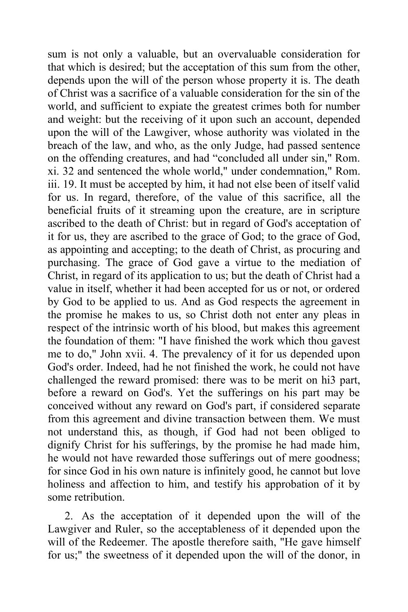sum is not only a valuable, but an overvaluable consideration for that which is desired; but the acceptation of this sum from the other, depends upon the will of the person whose property it is. The death of Christ was a sacrifice of a valuable consideration for the sin of the world, and sufficient to expiate the greatest crimes both for number and weight: but the receiving of it upon such an account, depended upon the will of the Lawgiver, whose authority was violated in the breach of the law, and who, as the only Judge, had passed sentence on the offending creatures, and had "concluded all under sin," Rom. xi. 32 and sentenced the whole world," under condemnation," Rom. iii. 19. It must be accepted by him, it had not else been of itself valid for us. In regard, therefore, of the value of this sacrifice, all the beneficial fruits of it streaming upon the creature, are in scripture ascribed to the death of Christ: but in regard of God's acceptation of it for us, they are ascribed to the grace of God; to the grace of God, as appointing and accepting; to the death of Christ, as procuring and purchasing. The grace of God gave a virtue to the mediation of Christ, in regard of its application to us; but the death of Christ had a value in itself, whether it had been accepted for us or not, or ordered by God to be applied to us. And as God respects the agreement in the promise he makes to us, so Christ doth not enter any pleas in respect of the intrinsic worth of his blood, but makes this agreement the foundation of them: "I have finished the work which thou gavest me to do," John xvii. 4. The prevalency of it for us depended upon God's order. Indeed, had he not finished the work, he could not have challenged the reward promised: there was to be merit on hi3 part, before a reward on God's. Yet the sufferings on his part may be conceived without any reward on God's part, if considered separate from this agreement and divine transaction between them. We must not understand this, as though, if God had not been obliged to dignify Christ for his sufferings, by the promise he had made him, he would not have rewarded those sufferings out of mere goodness; for since God in his own nature is infinitely good, he cannot but love holiness and affection to him, and testify his approbation of it by some retribution.

2. As the acceptation of it depended upon the will of the Lawgiver and Ruler, so the acceptableness of it depended upon the will of the Redeemer. The apostle therefore saith, "He gave himself for us;" the sweetness of it depended upon the will of the donor, in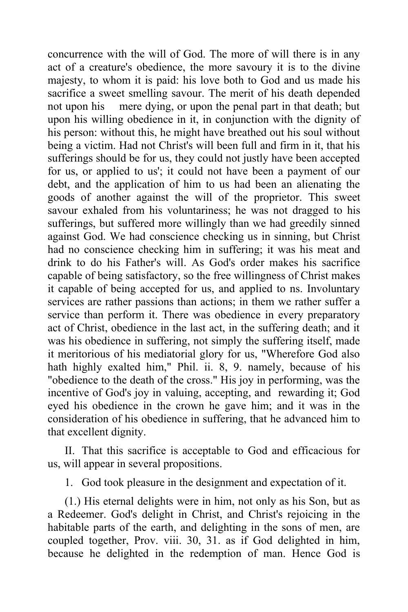concurrence with the will of God. The more of will there is in any act of a creature's obedience, the more savoury it is to the divine majesty, to whom it is paid: his love both to God and us made his sacrifice a sweet smelling savour. The merit of his death depended not upon his mere dying, or upon the penal part in that death; but upon his willing obedience in it, in conjunction with the dignity of his person: without this, he might have breathed out his soul without being a victim. Had not Christ's will been full and firm in it, that his sufferings should be for us, they could not justly have been accepted for us, or applied to us'; it could not have been a payment of our debt, and the application of him to us had been an alienating the goods of another against the will of the proprietor. This sweet savour exhaled from his voluntariness; he was not dragged to his sufferings, but suffered more willingly than we had greedily sinned against God. We had conscience checking us in sinning, but Christ had no conscience checking him in suffering; it was his meat and drink to do his Father's will. As God's order makes his sacrifice capable of being satisfactory, so the free willingness of Christ makes it capable of being accepted for us, and applied to ns. Involuntary services are rather passions than actions; in them we rather suffer a service than perform it. There was obedience in every preparatory act of Christ, obedience in the last act, in the suffering death; and it was his obedience in suffering, not simply the suffering itself, made it meritorious of his mediatorial glory for us, "Wherefore God also hath highly exalted him," Phil. ii. 8, 9. namely, because of his "obedience to the death of the cross." His joy in performing, was the incentive of God's joy in valuing, accepting, and rewarding it; God eyed his obedience in the crown he gave him; and it was in the consideration of his obedience in suffering, that he advanced him to that excellent dignity.

II. That this sacrifice is acceptable to God and efficacious for us, will appear in several propositions.

1. God took pleasure in the designment and expectation of it.

(1.) His eternal delights were in him, not only as his Son, but as a Redeemer. God's delight in Christ, and Christ's rejoicing in the habitable parts of the earth, and delighting in the sons of men, are coupled together, Prov. viii. 30, 31. as if God delighted in him, because he delighted in the redemption of man. Hence God is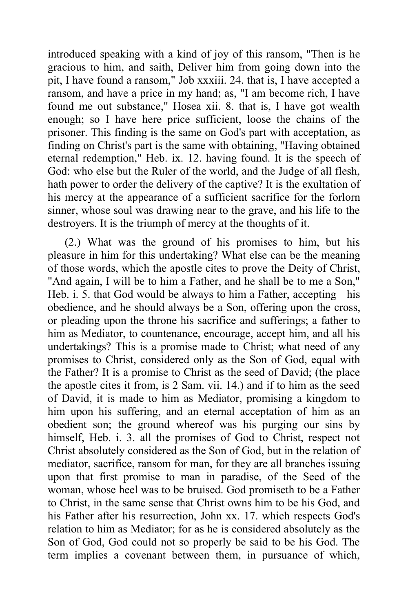introduced speaking with a kind of joy of this ransom, "Then is he gracious to him, and saith, Deliver him from going down into the pit, I have found a ransom," Job xxxiii. 24. that is, I have accepted a ransom, and have a price in my hand; as, "I am become rich, I have found me out substance," Hosea xii. 8. that is, I have got wealth enough; so I have here price sufficient, loose the chains of the prisoner. This finding is the same on God's part with acceptation, as finding on Christ's part is the same with obtaining, "Having obtained eternal redemption," Heb. ix. 12. having found. It is the speech of God: who else but the Ruler of the world, and the Judge of all flesh, hath power to order the delivery of the captive? It is the exultation of his mercy at the appearance of a sufficient sacrifice for the forlorn sinner, whose soul was drawing near to the grave, and his life to the destroyers. It is the triumph of mercy at the thoughts of it.

(2.) What was the ground of his promises to him, but his pleasure in him for this undertaking? What else can be the meaning of those words, which the apostle cites to prove the Deity of Christ, "And again, I will be to him a Father, and he shall be to me a Son," Heb. i. 5. that God would be always to him a Father, accepting his obedience, and he should always be a Son, offering upon the cross, or pleading upon the throne his sacrifice and sufferings; a father to him as Mediator, to countenance, encourage, accept him, and all his undertakings? This is a promise made to Christ; what need of any promises to Christ, considered only as the Son of God, equal with the Father? It is a promise to Christ as the seed of David; (the place the apostle cites it from, is 2 Sam. vii. 14.) and if to him as the seed of David, it is made to him as Mediator, promising a kingdom to him upon his suffering, and an eternal acceptation of him as an obedient son; the ground whereof was his purging our sins by himself, Heb. i. 3. all the promises of God to Christ, respect not Christ absolutely considered as the Son of God, but in the relation of mediator, sacrifice, ransom for man, for they are all branches issuing upon that first promise to man in paradise, of the Seed of the woman, whose heel was to be bruised. God promiseth to be a Father to Christ, in the same sense that Christ owns him to be his God, and his Father after his resurrection, John xx. 17. which respects God's relation to him as Mediator; for as he is considered absolutely as the Son of God, God could not so properly be said to be his God. The term implies a covenant between them, in pursuance of which,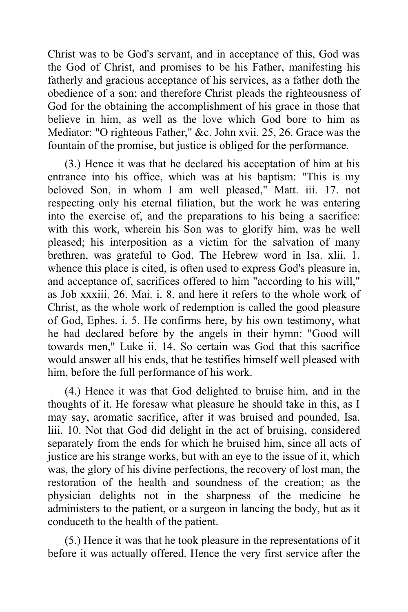Christ was to be God's servant, and in acceptance of this, God was the God of Christ, and promises to be his Father, manifesting his fatherly and gracious acceptance of his services, as a father doth the obedience of a son; and therefore Christ pleads the righteousness of God for the obtaining the accomplishment of his grace in those that believe in him, as well as the love which God bore to him as Mediator: "O righteous Father," &c. John xvii. 25, 26. Grace was the fountain of the promise, but justice is obliged for the performance.

(3.) Hence it was that he declared his acceptation of him at his entrance into his office, which was at his baptism: "This is my beloved Son, in whom I am well pleased," Matt. iii. 17. not respecting only his eternal filiation, but the work he was entering into the exercise of, and the preparations to his being a sacrifice: with this work, wherein his Son was to glorify him, was he well pleased; his interposition as a victim for the salvation of many brethren, was grateful to God. The Hebrew word in Isa. xlii. 1. whence this place is cited, is often used to express God's pleasure in, and acceptance of, sacrifices offered to him "according to his will," as Job xxxiii. 26. Mai. i. 8. and here it refers to the whole work of Christ, as the whole work of redemption is called the good pleasure of God, Ephes. i. 5. He confirms here, by his own testimony, what he had declared before by the angels in their hymn: "Good will towards men," Luke ii. 14. So certain was God that this sacrifice would answer all his ends, that he testifies himself well pleased with him, before the full performance of his work.

(4.) Hence it was that God delighted to bruise him, and in the thoughts of it. He foresaw what pleasure he should take in this, as I may say, aromatic sacrifice, after it was bruised and pounded, Isa. liii. 10. Not that God did delight in the act of bruising, considered separately from the ends for which he bruised him, since all acts of justice are his strange works, but with an eye to the issue of it, which was, the glory of his divine perfections, the recovery of lost man, the restoration of the health and soundness of the creation; as the physician delights not in the sharpness of the medicine he administers to the patient, or a surgeon in lancing the body, but as it conduceth to the health of the patient.

(5.) Hence it was that he took pleasure in the representations of it before it was actually offered. Hence the very first service after the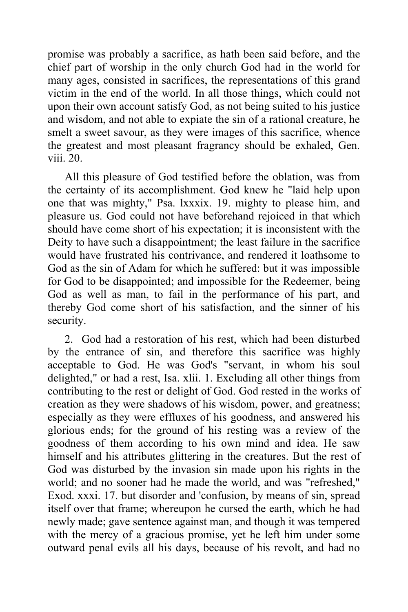promise was probably a sacrifice, as hath been said before, and the chief part of worship in the only church God had in the world for many ages, consisted in sacrifices, the representations of this grand victim in the end of the world. In all those things, which could not upon their own account satisfy God, as not being suited to his justice and wisdom, and not able to expiate the sin of a rational creature, he smelt a sweet savour, as they were images of this sacrifice, whence the greatest and most pleasant fragrancy should be exhaled, Gen. viii. 20.

All this pleasure of God testified before the oblation, was from the certainty of its accomplishment. God knew he "laid help upon one that was mighty," Psa. lxxxix. 19. mighty to please him, and pleasure us. God could not have beforehand rejoiced in that which should have come short of his expectation; it is inconsistent with the Deity to have such a disappointment; the least failure in the sacrifice would have frustrated his contrivance, and rendered it loathsome to God as the sin of Adam for which he suffered: but it was impossible for God to be disappointed; and impossible for the Redeemer, being God as well as man, to fail in the performance of his part, and thereby God come short of his satisfaction, and the sinner of his security.

2. God had a restoration of his rest, which had been disturbed by the entrance of sin, and therefore this sacrifice was highly acceptable to God. He was God's "servant, in whom his soul delighted," or had a rest, Isa. xlii. 1. Excluding all other things from contributing to the rest or delight of God. God rested in the works of creation as they were shadows of his wisdom, power, and greatness; especially as they were effluxes of his goodness, and answered his glorious ends; for the ground of his resting was a review of the goodness of them according to his own mind and idea. He saw himself and his attributes glittering in the creatures. But the rest of God was disturbed by the invasion sin made upon his rights in the world; and no sooner had he made the world, and was "refreshed," Exod. xxxi. 17. but disorder and 'confusion, by means of sin, spread itself over that frame; whereupon he cursed the earth, which he had newly made; gave sentence against man, and though it was tempered with the mercy of a gracious promise, yet he left him under some outward penal evils all his days, because of his revolt, and had no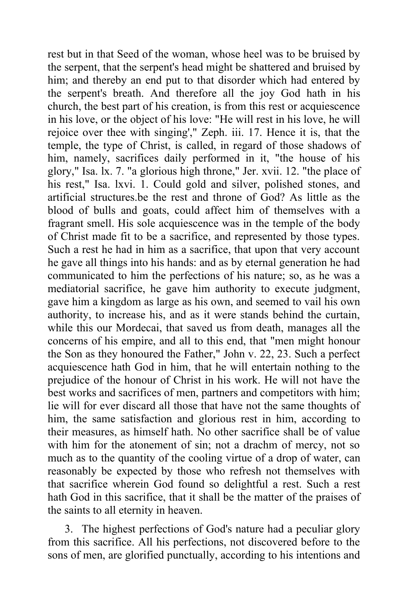rest but in that Seed of the woman, whose heel was to be bruised by the serpent, that the serpent's head might be shattered and bruised by him; and thereby an end put to that disorder which had entered by the serpent's breath. And therefore all the joy God hath in his church, the best part of his creation, is from this rest or acquiescence in his love, or the object of his love: "He will rest in his love, he will rejoice over thee with singing'," Zeph. iii. 17. Hence it is, that the temple, the type of Christ, is called, in regard of those shadows of him, namely, sacrifices daily performed in it, "the house of his glory," Isa. lx. 7. "a glorious high throne," Jer. xvii. 12. "the place of his rest," Isa. lxvi. 1. Could gold and silver, polished stones, and artificial structures.be the rest and throne of God? As little as the blood of bulls and goats, could affect him of themselves with a fragrant smell. His sole acquiescence was in the temple of the body of Christ made fit to be a sacrifice, and represented by those types. Such a rest he had in him as a sacrifice, that upon that very account he gave all things into his hands: and as by eternal generation he had communicated to him the perfections of his nature; so, as he was a mediatorial sacrifice, he gave him authority to execute judgment, gave him a kingdom as large as his own, and seemed to vail his own authority, to increase his, and as it were stands behind the curtain, while this our Mordecai, that saved us from death, manages all the concerns of his empire, and all to this end, that "men might honour the Son as they honoured the Father," John v. 22, 23. Such a perfect acquiescence hath God in him, that he will entertain nothing to the prejudice of the honour of Christ in his work. He will not have the best works and sacrifices of men, partners and competitors with him; lie will for ever discard all those that have not the same thoughts of him, the same satisfaction and glorious rest in him, according to their measures, as himself hath. No other sacrifice shall be of value with him for the atonement of sin; not a drachm of mercy, not so much as to the quantity of the cooling virtue of a drop of water, can reasonably be expected by those who refresh not themselves with that sacrifice wherein God found so delightful a rest. Such a rest hath God in this sacrifice, that it shall be the matter of the praises of the saints to all eternity in heaven.

3. The highest perfections of God's nature had a peculiar glory from this sacrifice. All his perfections, not discovered before to the sons of men, are glorified punctually, according to his intentions and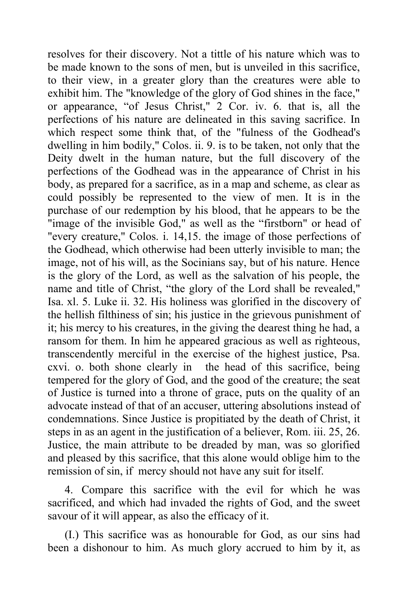resolves for their discovery. Not a tittle of his nature which was to be made known to the sons of men, but is unveiled in this sacrifice, to their view, in a greater glory than the creatures were able to exhibit him. The "knowledge of the glory of God shines in the face," or appearance, "of Jesus Christ," 2 Cor. iv. 6. that is, all the perfections of his nature are delineated in this saving sacrifice. In which respect some think that, of the "fulness of the Godhead's dwelling in him bodily," Colos. ii. 9. is to be taken, not only that the Deity dwelt in the human nature, but the full discovery of the perfections of the Godhead was in the appearance of Christ in his body, as prepared for a sacrifice, as in a map and scheme, as clear as could possibly be represented to the view of men. It is in the purchase of our redemption by his blood, that he appears to be the "image of the invisible God," as well as the "firstborn" or head of "every creature," Colos. i. 14,15. the image of those perfections of the Godhead, which otherwise had been utterly invisible to man; the image, not of his will, as the Socinians say, but of his nature. Hence is the glory of the Lord, as well as the salvation of his people, the name and title of Christ, "the glory of the Lord shall be revealed," Isa. xl. 5. Luke ii. 32. His holiness was glorified in the discovery of the hellish filthiness of sin; his justice in the grievous punishment of it; his mercy to his creatures, in the giving the dearest thing he had, a ransom for them. In him he appeared gracious as well as righteous, transcendently merciful in the exercise of the highest justice, Psa. cxvi. o. both shone clearly in the head of this sacrifice, being tempered for the glory of God, and the good of the creature; the seat of Justice is turned into a throne of grace, puts on the quality of an advocate instead of that of an accuser, uttering absolutions instead of condemnations. Since Justice is propitiated by the death of Christ, it steps in as an agent in the justification of a believer, Rom. iii. 25, 26. Justice, the main attribute to be dreaded by man, was so glorified and pleased by this sacrifice, that this alone would oblige him to the remission of sin, if mercy should not have any suit for itself.

4. Compare this sacrifice with the evil for which he was sacrificed, and which had invaded the rights of God, and the sweet savour of it will appear, as also the efficacy of it.

(I.) This sacrifice was as honourable for God, as our sins had been a dishonour to him. As much glory accrued to him by it, as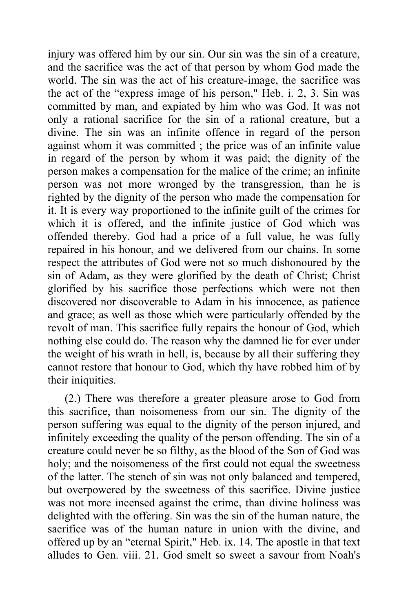injury was offered him by our sin. Our sin was the sin of a creature, and the sacrifice was the act of that person by whom God made the world. The sin was the act of his creature-image, the sacrifice was the act of the "express image of his person," Heb. i. 2, 3. Sin was committed by man, and expiated by him who was God. It was not only a rational sacrifice for the sin of a rational creature, but a divine. The sin was an infinite offence in regard of the person against whom it was committed ; the price was of an infinite value in regard of the person by whom it was paid; the dignity of the person makes a compensation for the malice of the crime; an infinite person was not more wronged by the transgression, than he is righted by the dignity of the person who made the compensation for it. It is every way proportioned to the infinite guilt of the crimes for which it is offered, and the infinite justice of God which was offended thereby. God had a price of a full value, he was fully repaired in his honour, and we delivered from our chains. In some respect the attributes of God were not so much dishonoured by the sin of Adam, as they were glorified by the death of Christ; Christ glorified by his sacrifice those perfections which were not then discovered nor discoverable to Adam in his innocence, as patience and grace; as well as those which were particularly offended by the revolt of man. This sacrifice fully repairs the honour of God, which nothing else could do. The reason why the damned lie for ever under the weight of his wrath in hell, is, because by all their suffering they cannot restore that honour to God, which thy have robbed him of by their iniquities.

(2.) There was therefore a greater pleasure arose to God from this sacrifice, than noisomeness from our sin. The dignity of the person suffering was equal to the dignity of the person injured, and infinitely exceeding the quality of the person offending. The sin of a creature could never be so filthy, as the blood of the Son of God was holy; and the noisomeness of the first could not equal the sweetness of the latter. The stench of sin was not only balanced and tempered, but overpowered by the sweetness of this sacrifice. Divine justice was not more incensed against the crime, than divine holiness was delighted with the offering. Sin was the sin of the human nature, the sacrifice was of the human nature in union with the divine, and offered up by an "eternal Spirit," Heb. ix. 14. The apostle in that text alludes to Gen. viii. 21. God smelt so sweet a savour from Noah's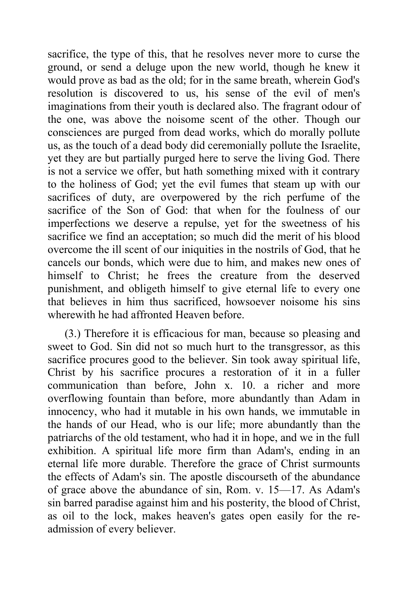sacrifice, the type of this, that he resolves never more to curse the ground, or send a deluge upon the new world, though he knew it would prove as bad as the old; for in the same breath, wherein God's resolution is discovered to us, his sense of the evil of men's imaginations from their youth is declared also. The fragrant odour of the one, was above the noisome scent of the other. Though our consciences are purged from dead works, which do morally pollute us, as the touch of a dead body did ceremonially pollute the Israelite, yet they are but partially purged here to serve the living God. There is not a service we offer, but hath something mixed with it contrary to the holiness of God; yet the evil fumes that steam up with our sacrifices of duty, are overpowered by the rich perfume of the sacrifice of the Son of God: that when for the foulness of our imperfections we deserve a repulse, yet for the sweetness of his sacrifice we find an acceptation; so much did the merit of his blood overcome the ill scent of our iniquities in the nostrils of God, that he cancels our bonds, which were due to him, and makes new ones of himself to Christ; he frees the creature from the deserved punishment, and obligeth himself to give eternal life to every one that believes in him thus sacrificed, howsoever noisome his sins wherewith he had affronted Heaven before.

(3.) Therefore it is efficacious for man, because so pleasing and sweet to God. Sin did not so much hurt to the transgressor, as this sacrifice procures good to the believer. Sin took away spiritual life, Christ by his sacrifice procures a restoration of it in a fuller communication than before, John x. 10. a richer and more overflowing fountain than before, more abundantly than Adam in innocency, who had it mutable in his own hands, we immutable in the hands of our Head, who is our life; more abundantly than the patriarchs of the old testament, who had it in hope, and we in the full exhibition. A spiritual life more firm than Adam's, ending in an eternal life more durable. Therefore the grace of Christ surmounts the effects of Adam's sin. The apostle discourseth of the abundance of grace above the abundance of sin, Rom. v. 15—17. As Adam's sin barred paradise against him and his posterity, the blood of Christ, as oil to the lock, makes heaven's gates open easily for the readmission of every believer.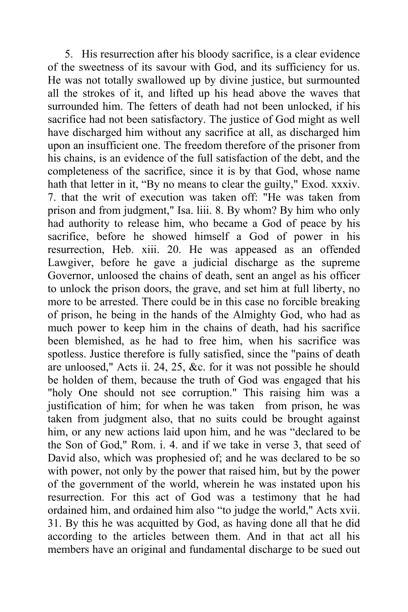5. His resurrection after his bloody sacrifice, is a clear evidence of the sweetness of its savour with God, and its sufficiency for us. He was not totally swallowed up by divine justice, but surmounted all the strokes of it, and lifted up his head above the waves that surrounded him. The fetters of death had not been unlocked, if his sacrifice had not been satisfactory. The justice of God might as well have discharged him without any sacrifice at all, as discharged him upon an insufficient one. The freedom therefore of the prisoner from his chains, is an evidence of the full satisfaction of the debt, and the completeness of the sacrifice, since it is by that God, whose name hath that letter in it, "By no means to clear the guilty," Exod. xxxiv. 7. that the writ of execution was taken off: "He was taken from prison and from judgment," Isa. liii. 8. By whom? By him who only had authority to release him, who became a God of peace by his sacrifice, before he showed himself a God of power in his resurrection, Heb. xiii. 20. He was appeased as an offended Lawgiver, before he gave a judicial discharge as the supreme Governor, unloosed the chains of death, sent an angel as his officer to unlock the prison doors, the grave, and set him at full liberty, no more to be arrested. There could be in this case no forcible breaking of prison, he being in the hands of the Almighty God, who had as much power to keep him in the chains of death, had his sacrifice been blemished, as he had to free him, when his sacrifice was spotless. Justice therefore is fully satisfied, since the "pains of death are unloosed," Acts ii. 24, 25, &c. for it was not possible he should be holden of them, because the truth of God was engaged that his "holy One should not see corruption." This raising him was a justification of him; for when he was taken from prison, he was taken from judgment also, that no suits could be brought against him, or any new actions laid upon him, and he was "declared to be the Son of God," Rom. i. 4. and if we take in verse 3, that seed of David also, which was prophesied of; and he was declared to be so with power, not only by the power that raised him, but by the power of the government of the world, wherein he was instated upon his resurrection. For this act of God was a testimony that he had ordained him, and ordained him also "to judge the world," Acts xvii. 31. By this he was acquitted by God, as having done all that he did according to the articles between them. And in that act all his members have an original and fundamental discharge to be sued out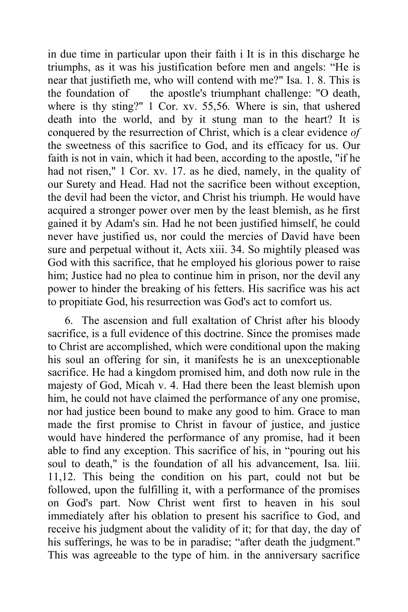in due time in particular upon their faith i It is in this discharge he triumphs, as it was his justification before men and angels: "He is near that justifieth me, who will contend with me?" Isa. 1. 8. This is the foundation of the apostle's triumphant challenge: "O death, the apostle's triumphant challenge: "O death, where is thy sting?" 1 Cor. xv. 55,56*.* Where is sin, that ushered death into the world, and by it stung man to the heart? It is conquered by the resurrection of Christ, which is a clear evidence *of* the sweetness of this sacrifice to God, and its efficacy for us. Our faith is not in vain, which it had been, according to the apostle, "if he had not risen," 1 Cor. xv. 17. as he died, namely, in the quality of our Surety and Head. Had not the sacrifice been without exception, the devil had been the victor, and Christ his triumph. He would have acquired a stronger power over men by the least blemish, as he first gained it by Adam's sin. Had he not been justified himself, he could never have justified us, nor could the mercies of David have been sure and perpetual without it, Acts xiii. 34. So mightily pleased was God with this sacrifice, that he employed his glorious power to raise him; Justice had no plea to continue him in prison, nor the devil any power to hinder the breaking of his fetters. His sacrifice was his act to propitiate God, his resurrection was God's act to comfort us.

6. The ascension and full exaltation of Christ after his bloody sacrifice, is a full evidence of this doctrine. Since the promises made to Christ are accomplished, which were conditional upon the making his soul an offering for sin, it manifests he is an unexceptionable sacrifice. He had a kingdom promised him, and doth now rule in the majesty of God, Micah v. 4. Had there been the least blemish upon him, he could not have claimed the performance of any one promise, nor had justice been bound to make any good to him. Grace to man made the first promise to Christ in favour of justice, and justice would have hindered the performance of any promise, had it been able to find any exception. This sacrifice of his, in "pouring out his soul to death," is the foundation of all his advancement, Isa. liii. 11,12. This being the condition on his part, could not but be followed, upon the fulfilling it, with a performance of the promises on God's part. Now Christ went first to heaven in his soul immediately after his oblation to present his sacrifice to God, and receive his judgment about the validity of it; for that day, the day of his sufferings, he was to be in paradise; "after death the judgment." This was agreeable to the type of him. in the anniversary sacrifice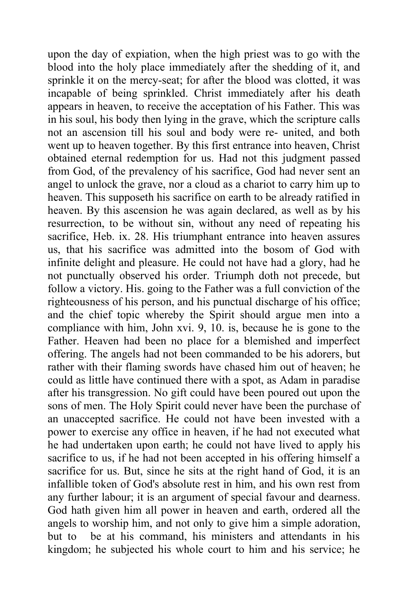upon the day of expiation, when the high priest was to go with the blood into the holy place immediately after the shedding of it, and sprinkle it on the mercy-seat; for after the blood was clotted, it was incapable of being sprinkled. Christ immediately after his death appears in heaven, to receive the acceptation of his Father. This was in his soul, his body then lying in the grave, which the scripture calls not an ascension till his soul and body were re- united, and both went up to heaven together. By this first entrance into heaven, Christ obtained eternal redemption for us. Had not this judgment passed from God, of the prevalency of his sacrifice, God had never sent an angel to unlock the grave, nor a cloud as a chariot to carry him up to heaven. This supposeth his sacrifice on earth to be already ratified in heaven. By this ascension he was again declared, as well as by his resurrection, to be without sin, without any need of repeating his sacrifice, Heb. ix. 28. His triumphant entrance into heaven assures us, that his sacrifice was admitted into the bosom of God with infinite delight and pleasure. He could not have had a glory, had he not punctually observed his order. Triumph doth not precede, but follow a victory. His. going to the Father was a full conviction of the righteousness of his person, and his punctual discharge of his office; and the chief topic whereby the Spirit should argue men into a compliance with him, John xvi. 9, 10. is, because he is gone to the Father. Heaven had been no place for a blemished and imperfect offering. The angels had not been commanded to be his adorers, but rather with their flaming swords have chased him out of heaven; he could as little have continued there with a spot, as Adam in paradise after his transgression. No gift could have been poured out upon the sons of men. The Holy Spirit could never have been the purchase of an unaccepted sacrifice. He could not have been invested with a power to exercise any office in heaven, if he had not executed what he had undertaken upon earth; he could not have lived to apply his sacrifice to us, if he had not been accepted in his offering himself a sacrifice for us. But, since he sits at the right hand of God, it is an infallible token of God's absolute rest in him, and his own rest from any further labour; it is an argument of special favour and dearness. God hath given him all power in heaven and earth, ordered all the angels to worship him, and not only to give him a simple adoration, but to be at his command, his ministers and attendants in his kingdom; he subjected his whole court to him and his service; he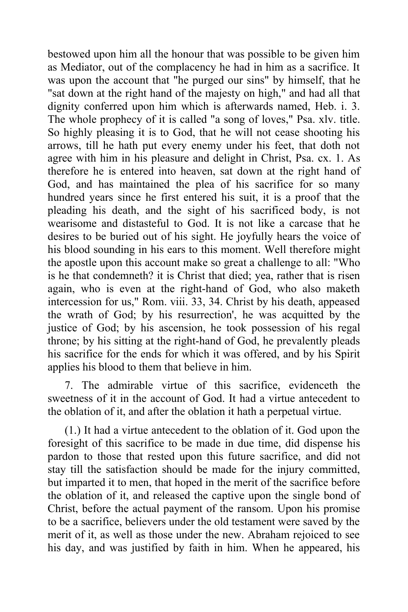bestowed upon him all the honour that was possible to be given him as Mediator, out of the complacency he had in him as a sacrifice. It was upon the account that "he purged our sins" by himself, that he "sat down at the right hand of the majesty on high," and had all that dignity conferred upon him which is afterwards named, Heb. i. 3. The whole prophecy of it is called "a song of loves," Psa. xlv. title. So highly pleasing it is to God, that he will not cease shooting his arrows, till he hath put every enemy under his feet, that doth not agree with him in his pleasure and delight in Christ, Psa. cx. 1. As therefore he is entered into heaven, sat down at the right hand of God, and has maintained the plea of his sacrifice for so many hundred years since he first entered his suit, it is a proof that the pleading his death, and the sight of his sacrificed body, is not wearisome and distasteful to God. It is not like a carcase that he desires to be buried out of his sight. He joyfully hears the voice of his blood sounding in his ears to this moment. Well therefore might the apostle upon this account make so great a challenge to all: "Who is he that condemneth? it is Christ that died; yea, rather that is risen again, who is even at the right-hand of God, who also maketh intercession for us," Rom. viii. 33, 34. Christ by his death, appeased the wrath of God; by his resurrection', he was acquitted by the justice of God; by his ascension, he took possession of his regal throne; by his sitting at the right-hand of God, he prevalently pleads his sacrifice for the ends for which it was offered, and by his Spirit applies his blood to them that believe in him.

7. The admirable virtue of this sacrifice, evidenceth the sweetness of it in the account of God. It had a virtue antecedent to the oblation of it, and after the oblation it hath a perpetual virtue.

(1.) It had a virtue antecedent to the oblation of it. God upon the foresight of this sacrifice to be made in due time, did dispense his pardon to those that rested upon this future sacrifice, and did not stay till the satisfaction should be made for the injury committed, but imparted it to men, that hoped in the merit of the sacrifice before the oblation of it, and released the captive upon the single bond of Christ, before the actual payment of the ransom. Upon his promise to be a sacrifice, believers under the old testament were saved by the merit of it, as well as those under the new. Abraham rejoiced to see his day, and was justified by faith in him. When he appeared, his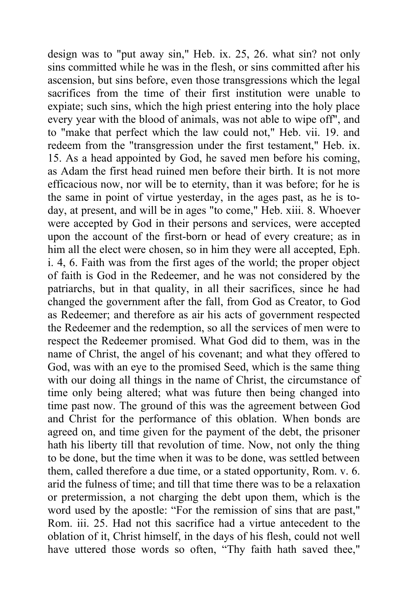design was to "put away sin," Heb. ix. 25, 26. what sin? not only sins committed while he was in the flesh, or sins committed after his ascension, but sins before, even those transgressions which the legal sacrifices from the time of their first institution were unable to expiate; such sins, which the high priest entering into the holy place every year with the blood of animals, was not able to wipe off", and to "make that perfect which the law could not," Heb. vii. 19. and redeem from the "transgression under the first testament," Heb. ix. 15. As a head appointed by God, he saved men before his coming, as Adam the first head ruined men before their birth. It is not more efficacious now, nor will be to eternity, than it was before; for he is the same in point of virtue yesterday, in the ages past, as he is today, at present, and will be in ages "to come," Heb. xiii. 8. Whoever were accepted by God in their persons and services, were accepted upon the account of the first-born or head of every creature; as in him all the elect were chosen, so in him they were all accepted, Eph. i. 4, 6. Faith was from the first ages of the world; the proper object of faith is God in the Redeemer, and he was not considered by the patriarchs, but in that quality, in all their sacrifices, since he had changed the government after the fall, from God as Creator, to God as Redeemer; and therefore as air his acts of government respected the Redeemer and the redemption, so all the services of men were to respect the Redeemer promised. What God did to them, was in the name of Christ, the angel of his covenant; and what they offered to God, was with an eye to the promised Seed, which is the same thing with our doing all things in the name of Christ, the circumstance of time only being altered; what was future then being changed into time past now. The ground of this was the agreement between God and Christ for the performance of this oblation. When bonds are agreed on, and time given for the payment of the debt, the prisoner hath his liberty till that revolution of time. Now, not only the thing to be done, but the time when it was to be done, was settled between them, called therefore a due time, or a stated opportunity, Rom. v. 6. arid the fulness of time; and till that time there was to be a relaxation or pretermission, a not charging the debt upon them, which is the word used by the apostle: "For the remission of sins that are past," Rom. iii. 25. Had not this sacrifice had a virtue antecedent to the oblation of it, Christ himself, in the days of his flesh, could not well have uttered those words so often, "Thy faith hath saved thee,"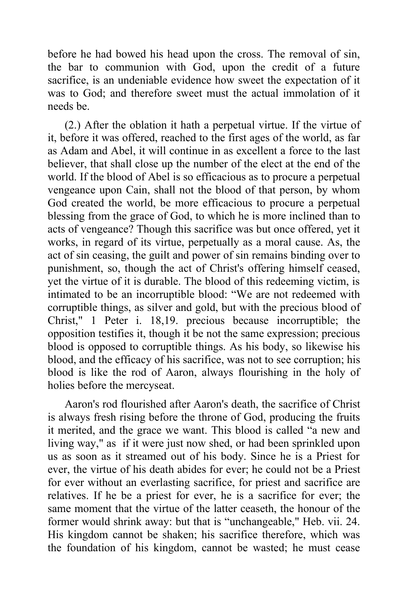before he had bowed his head upon the cross. The removal of sin, the bar to communion with God, upon the credit of a future sacrifice, is an undeniable evidence how sweet the expectation of it was to God; and therefore sweet must the actual immolation of it needs be.

(2.) After the oblation it hath a perpetual virtue. If the virtue of it, before it was offered, reached to the first ages of the world, as far as Adam and Abel, it will continue in as excellent a force to the last believer, that shall close up the number of the elect at the end of the world. If the blood of Abel is so efficacious as to procure a perpetual vengeance upon Cain, shall not the blood of that person, by whom God created the world, be more efficacious to procure a perpetual blessing from the grace of God, to which he is more inclined than to acts of vengeance? Though this sacrifice was but once offered, yet it works, in regard of its virtue, perpetually as a moral cause. As, the act of sin ceasing, the guilt and power of sin remains binding over to punishment, so, though the act of Christ's offering himself ceased, yet the virtue of it is durable. The blood of this redeeming victim, is intimated to be an incorruptible blood: "We are not redeemed with corruptible things, as silver and gold, but with the precious blood of Christ," 1 Peter i. 18,19. precious because incorruptible; the opposition testifies it, though it be not the same expression; precious blood is opposed to corruptible things. As his body, so likewise his blood, and the efficacy of his sacrifice, was not to see corruption; his blood is like the rod of Aaron, always flourishing in the holy of holies before the mercyseat.

Aaron's rod flourished after Aaron's death, the sacrifice of Christ is always fresh rising before the throne of God, producing the fruits it merited, and the grace we want. This blood is called "a new and living way," as if it were just now shed, or had been sprinkled upon us as soon as it streamed out of his body. Since he is a Priest for ever, the virtue of his death abides for ever; he could not be a Priest for ever without an everlasting sacrifice, for priest and sacrifice are relatives. If he be a priest for ever, he is a sacrifice for ever; the same moment that the virtue of the latter ceaseth, the honour of the former would shrink away: but that is "unchangeable," Heb. vii. 24. His kingdom cannot be shaken; his sacrifice therefore, which was the foundation of his kingdom, cannot be wasted; he must cease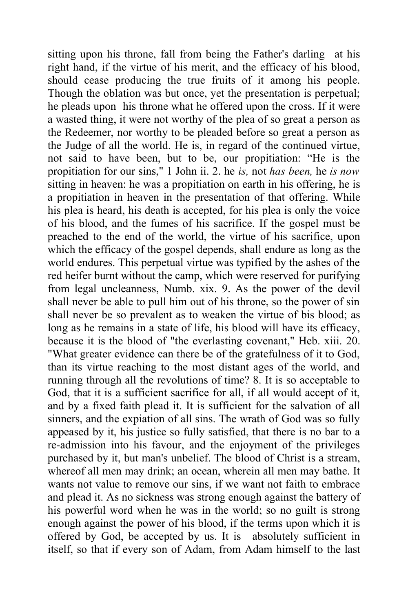sitting upon his throne, fall from being the Father's darling at his right hand, if the virtue of his merit, and the efficacy of his blood, should cease producing the true fruits of it among his people. Though the oblation was but once, yet the presentation is perpetual; he pleads upon his throne what he offered upon the cross. If it were a wasted thing, it were not worthy of the plea of so great a person as the Redeemer, nor worthy to be pleaded before so great a person as the Judge of all the world. He is, in regard of the continued virtue, not said to have been, but to be, our propitiation: "He is the propitiation for our sins," 1 John ii. 2. he *is,* not *has been,* he *is now* sitting in heaven: he was a propitiation on earth in his offering, he is a propitiation in heaven in the presentation of that offering. While his plea is heard, his death is accepted, for his plea is only the voice of his blood, and the fumes of his sacrifice. If the gospel must be preached to the end of the world, the virtue of his sacrifice, upon which the efficacy of the gospel depends, shall endure as long as the world endures. This perpetual virtue was typified by the ashes of the red heifer burnt without the camp, which were reserved for purifying from legal uncleanness, Numb. xix. 9. As the power of the devil shall never be able to pull him out of his throne, so the power of sin shall never be so prevalent as to weaken the virtue of bis blood; as long as he remains in a state of life, his blood will have its efficacy, because it is the blood of "the everlasting covenant," Heb. xiii. 20. "What greater evidence can there be of the gratefulness of it to God, than its virtue reaching to the most distant ages of the world, and running through all the revolutions of time? 8. It is so acceptable to God, that it is a sufficient sacrifice for all, if all would accept of it, and by a fixed faith plead it. It is sufficient for the salvation of all sinners, and the expiation of all sins. The wrath of God was so fully appeased by it, his justice so fully satisfied, that there is no bar to a re-admission into his favour, and the enjoyment of the privileges purchased by it, but man's unbelief. The blood of Christ is a stream, whereof all men may drink; an ocean, wherein all men may bathe. It wants not value to remove our sins, if we want not faith to embrace and plead it. As no sickness was strong enough against the battery of his powerful word when he was in the world; so no guilt is strong enough against the power of his blood, if the terms upon which it is offered by God, be accepted by us. It is absolutely sufficient in itself, so that if every son of Adam, from Adam himself to the last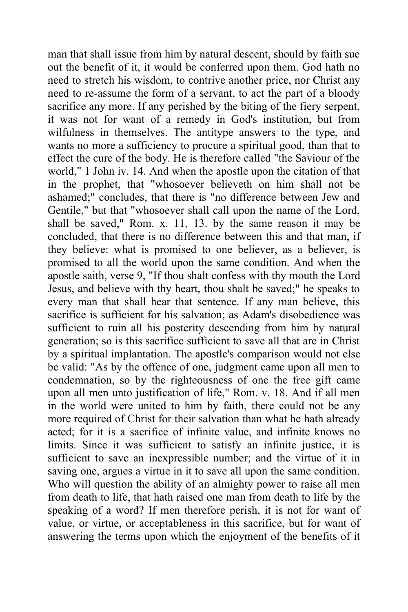man that shall issue from him by natural descent, should by faith sue out the benefit of it, it would be conferred upon them. God hath no need to stretch his wisdom, to contrive another price, nor Christ any need to re-assume the form of a servant, to act the part of a bloody sacrifice any more. If any perished by the biting of the fiery serpent, it was not for want of a remedy in God's institution, but from wilfulness in themselves. The antitype answers to the type, and wants no more a sufficiency to procure a spiritual good, than that to effect the cure of the body. He is therefore called "the Saviour of the world," 1 John iv. 14. And when the apostle upon the citation of that in the prophet, that "whosoever believeth on him shall not be ashamed;" concludes, that there is "no difference between Jew and Gentile," but that "whosoever shall call upon the name of the Lord, shall be saved," Rom. x. 11, 13. by the same reason it may be concluded, that there is no difference between this and that man, if they believe: what is promised to one believer, as a believer, is promised to all the world upon the same condition. And when the apostle saith, verse 9, "If thou shalt confess with thy mouth the Lord Jesus, and believe with thy heart, thou shalt be saved;" he speaks to every man that shall hear that sentence. If any man believe, this sacrifice is sufficient for his salvation; as Adam's disobedience was sufficient to ruin all his posterity descending from him by natural generation; so is this sacrifice sufficient to save all that are in Christ by a spiritual implantation. The apostle's comparison would not else be valid: "As by the offence of one, judgment came upon all men to condemnation, so by the righteousness of one the free gift came upon all men unto justification of life," Rom. v. 18. And if all men in the world were united to him by faith, there could not be any more required of Christ for their salvation than what he hath already acted; for it is a sacrifice of infinite value, and infinite knows no limits. Since it was sufficient to satisfy an infinite justice, it is sufficient to save an inexpressible number; and the virtue of it in saving one, argues a virtue in it to save all upon the same condition. Who will question the ability of an almighty power to raise all men from death to life, that hath raised one man from death to life by the speaking of a word? If men therefore perish, it is not for want of value, or virtue, or acceptableness in this sacrifice, but for want of answering the terms upon which the enjoyment of the benefits of it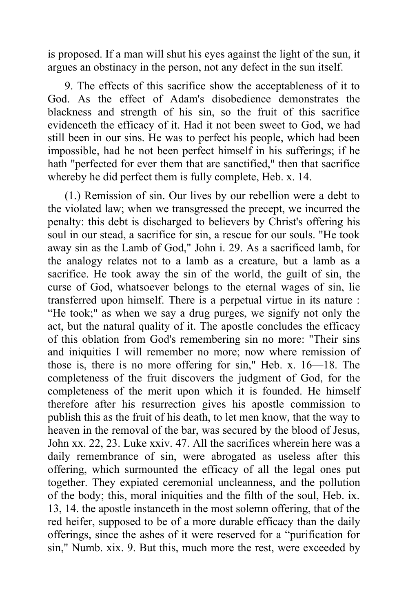is proposed. If a man will shut his eyes against the light of the sun, it argues an obstinacy in the person, not any defect in the sun itself.

9. The effects of this sacrifice show the acceptableness of it to God. As the effect of Adam's disobedience demonstrates the blackness and strength of his sin, so the fruit of this sacrifice evidenceth the efficacy of it. Had it not been sweet to God, we had still been in our sins. He was to perfect his people, which had been impossible, had he not been perfect himself in his sufferings; if he hath "perfected for ever them that are sanctified," then that sacrifice whereby he did perfect them is fully complete, Heb. x. 14.

(1.) Remission of sin. Our lives by our rebellion were a debt to the violated law; when we transgressed the precept, we incurred the penalty: this debt is discharged to believers by Christ's offering his soul in our stead, a sacrifice for sin, a rescue for our souls. "He took away sin as the Lamb of God," John i. 29. As a sacrificed lamb, for the analogy relates not to a lamb as a creature, but a lamb as a sacrifice. He took away the sin of the world, the guilt of sin, the curse of God, whatsoever belongs to the eternal wages of sin, lie transferred upon himself. There is a perpetual virtue in its nature : "He took;" as when we say a drug purges, we signify not only the act, but the natural quality of it. The apostle concludes the efficacy of this oblation from God's remembering sin no more: "Their sins and iniquities I will remember no more; now where remission of those is, there is no more offering for sin," Heb. x. 16—18. The completeness of the fruit discovers the judgment of God, for the completeness of the merit upon which it is founded. He himself therefore after his resurrection gives his apostle commission to publish this as the fruit of his death, to let men know, that the way to heaven in the removal of the bar, was secured by the blood of Jesus, John xx. 22, 23. Luke xxiv. 47. All the sacrifices wherein here was a daily remembrance of sin, were abrogated as useless after this offering, which surmounted the efficacy of all the legal ones put together. They expiated ceremonial uncleanness, and the pollution of the body; this, moral iniquities and the filth of the soul, Heb. ix. 13, 14. the apostle instanceth in the most solemn offering, that of the red heifer, supposed to be of a more durable efficacy than the daily offerings, since the ashes of it were reserved for a "purification for sin," Numb. xix. 9. But this, much more the rest, were exceeded by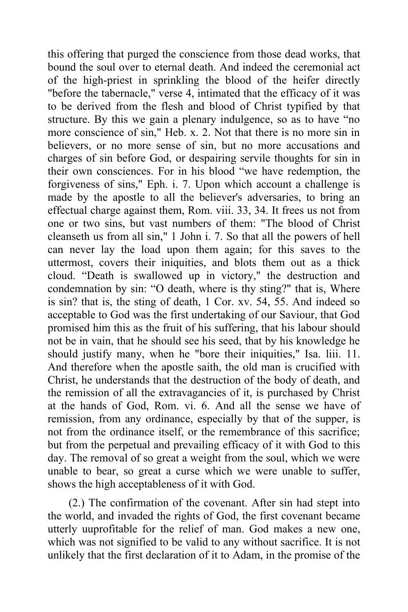this offering that purged the conscience from those dead works, that bound the soul over to eternal death. And indeed the ceremonial act of the high-priest in sprinkling the blood of the heifer directly "before the tabernacle," verse 4, intimated that the efficacy of it was to be derived from the flesh and blood of Christ typified by that structure. By this we gain a plenary indulgence, so as to have "no more conscience of sin," Heb. x. 2. Not that there is no more sin in believers, or no more sense of sin, but no more accusations and charges of sin before God, or despairing servile thoughts for sin in their own consciences. For in his blood "we have redemption, the forgiveness of sins," Eph. i. 7. Upon which account a challenge is made by the apostle to all the believer's adversaries, to bring an effectual charge against them, Rom. viii. 33, 34. It frees us not from one or two sins, but vast numbers of them: "The blood of Christ cleanseth us from all sin," 1 John i. 7. So that all the powers of hell can never lay the load upon them again; for this saves to the uttermost, covers their iniquities, and blots them out as a thick cloud. "Death is swallowed up in victory," the destruction and condemnation by sin: "O death, where is thy sting?" that is, Where is sin? that is, the sting of death, 1 Cor. xv. 54, 55. And indeed so acceptable to God was the first undertaking of our Saviour, that God promised him this as the fruit of his suffering, that his labour should not be in vain, that he should see his seed, that by his knowledge he should justify many, when he "bore their iniquities," Isa. liii. 11. And therefore when the apostle saith, the old man is crucified with Christ, he understands that the destruction of the body of death, and the remission of all the extravagancies of it, is purchased by Christ at the hands of God, Rom. vi. 6. And all the sense we have of remission, from any ordinance, especially by that of the supper, is not from the ordinance itself, or the remembrance of this sacrifice; but from the perpetual and prevailing efficacy of it with God to this day. The removal of so great a weight from the soul, which we were unable to bear, so great a curse which we were unable to suffer, shows the high acceptableness of it with God.

 (2.) The confirmation of the covenant. After sin had stept into the world, and invaded the rights of God, the first covenant became utterly uuprofitable for the relief of man. God makes a new one, which was not signified to be valid to any without sacrifice. It is not unlikely that the first declaration of it to Adam, in the promise of the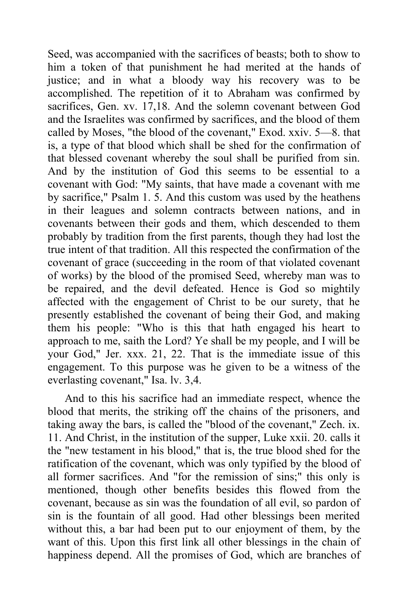Seed, was accompanied with the sacrifices of beasts; both to show to him a token of that punishment he had merited at the hands of justice; and in what a bloody way his recovery was to be accomplished. The repetition of it to Abraham was confirmed by sacrifices, Gen. xv. 17,18. And the solemn covenant between God and the Israelites was confirmed by sacrifices, and the blood of them called by Moses, "the blood of the covenant," Exod. xxiv. 5—8. that is, a type of that blood which shall be shed for the confirmation of that blessed covenant whereby the soul shall be purified from sin. And by the institution of God this seems to be essential to a covenant with God: "My saints, that have made a covenant with me by sacrifice," Psalm 1. 5. And this custom was used by the heathens in their leagues and solemn contracts between nations, and in covenants between their gods and them, which descended to them probably by tradition from the first parents, though they had lost the true intent of that tradition. All this respected the confirmation of the covenant of grace (succeeding in the room of that violated covenant of works) by the blood of the promised Seed, whereby man was to be repaired, and the devil defeated. Hence is God so mightily affected with the engagement of Christ to be our surety, that he presently established the covenant of being their God, and making them his people: "Who is this that hath engaged his heart to approach to me, saith the Lord? Ye shall be my people, and I will be your God," Jer. xxx. 21, 22. That is the immediate issue of this engagement. To this purpose was he given to be a witness of the everlasting covenant," Isa. lv. 3,4.

And to this his sacrifice had an immediate respect, whence the blood that merits, the striking off the chains of the prisoners, and taking away the bars, is called the "blood of the covenant," Zech. ix. 11. And Christ, in the institution of the supper, Luke xxii. 20. calls it the "new testament in his blood," that is, the true blood shed for the ratification of the covenant, which was only typified by the blood of all former sacrifices. And "for the remission of sins;" this only is mentioned, though other benefits besides this flowed from the covenant, because as sin was the foundation of all evil, so pardon of sin is the fountain of all good. Had other blessings been merited without this, a bar had been put to our enjoyment of them, by the want of this. Upon this first link all other blessings in the chain of happiness depend. All the promises of God, which are branches of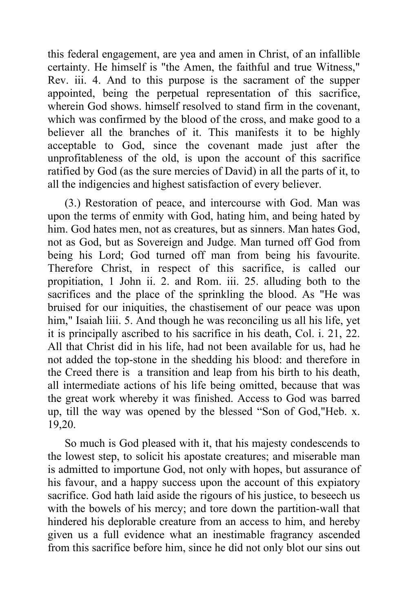this federal engagement, are yea and amen in Christ, of an infallible certainty. He himself is "the Amen, the faithful and true Witness," Rev. iii. 4. And to this purpose is the sacrament of the supper appointed, being the perpetual representation of this sacrifice, wherein God shows. himself resolved to stand firm in the covenant, which was confirmed by the blood of the cross, and make good to a believer all the branches of it. This manifests it to be highly acceptable to God, since the covenant made just after the unprofitableness of the old, is upon the account of this sacrifice ratified by God (as the sure mercies of David) in all the parts of it, to all the indigencies and highest satisfaction of every believer.

(3.) Restoration of peace, and intercourse with God. Man was upon the terms of enmity with God, hating him, and being hated by him. God hates men, not as creatures, but as sinners. Man hates God, not as God, but as Sovereign and Judge. Man turned off God from being his Lord; God turned off man from being his favourite. Therefore Christ, in respect of this sacrifice, is called our propitiation, 1 John ii. 2. and Rom. iii. 25. alluding both to the sacrifices and the place of the sprinkling the blood. As "He was bruised for our iniquities, the chastisement of our peace was upon him," Isaiah liii. 5. And though he was reconciling us all his life, yet it is principally ascribed to his sacrifice in his death, Col. i. 21, 22. All that Christ did in his life, had not been available for us, had he not added the top-stone in the shedding his blood: and therefore in the Creed there is a transition and leap from his birth to his death, all intermediate actions of his life being omitted, because that was the great work whereby it was finished. Access to God was barred up, till the way was opened by the blessed "Son of God,"Heb. x. 19,20.

So much is God pleased with it, that his majesty condescends to the lowest step, to solicit his apostate creatures; and miserable man is admitted to importune God, not only with hopes, but assurance of his favour, and a happy success upon the account of this expiatory sacrifice. God hath laid aside the rigours of his justice, to beseech us with the bowels of his mercy; and tore down the partition-wall that hindered his deplorable creature from an access to him, and hereby given us a full evidence what an inestimable fragrancy ascended from this sacrifice before him, since he did not only blot our sins out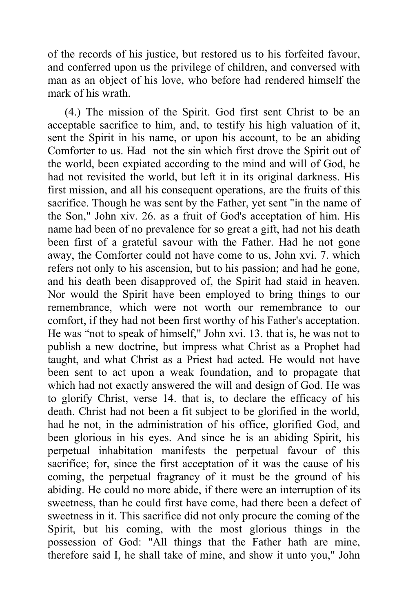of the records of his justice, but restored us to his forfeited favour, and conferred upon us the privilege of children, and conversed with man as an object of his love, who before had rendered himself the mark of his wrath.

(4.) The mission of the Spirit. God first sent Christ to be an acceptable sacrifice to him, and, to testify his high valuation of it, sent the Spirit in his name, or upon his account, to be an abiding Comforter to us. Had not the sin which first drove the Spirit out of the world, been expiated according to the mind and will of God, he had not revisited the world, but left it in its original darkness. His first mission, and all his consequent operations, are the fruits of this sacrifice. Though he was sent by the Father, yet sent "in the name of the Son," John xiv. 26. as a fruit of God's acceptation of him. His name had been of no prevalence for so great a gift, had not his death been first of a grateful savour with the Father. Had he not gone away, the Comforter could not have come to us, John xvi. 7. which refers not only to his ascension, but to his passion; and had he gone, and his death been disapproved of, the Spirit had staid in heaven. Nor would the Spirit have been employed to bring things to our remembrance, which were not worth our remembrance to our comfort, if they had not been first worthy of his Father's acceptation. He was "not to speak of himself," John xvi. 13. that is, he was not to publish a new doctrine, but impress what Christ as a Prophet had taught, and what Christ as a Priest had acted. He would not have been sent to act upon a weak foundation, and to propagate that which had not exactly answered the will and design of God. He was to glorify Christ, verse 14. that is, to declare the efficacy of his death. Christ had not been a fit subject to be glorified in the world, had he not, in the administration of his office, glorified God, and been glorious in his eyes. And since he is an abiding Spirit, his perpetual inhabitation manifests the perpetual favour of this sacrifice; for, since the first acceptation of it was the cause of his coming, the perpetual fragrancy of it must be the ground of his abiding. He could no more abide, if there were an interruption of its sweetness, than he could first have come, had there been a defect of sweetness in it. This sacrifice did not only procure the coming of the Spirit, but his coming, with the most glorious things in the possession of God: "All things that the Father hath are mine, therefore said I, he shall take of mine, and show it unto you," John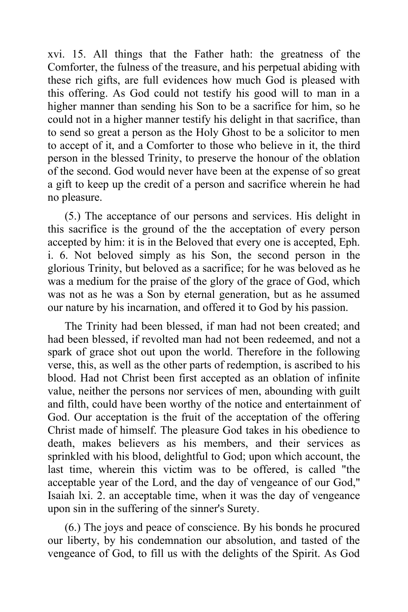xvi. 15. All things that the Father hath: the greatness of the Comforter, the fulness of the treasure, and his perpetual abiding with these rich gifts, are full evidences how much God is pleased with this offering. As God could not testify his good will to man in a higher manner than sending his Son to be a sacrifice for him, so he could not in a higher manner testify his delight in that sacrifice, than to send so great a person as the Holy Ghost to be a solicitor to men to accept of it, and a Comforter to those who believe in it, the third person in the blessed Trinity, to preserve the honour of the oblation of the second. God would never have been at the expense of so great a gift to keep up the credit of a person and sacrifice wherein he had no pleasure.

(5.) The acceptance of our persons and services. His delight in this sacrifice is the ground of the the acceptation of every person accepted by him: it is in the Beloved that every one is accepted, Eph. i. 6. Not beloved simply as his Son, the second person in the glorious Trinity, but beloved as a sacrifice; for he was beloved as he was a medium for the praise of the glory of the grace of God, which was not as he was a Son by eternal generation, but as he assumed our nature by his incarnation, and offered it to God by his passion.

The Trinity had been blessed, if man had not been created; and had been blessed, if revolted man had not been redeemed, and not a spark of grace shot out upon the world. Therefore in the following verse, this, as well as the other parts of redemption, is ascribed to his blood. Had not Christ been first accepted as an oblation of infinite value, neither the persons nor services of men, abounding with guilt and filth, could have been worthy of the notice and entertainment of God. Our acceptation is the fruit of the acceptation of the offering Christ made of himself. The pleasure God takes in his obedience to death, makes believers as his members, and their services as sprinkled with his blood, delightful to God; upon which account, the last time, wherein this victim was to be offered, is called "the acceptable year of the Lord, and the day of vengeance of our God," Isaiah lxi. 2. an acceptable time, when it was the day of vengeance upon sin in the suffering of the sinner's Surety.

(6.) The joys and peace of conscience. By his bonds he procured our liberty, by his condemnation our absolution, and tasted of the vengeance of God, to fill us with the delights of the Spirit. As God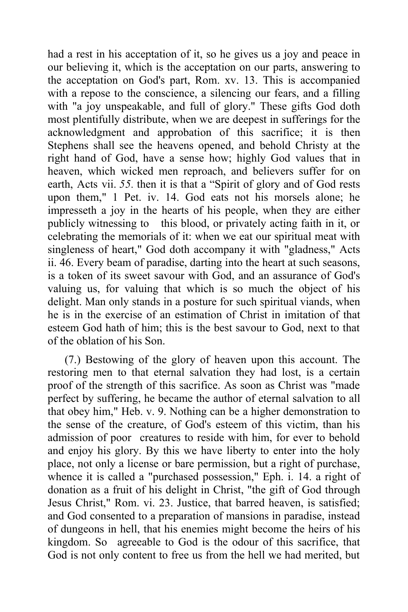had a rest in his acceptation of it, so he gives us a joy and peace in our believing it, which is the acceptation on our parts, answering to the acceptation on God's part, Rom. xv. 13. This is accompanied with a repose to the conscience, a silencing our fears, and a filling with "a joy unspeakable, and full of glory." These gifts God doth most plentifully distribute, when we are deepest in sufferings for the acknowledgment and approbation of this sacrifice; it is then Stephens shall see the heavens opened, and behold Christy at the right hand of God, have a sense how; highly God values that in heaven, which wicked men reproach, and believers suffer for on earth, Acts vii. *55.* then it is that a "Spirit of glory and of God rests upon them," 1 Pet. iv. 14. God eats not his morsels alone; he impresseth a joy in the hearts of his people, when they are either publicly witnessing to this blood, or privately acting faith in it, or celebrating the memorials of it: when we eat our spiritual meat with singleness of heart," God doth accompany it with "gladness," Acts ii. 46. Every beam of paradise, darting into the heart at such seasons, is a token of its sweet savour with God, and an assurance of God's valuing us, for valuing that which is so much the object of his delight. Man only stands in a posture for such spiritual viands, when he is in the exercise of an estimation of Christ in imitation of that esteem God hath of him; this is the best savour to God, next to that of the oblation of his Son.

(7.) Bestowing of the glory of heaven upon this account. The restoring men to that eternal salvation they had lost, is a certain proof of the strength of this sacrifice. As soon as Christ was "made perfect by suffering, he became the author of eternal salvation to all that obey him," Heb. v. 9. Nothing can be a higher demonstration to the sense of the creature, of God's esteem of this victim, than his admission of poor creatures to reside with him, for ever to behold and enjoy his glory. By this we have liberty to enter into the holy place, not only a license or bare permission, but a right of purchase, whence it is called a "purchased possession," Eph. i. 14. a right of donation as a fruit of his delight in Christ, "the gift of God through Jesus Christ," Rom. vi. 23. Justice, that barred heaven, is satisfied; and God consented to a preparation of mansions in paradise, instead of dungeons in hell, that his enemies might become the heirs of his kingdom. So agreeable to God is the odour of this sacrifice, that God is not only content to free us from the hell we had merited, but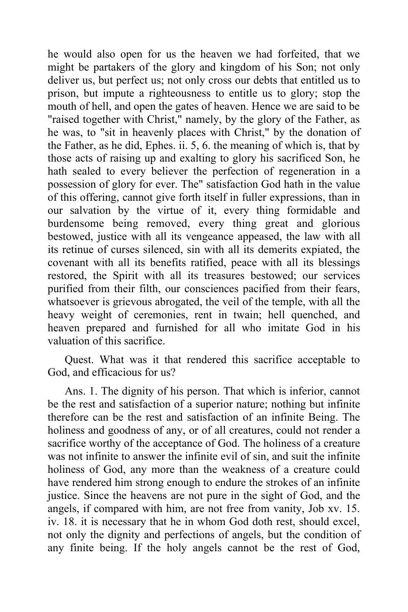he would also open for us the heaven we had forfeited, that we might be partakers of the glory and kingdom of his Son; not only deliver us, but perfect us; not only cross our debts that entitled us to prison, but impute a righteousness to entitle us to glory; stop the mouth of hell, and open the gates of heaven. Hence we are said to be "raised together with Christ," namely, by the glory of the Father, as he was, to "sit in heavenly places with Christ," by the donation of the Father, as he did, Ephes. ii. 5, 6. the meaning of which is, that by those acts of raising up and exalting to glory his sacrificed Son, he hath sealed to every believer the perfection of regeneration in a possession of glory for ever. The" satisfaction God hath in the value of this offering, cannot give forth itself in fuller expressions, than in our salvation by the virtue of it, every thing formidable and burdensome being removed, every thing great and glorious bestowed, justice with all its vengeance appeased, the law with all its retinue of curses silenced, sin with all its demerits expiated, the covenant with all its benefits ratified, peace with all its blessings restored, the Spirit with all its treasures bestowed; our services purified from their filth, our consciences pacified from their fears, whatsoever is grievous abrogated, the veil of the temple, with all the heavy weight of ceremonies, rent in twain; hell quenched, and heaven prepared and furnished for all who imitate God in his valuation of this sacrifice.

Quest. What was it that rendered this sacrifice acceptable to God, and efficacious for us?

Ans. 1. The dignity of his person. That which is inferior, cannot be the rest and satisfaction of a superior nature; nothing but infinite therefore can be the rest and satisfaction of an infinite Being. The holiness and goodness of any, or of all creatures, could not render a sacrifice worthy of the acceptance of God. The holiness of a creature was not infinite to answer the infinite evil of sin, and suit the infinite holiness of God, any more than the weakness of a creature could have rendered him strong enough to endure the strokes of an infinite justice. Since the heavens are not pure in the sight of God, and the angels, if compared with him, are not free from vanity, Job xv. 15. iv. 18. it is necessary that he in whom God doth rest, should excel, not only the dignity and perfections of angels, but the condition of any finite being. If the holy angels cannot be the rest of God,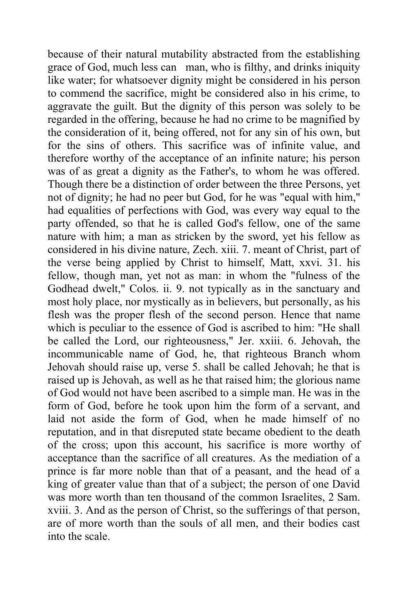because of their natural mutability abstracted from the establishing grace of God, much less can man, who is filthy, and drinks iniquity like water; for whatsoever dignity might be considered in his person to commend the sacrifice, might be considered also in his crime, to aggravate the guilt. But the dignity of this person was solely to be regarded in the offering, because he had no crime to be magnified by the consideration of it, being offered, not for any sin of his own, but for the sins of others. This sacrifice was of infinite value, and therefore worthy of the acceptance of an infinite nature; his person was of as great a dignity as the Father's, to whom he was offered. Though there be a distinction of order between the three Persons, yet not of dignity; he had no peer but God, for he was "equal with him," had equalities of perfections with God, was every way equal to the party offended, so that he is called God's fellow, one of the same nature with him; a man as stricken by the sword, yet his fellow as considered in his divine nature, Zech. xiii. 7. meant of Christ, part of the verse being applied by Christ to himself, Matt, xxvi. 31. his fellow, though man, yet not as man: in whom the "fulness of the Godhead dwelt," Colos. ii. 9. not typically as in the sanctuary and most holy place, nor mystically as in believers, but personally, as his flesh was the proper flesh of the second person. Hence that name which is peculiar to the essence of God is ascribed to him: "He shall be called the Lord, our righteousness," Jer. xxiii. 6. Jehovah, the incommunicable name of God, he, that righteous Branch whom Jehovah should raise up, verse 5. shall be called Jehovah; he that is raised up is Jehovah, as well as he that raised him; the glorious name of God would not have been ascribed to a simple man. He was in the form of God, before he took upon him the form of a servant, and laid not aside the form of God, when he made himself of no reputation, and in that disreputed state became obedient to the death of the cross; upon this account, his sacrifice is more worthy of acceptance than the sacrifice of all creatures. As the mediation of a prince is far more noble than that of a peasant, and the head of a king of greater value than that of a subject; the person of one David was more worth than ten thousand of the common Israelites, 2 Sam. xviii. 3. And as the person of Christ, so the sufferings of that person, are of more worth than the souls of all men, and their bodies cast into the scale.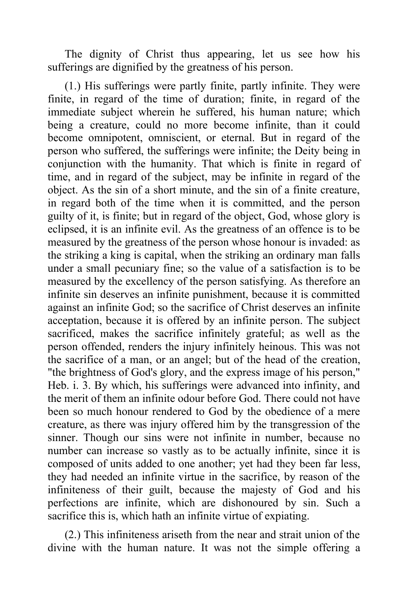The dignity of Christ thus appearing, let us see how his sufferings are dignified by the greatness of his person.

(1.) His sufferings were partly finite, partly infinite. They were finite, in regard of the time of duration; finite, in regard of the immediate subject wherein he suffered, his human nature; which being a creature, could no more become infinite, than it could become omnipotent, omniscient, or eternal. But in regard of the person who suffered, the sufferings were infinite; the Deity being in conjunction with the humanity. That which is finite in regard of time, and in regard of the subject, may be infinite in regard of the object. As the sin of a short minute, and the sin of a finite creature, in regard both of the time when it is committed, and the person guilty of it, is finite; but in regard of the object, God, whose glory is eclipsed, it is an infinite evil. As the greatness of an offence is to be measured by the greatness of the person whose honour is invaded: as the striking a king is capital, when the striking an ordinary man falls under a small pecuniary fine; so the value of a satisfaction is to be measured by the excellency of the person satisfying. As therefore an infinite sin deserves an infinite punishment, because it is committed against an infinite God; so the sacrifice of Christ deserves an infinite acceptation, because it is offered by an infinite person. The subject sacrificed, makes the sacrifice infinitely grateful; as well as the person offended, renders the injury infinitely heinous. This was not the sacrifice of a man, or an angel; but of the head of the creation, "the brightness of God's glory, and the express image of his person," Heb. i. 3. By which, his sufferings were advanced into infinity, and the merit of them an infinite odour before God. There could not have been so much honour rendered to God by the obedience of a mere creature, as there was injury offered him by the transgression of the sinner. Though our sins were not infinite in number, because no number can increase so vastly as to be actually infinite, since it is composed of units added to one another; yet had they been far less, they had needed an infinite virtue in the sacrifice, by reason of the infiniteness of their guilt, because the majesty of God and his perfections are infinite, which are dishonoured by sin. Such a sacrifice this is, which hath an infinite virtue of expiating.

(2.) This infiniteness ariseth from the near and strait union of the divine with the human nature. It was not the simple offering a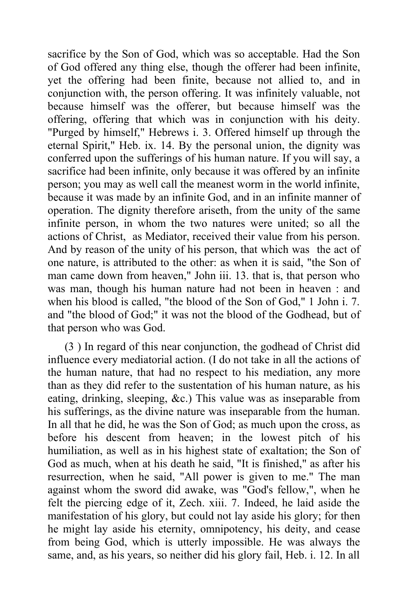sacrifice by the Son of God, which was so acceptable. Had the Son of God offered any thing else, though the offerer had been infinite, yet the offering had been finite, because not allied to, and in conjunction with, the person offering. It was infinitely valuable, not because himself was the offerer, but because himself was the offering, offering that which was in conjunction with his deity. "Purged by himself," Hebrews i. 3. Offered himself up through the eternal Spirit," Heb. ix. 14. By the personal union, the dignity was conferred upon the sufferings of his human nature. If you will say, a sacrifice had been infinite, only because it was offered by an infinite person; you may as well call the meanest worm in the world infinite, because it was made by an infinite God, and in an infinite manner of operation. The dignity therefore ariseth, from the unity of the same infinite person, in whom the two natures were united; so all the actions of Christ, as Mediator, received their value from his person. And by reason of the unity of his person, that which was the act of one nature, is attributed to the other: as when it is said, "the Son of man came down from heaven," John iii. 13. that is, that person who was man, though his human nature had not been in heaven : and when his blood is called, "the blood of the Son of God," 1 John i. 7. and "the blood of God;" it was not the blood of the Godhead, but of that person who was God.

(3 ) In regard of this near conjunction, the godhead of Christ did influence every mediatorial action. (I do not take in all the actions of the human nature, that had no respect to his mediation, any more than as they did refer to the sustentation of his human nature, as his eating, drinking, sleeping, &c.) This value was as inseparable from his sufferings, as the divine nature was inseparable from the human. In all that he did, he was the Son of God; as much upon the cross, as before his descent from heaven; in the lowest pitch of his humiliation, as well as in his highest state of exaltation; the Son of God as much, when at his death he said, "It is finished," as after his resurrection, when he said, "All power is given to me." The man against whom the sword did awake, was "God's fellow,", when he felt the piercing edge of it, Zech. xiii. 7. Indeed, he laid aside the manifestation of his glory, but could not lay aside his glory; for then he might lay aside his eternity, omnipotency, his deity, and cease from being God, which is utterly impossible. He was always the same, and, as his years, so neither did his glory fail, Heb. i. 12. In all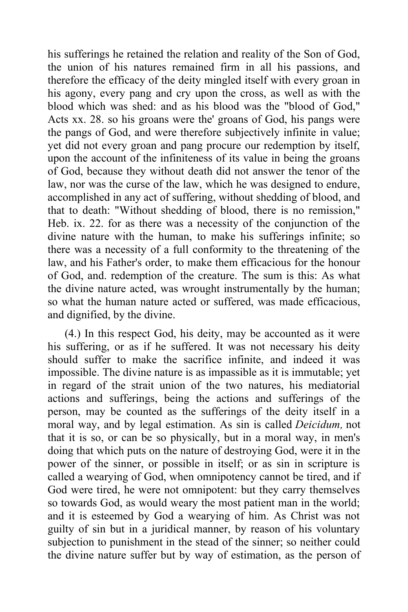his sufferings he retained the relation and reality of the Son of God, the union of his natures remained firm in all his passions, and therefore the efficacy of the deity mingled itself with every groan in his agony, every pang and cry upon the cross, as well as with the blood which was shed: and as his blood was the "blood of God," Acts xx. 28. so his groans were the' groans of God, his pangs were the pangs of God, and were therefore subjectively infinite in value; yet did not every groan and pang procure our redemption by itself, upon the account of the infiniteness of its value in being the groans of God, because they without death did not answer the tenor of the law, nor was the curse of the law, which he was designed to endure, accomplished in any act of suffering, without shedding of blood, and that to death: "Without shedding of blood, there is no remission," Heb. ix. 22. for as there was a necessity of the conjunction of the divine nature with the human, to make his sufferings infinite; so there was a necessity of a full conformity to the threatening of the law, and his Father's order, to make them efficacious for the honour of God, and. redemption of the creature. The sum is this: As what the divine nature acted, was wrought instrumentally by the human; so what the human nature acted or suffered, was made efficacious, and dignified, by the divine.

(4.) In this respect God, his deity, may be accounted as it were his suffering, or as if he suffered. It was not necessary his deity should suffer to make the sacrifice infinite, and indeed it was impossible. The divine nature is as impassible as it is immutable; yet in regard of the strait union of the two natures, his mediatorial actions and sufferings, being the actions and sufferings of the person, may be counted as the sufferings of the deity itself in a moral way, and by legal estimation. As sin is called *Deicidum,* not that it is so, or can be so physically, but in a moral way, in men's doing that which puts on the nature of destroying God, were it in the power of the sinner, or possible in itself; or as sin in scripture is called a wearying of God, when omnipotency cannot be tired, and if God were tired, he were not omnipotent: but they carry themselves so towards God, as would weary the most patient man in the world; and it is esteemed by God a wearying of him. As Christ was not guilty of sin but in a juridical manner, by reason of his voluntary subjection to punishment in the stead of the sinner; so neither could the divine nature suffer but by way of estimation, as the person of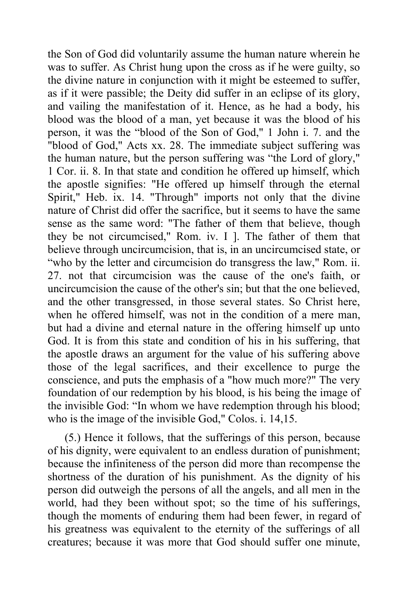the Son of God did voluntarily assume the human nature wherein he was to suffer. As Christ hung upon the cross as if he were guilty, so the divine nature in conjunction with it might be esteemed to suffer, as if it were passible; the Deity did suffer in an eclipse of its glory, and vailing the manifestation of it. Hence, as he had a body, his blood was the blood of a man, yet because it was the blood of his person, it was the "blood of the Son of God," 1 John i. 7. and the "blood of God," Acts xx. 28. The immediate subject suffering was the human nature, but the person suffering was "the Lord of glory," 1 Cor. ii. 8. In that state and condition he offered up himself, which the apostle signifies: "He offered up himself through the eternal Spirit," Heb. ix. 14. "Through" imports not only that the divine nature of Christ did offer the sacrifice, but it seems to have the same sense as the same word: "The father of them that believe, though they be not circumcised," Rom. iv. I ]. The father of them that believe through uncircumcision, that is, in an uncircumcised state, or "who by the letter and circumcision do transgress the law," Rom. ii. 27. not that circumcision was the cause of the one's faith, or uncircumcision the cause of the other's sin; but that the one believed, and the other transgressed, in those several states. So Christ here, when he offered himself, was not in the condition of a mere man, but had a divine and eternal nature in the offering himself up unto God. It is from this state and condition of his in his suffering, that the apostle draws an argument for the value of his suffering above those of the legal sacrifices, and their excellence to purge the conscience, and puts the emphasis of a "how much more?" The very foundation of our redemption by his blood, is his being the image of the invisible God: "In whom we have redemption through his blood; who is the image of the invisible God," Colos. i. 14,15.

(5.) Hence it follows, that the sufferings of this person, because of his dignity, were equivalent to an endless duration of punishment; because the infiniteness of the person did more than recompense the shortness of the duration of his punishment. As the dignity of his person did outweigh the persons of all the angels, and all men in the world, had they been without spot; so the time of his sufferings, though the moments of enduring them had been fewer, in regard of his greatness was equivalent to the eternity of the sufferings of all creatures; because it was more that God should suffer one minute,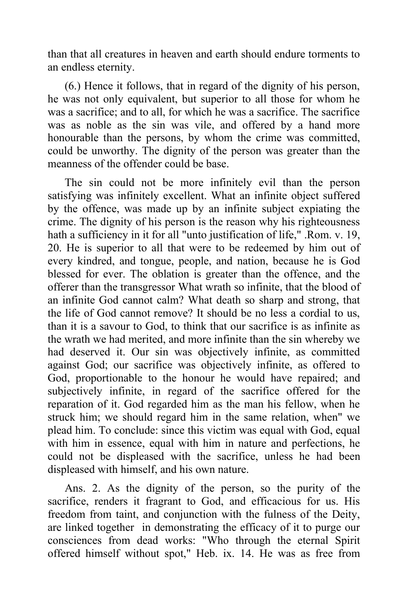than that all creatures in heaven and earth should endure torments to an endless eternity.

(6.) Hence it follows, that in regard of the dignity of his person, he was not only equivalent, but superior to all those for whom he was a sacrifice; and to all, for which he was a sacrifice. The sacrifice was as noble as the sin was vile, and offered by a hand more honourable than the persons, by whom the crime was committed, could be unworthy. The dignity of the person was greater than the meanness of the offender could be base.

The sin could not be more infinitely evil than the person satisfying was infinitely excellent. What an infinite object suffered by the offence, was made up by an infinite subject expiating the crime. The dignity of his person is the reason why his righteousness hath a sufficiency in it for all "unto justification of life," .Rom. v. 19, 20. He is superior to all that were to be redeemed by him out of every kindred, and tongue, people, and nation, because he is God blessed for ever. The oblation is greater than the offence, and the offerer than the transgressor What wrath so infinite, that the blood of an infinite God cannot calm? What death so sharp and strong, that the life of God cannot remove? It should be no less a cordial to us, than it is a savour to God, to think that our sacrifice is as infinite as the wrath we had merited, and more infinite than the sin whereby we had deserved it. Our sin was objectively infinite, as committed against God; our sacrifice was objectively infinite, as offered to God, proportionable to the honour he would have repaired; and subjectively infinite, in regard of the sacrifice offered for the reparation of it. God regarded him as the man his fellow, when he struck him; we should regard him in the same relation, when" we plead him. To conclude: since this victim was equal with God, equal with him in essence, equal with him in nature and perfections, he could not be displeased with the sacrifice, unless he had been displeased with himself, and his own nature.

Ans. 2. As the dignity of the person, so the purity of the sacrifice, renders it fragrant to God, and efficacious for us. His freedom from taint, and conjunction with the fulness of the Deity, are linked together in demonstrating the efficacy of it to purge our consciences from dead works: "Who through the eternal Spirit offered himself without spot," Heb. ix. 14. He was as free from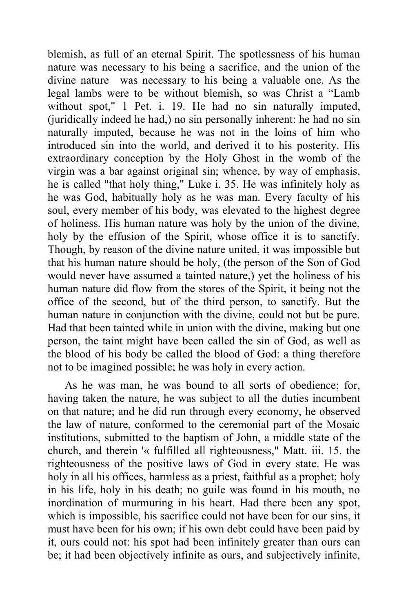blemish, as full of an eternal Spirit. The spotlessness of his human nature was necessary to his being a sacrifice, and the union of the divine nature was necessary to his being a valuable one. As the legal lambs were to be without blemish, so was Christ a "Lamb without spot," 1 Pet. i. 19. He had no sin naturally imputed, (juridically indeed he had,) no sin personally inherent: he had no sin naturally imputed, because he was not in the loins of him who introduced sin into the world, and derived it to his posterity. His extraordinary conception by the Holy Ghost in the womb of the virgin was a bar against original sin; whence, by way of emphasis, he is called "that holy thing," Luke i. 35. He was infinitely holy as he was God, habitually holy as he was man. Every faculty of his soul, every member of his body, was elevated to the highest degree of holiness. His human nature was holy by the union of the divine, holy by the effusion of the Spirit, whose office it is to sanctify. Though, by reason of the divine nature united, it was impossible but that his human nature should be holy, (the person of the Son of God would never have assumed a tainted nature,) yet the holiness of his human nature did flow from the stores of the Spirit, it being not the office of the second, but of the third person, to sanctify. But the human nature in conjunction with the divine, could not but be pure. Had that been tainted while in union with the divine, making but one person, the taint might have been called the sin of God, as well as the blood of his body be called the blood of God: a thing therefore not to be imagined possible; he was holy in every action.

As he was man, he was bound to all sorts of obedience; for, having taken the nature, he was subject to all the duties incumbent on that nature; and he did run through every economy, he observed the law of nature, conformed to the ceremonial part of the Mosaic institutions, submitted to the baptism of John, a middle state of the church, and therein '« fulfilled all righteousness," Matt. iii. 15. the righteousness of the positive laws of God in every state. He was holy in all his offices, harmless as a priest, faithful as a prophet; holy in his life, holy in his death; no guile was found in his mouth, no inordination of murmuring in his heart. Had there been any spot, which is impossible, his sacrifice could not have been for our sins, it must have been for his own; if his own debt could have been paid by it, ours could not: his spot had been infinitely greater than ours can be; it had been objectively infinite as ours, and subjectively infinite,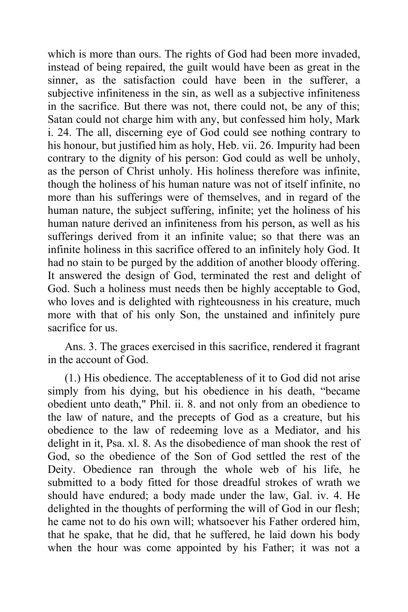which is more than ours. The rights of God had been more invaded, instead of being repaired, the guilt would have been as great in the sinner, as the satisfaction could have been in the sufferer, a subjective infiniteness in the sin, as well as a subjective infiniteness in the sacrifice. But there was not, there could not, be any of this; Satan could not charge him with any, but confessed him holy, Mark i. 24. The all, discerning eye of God could see nothing contrary to his honour, but justified him as holy, Heb. vii. 26. Impurity had been contrary to the dignity of his person: God could as well be unholy, as the person of Christ unholy. His holiness therefore was infinite, though the holiness of his human nature was not of itself infinite, no more than his sufferings were of themselves, and in regard of the human nature, the subject suffering, infinite; yet the holiness of his human nature derived an infiniteness from his person, as well as his sufferings derived from it an infinite value; so that there was an infinite holiness in this sacrifice offered to an infinitely holy God. It had no stain to be purged by the addition of another bloody offering. It answered the design of God, terminated the rest and delight of God. Such a holiness must needs then be highly acceptable to God, who loves and is delighted with righteousness in his creature, much more with that of his only Son, the unstained and infinitely pure sacrifice for us.

Ans. 3. The graces exercised in this sacrifice, rendered it fragrant in the account of God.

(1.) His obedience. The acceptableness of it to God did not arise simply from his dying, but his obedience in his death, "became obedient unto death," Phil. ii. 8. and not only from an obedience to the law of nature, and the precepts of God as a creature, but his obedience to the law of redeeming love as a Mediator, and his delight in it, Psa. xl. 8. As the disobedience of man shook the rest of God, so the obedience of the Son of God settled the rest of the Deity. Obedience ran through the whole web of his life, he submitted to a body fitted for those dreadful strokes of wrath we should have endured; a body made under the law, Gal. iv. 4. He delighted in the thoughts of performing the will of God in our flesh; he came not to do his own will; whatsoever his Father ordered him, that he spake, that he did, that he suffered, he laid down his body when the hour was come appointed by his Father; it was not a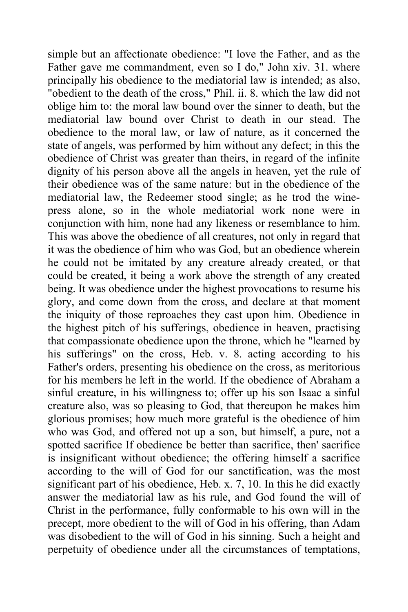simple but an affectionate obedience: "I love the Father, and as the Father gave me commandment, even so I do," John xiv. 31. where principally his obedience to the mediatorial law is intended; as also, "obedient to the death of the cross," Phil. ii. 8. which the law did not oblige him to: the moral law bound over the sinner to death, but the mediatorial law bound over Christ to death in our stead. The obedience to the moral law, or law of nature, as it concerned the state of angels, was performed by him without any defect; in this the obedience of Christ was greater than theirs, in regard of the infinite dignity of his person above all the angels in heaven, yet the rule of their obedience was of the same nature: but in the obedience of the mediatorial law, the Redeemer stood single; as he trod the winepress alone, so in the whole mediatorial work none were in conjunction with him, none had any likeness or resemblance to him. This was above the obedience of all creatures, not only in regard that it was the obedience of him who was God, but an obedience wherein he could not be imitated by any creature already created, or that could be created, it being a work above the strength of any created being. It was obedience under the highest provocations to resume his glory, and come down from the cross, and declare at that moment the iniquity of those reproaches they cast upon him. Obedience in the highest pitch of his sufferings, obedience in heaven, practising that compassionate obedience upon the throne, which he "learned by his sufferings" on the cross, Heb. v. 8. acting according to his Father's orders, presenting his obedience on the cross, as meritorious for his members he left in the world. If the obedience of Abraham a sinful creature, in his willingness to; offer up his son Isaac a sinful creature also, was so pleasing to God, that thereupon he makes him glorious promises; how much more grateful is the obedience of him who was God, and offered not up a son, but himself, a pure, not a spotted sacrifice If obedience be better than sacrifice, then' sacrifice is insignificant without obedience; the offering himself a sacrifice according to the will of God for our sanctification, was the most significant part of his obedience, Heb. x. 7, 10. In this he did exactly answer the mediatorial law as his rule, and God found the will of Christ in the performance, fully conformable to his own will in the precept, more obedient to the will of God in his offering, than Adam was disobedient to the will of God in his sinning. Such a height and perpetuity of obedience under all the circumstances of temptations,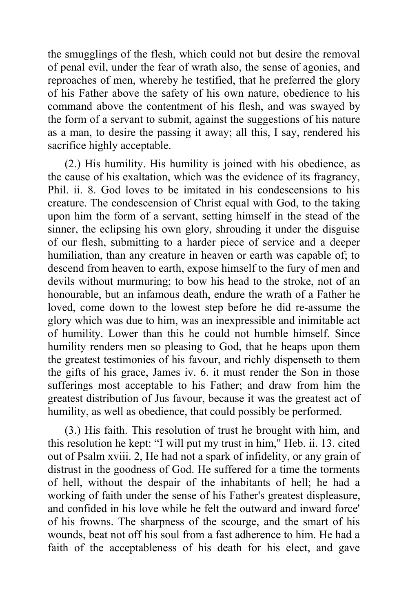the smugglings of the flesh, which could not but desire the removal of penal evil, under the fear of wrath also, the sense of agonies, and reproaches of men, whereby he testified, that he preferred the glory of his Father above the safety of his own nature, obedience to his command above the contentment of his flesh, and was swayed by the form of a servant to submit, against the suggestions of his nature as a man, to desire the passing it away; all this, I say, rendered his sacrifice highly acceptable.

(2.) His humility. His humility is joined with his obedience, as the cause of his exaltation, which was the evidence of its fragrancy, Phil. ii. 8. God loves to be imitated in his condescensions to his creature. The condescension of Christ equal with God, to the taking upon him the form of a servant, setting himself in the stead of the sinner, the eclipsing his own glory, shrouding it under the disguise of our flesh, submitting to a harder piece of service and a deeper humiliation, than any creature in heaven or earth was capable of; to descend from heaven to earth, expose himself to the fury of men and devils without murmuring; to bow his head to the stroke, not of an honourable, but an infamous death, endure the wrath of a Father he loved, come down to the lowest step before he did re-assume the glory which was due to him, was an inexpressible and inimitable act of humility. Lower than this he could not humble himself. Since humility renders men so pleasing to God, that he heaps upon them the greatest testimonies of his favour, and richly dispenseth to them the gifts of his grace, James iv. 6. it must render the Son in those sufferings most acceptable to his Father; and draw from him the greatest distribution of Jus favour, because it was the greatest act of humility, as well as obedience, that could possibly be performed.

(3.) His faith. This resolution of trust he brought with him, and this resolution he kept: "I will put my trust in him," Heb. ii. 13. cited out of Psalm xviii. 2, He had not a spark of infidelity, or any grain of distrust in the goodness of God. He suffered for a time the torments of hell, without the despair of the inhabitants of hell; he had a working of faith under the sense of his Father's greatest displeasure, and confided in his love while he felt the outward and inward force' of his frowns. The sharpness of the scourge, and the smart of his wounds, beat not off his soul from a fast adherence to him. He had a faith of the acceptableness of his death for his elect, and gave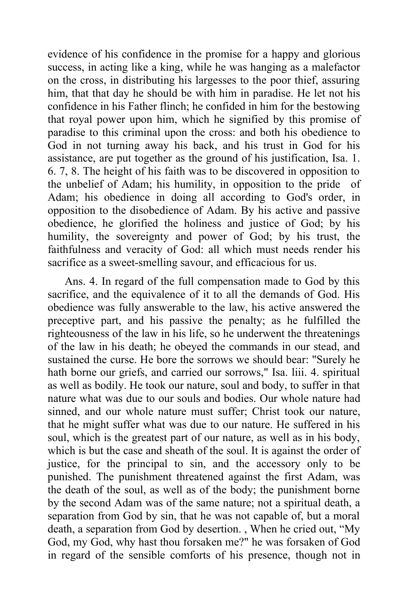evidence of his confidence in the promise for a happy and glorious success, in acting like a king, while he was hanging as a malefactor on the cross, in distributing his largesses to the poor thief, assuring him, that that day he should be with him in paradise. He let not his confidence in his Father flinch; he confided in him for the bestowing that royal power upon him, which he signified by this promise of paradise to this criminal upon the cross: and both his obedience to God in not turning away his back, and his trust in God for his assistance, are put together as the ground of his justification, Isa. 1. 6. 7, 8. The height of his faith was to be discovered in opposition to the unbelief of Adam; his humility, in opposition to the pride of Adam; his obedience in doing all according to God's order, in opposition to the disobedience of Adam. By his active and passive obedience, he glorified the holiness and justice of God; by his humility, the sovereignty and power of God; by his trust, the faithfulness and veracity of God: all which must needs render his sacrifice as a sweet-smelling savour, and efficacious for us.

Ans. 4. In regard of the full compensation made to God by this sacrifice, and the equivalence of it to all the demands of God. His obedience was fully answerable to the law, his active answered the preceptive part, and his passive the penalty; as he fulfilled the righteousness of the law in his life, so he underwent the threatenings of the law in his death; he obeyed the commands in our stead, and sustained the curse. He bore the sorrows we should bear: "Surely he hath borne our griefs, and carried our sorrows," Isa. liii. 4. spiritual as well as bodily. He took our nature, soul and body, to suffer in that nature what was due to our souls and bodies. Our whole nature had sinned, and our whole nature must suffer; Christ took our nature, that he might suffer what was due to our nature. He suffered in his soul, which is the greatest part of our nature, as well as in his body, which is but the case and sheath of the soul. It is against the order of justice, for the principal to sin, and the accessory only to be punished. The punishment threatened against the first Adam, was the death of the soul, as well as of the body; the punishment borne by the second Adam was of the same nature; not a spiritual death, a separation from God by sin, that he was not capable of, but a moral death, a separation from God by desertion. , When he cried out, "My God, my God, why hast thou forsaken me?" he was forsaken of God in regard of the sensible comforts of his presence, though not in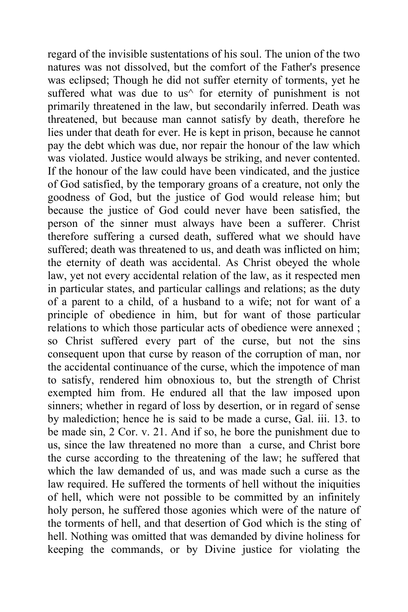regard of the invisible sustentations of his soul. The union of the two natures was not dissolved, but the comfort of the Father's presence was eclipsed; Though he did not suffer eternity of torments, yet he suffered what was due to us<sup> $\wedge$ </sup> for eternity of punishment is not primarily threatened in the law, but secondarily inferred. Death was threatened, but because man cannot satisfy by death, therefore he lies under that death for ever. He is kept in prison, because he cannot pay the debt which was due, nor repair the honour of the law which was violated. Justice would always be striking, and never contented. If the honour of the law could have been vindicated, and the justice of God satisfied, by the temporary groans of a creature, not only the goodness of God, but the justice of God would release him; but because the justice of God could never have been satisfied, the person of the sinner must always have been a sufferer. Christ therefore suffering a cursed death, suffered what we should have suffered; death was threatened to us, and death was inflicted on him; the eternity of death was accidental. As Christ obeyed the whole law, yet not every accidental relation of the law, as it respected men in particular states, and particular callings and relations; as the duty of a parent to a child, of a husband to a wife; not for want of a principle of obedience in him, but for want of those particular relations to which those particular acts of obedience were annexed ; so Christ suffered every part of the curse, but not the sins consequent upon that curse by reason of the corruption of man, nor the accidental continuance of the curse, which the impotence of man to satisfy, rendered him obnoxious to, but the strength of Christ exempted him from. He endured all that the law imposed upon sinners; whether in regard of loss by desertion, or in regard of sense by malediction; hence he is said to be made a curse, Gal. iii. 13. to be made sin, 2 Cor. v. 21. And if so, he bore the punishment due to us, since the law threatened no more than a curse, and Christ bore the curse according to the threatening of the law; he suffered that which the law demanded of us, and was made such a curse as the law required. He suffered the torments of hell without the iniquities of hell, which were not possible to be committed by an infinitely holy person, he suffered those agonies which were of the nature of the torments of hell, and that desertion of God which is the sting of hell. Nothing was omitted that was demanded by divine holiness for keeping the commands, or by Divine justice for violating the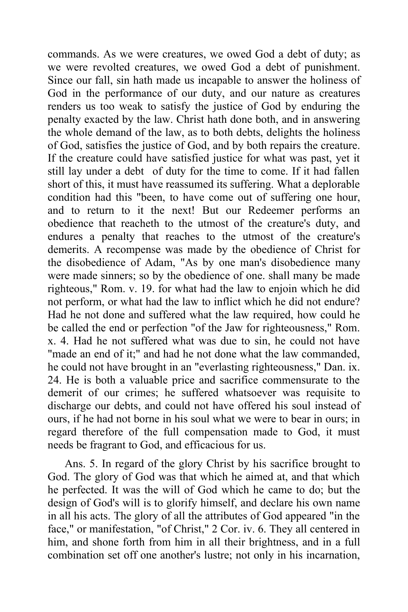commands. As we were creatures, we owed God a debt of duty; as we were revolted creatures, we owed God a debt of punishment. Since our fall, sin hath made us incapable to answer the holiness of God in the performance of our duty, and our nature as creatures renders us too weak to satisfy the justice of God by enduring the penalty exacted by the law. Christ hath done both, and in answering the whole demand of the law, as to both debts, delights the holiness of God, satisfies the justice of God, and by both repairs the creature. If the creature could have satisfied justice for what was past, yet it still lay under a debt of duty for the time to come. If it had fallen short of this, it must have reassumed its suffering. What a deplorable condition had this "been, to have come out of suffering one hour, and to return to it the next! But our Redeemer performs an obedience that reacheth to the utmost of the creature's duty, and endures a penalty that reaches to the utmost of the creature's demerits. A recompense was made by the obedience of Christ for the disobedience of Adam, "As by one man's disobedience many were made sinners; so by the obedience of one. shall many be made righteous," Rom. v. 19. for what had the law to enjoin which he did not perform, or what had the law to inflict which he did not endure? Had he not done and suffered what the law required, how could he be called the end or perfection "of the Jaw for righteousness," Rom. x. 4. Had he not suffered what was due to sin, he could not have "made an end of it;" and had he not done what the law commanded, he could not have brought in an "everlasting righteousness," Dan. ix. 24. He is both a valuable price and sacrifice commensurate to the demerit of our crimes; he suffered whatsoever was requisite to discharge our debts, and could not have offered his soul instead of ours, if he had not borne in his soul what we were to bear in ours; in regard therefore of the full compensation made to God, it must needs be fragrant to God, and efficacious for us.

Ans. 5. In regard of the glory Christ by his sacrifice brought to God. The glory of God was that which he aimed at, and that which he perfected. It was the will of God which he came to do; but the design of God's will is to glorify himself, and declare his own name in all his acts. The glory of all the attributes of God appeared "in the face," or manifestation, "of Christ," 2 Cor. iv. 6. They all centered in him, and shone forth from him in all their brightness, and in a full combination set off one another's lustre; not only in his incarnation,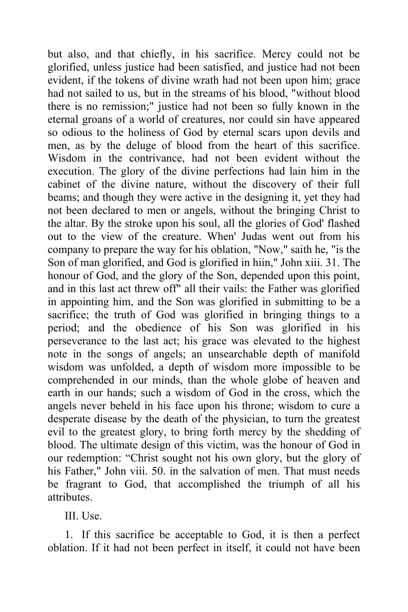but also, and that chiefly, in his sacrifice. Mercy could not be glorified, unless justice had been satisfied, and justice had not been evident, if the tokens of divine wrath had not been upon him; grace had not sailed to us, but in the streams of his blood, "without blood there is no remission;" justice had not been so fully known in the eternal groans of a world of creatures, nor could sin have appeared so odious to the holiness of God by eternal scars upon devils and men, as by the deluge of blood from the heart of this sacrifice. Wisdom in the contrivance, had not been evident without the execution. The glory of the divine perfections had lain him in the cabinet of the divine nature, without the discovery of their full beams; and though they were active in the designing it, yet they had not been declared to men or angels, without the bringing Christ to the altar. By the stroke upon his soul, all the glories of God' flashed out to the view of the creature. When' Judas went out from his company to prepare the way for his oblation, "Now," saith he, "is the Son of man glorified, and God is glorified in hiin," John xiii. 31. The honour of God, and the glory of the Son, depended upon this point, and in this last act threw off" all their vails: the Father was glorified in appointing him, and the Son was glorified in submitting to be a sacrifice; the truth of God was glorified in bringing things to a period; and the obedience of his Son was glorified in his perseverance to the last act; his grace was elevated to the highest note in the songs of angels; an unsearchable depth of manifold wisdom was unfolded, a depth of wisdom more impossible to be comprehended in our minds, than the whole globe of heaven and earth in our hands; such a wisdom of God in the cross, which the angels never beheld in his face upon his throne; wisdom to cure a desperate disease by the death of the physician, to turn the greatest evil to the greatest glory, to bring forth mercy by the shedding of blood. The ultimate design of this victim, was the honour of God in our redemption: "Christ sought not his own glory, but the glory of his Father," John viii. 50. in the salvation of men. That must needs be fragrant to God, that accomplished the triumph of all his attributes.

III. Use.

1. If this sacrifice be acceptable to God, it is then a perfect oblation. If it had not been perfect in itself, it could not have been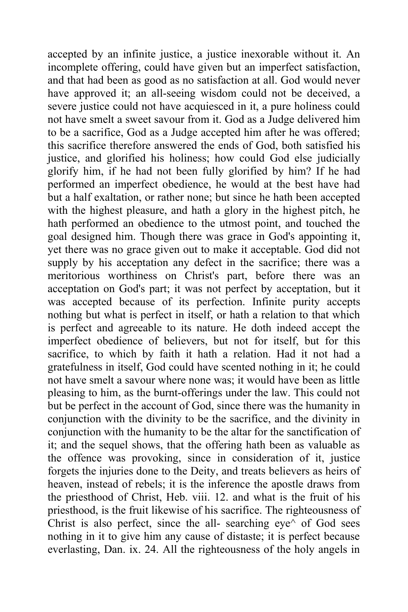accepted by an infinite justice, a justice inexorable without it. An incomplete offering, could have given but an imperfect satisfaction, and that had been as good as no satisfaction at all. God would never have approved it; an all-seeing wisdom could not be deceived, a severe justice could not have acquiesced in it, a pure holiness could not have smelt a sweet savour from it. God as a Judge delivered him to be a sacrifice, God as a Judge accepted him after he was offered; this sacrifice therefore answered the ends of God, both satisfied his justice, and glorified his holiness; how could God else judicially glorify him, if he had not been fully glorified by him? If he had performed an imperfect obedience, he would at the best have had but a half exaltation, or rather none; but since he hath been accepted with the highest pleasure, and hath a glory in the highest pitch, he hath performed an obedience to the utmost point, and touched the goal designed him. Though there was grace in God's appointing it, yet there was no grace given out to make it acceptable. God did not supply by his acceptation any defect in the sacrifice; there was a meritorious worthiness on Christ's part, before there was an acceptation on God's part; it was not perfect by acceptation, but it was accepted because of its perfection. Infinite purity accepts nothing but what is perfect in itself, or hath a relation to that which is perfect and agreeable to its nature. He doth indeed accept the imperfect obedience of believers, but not for itself, but for this sacrifice, to which by faith it hath a relation. Had it not had a gratefulness in itself, God could have scented nothing in it; he could not have smelt a savour where none was; it would have been as little pleasing to him, as the burnt-offerings under the law. This could not but be perfect in the account of God, since there was the humanity in conjunction with the divinity to be the sacrifice, and the divinity in conjunction with the humanity to be the altar for the sanctification of it; and the sequel shows, that the offering hath been as valuable as the offence was provoking, since in consideration of it, justice forgets the injuries done to the Deity, and treats believers as heirs of heaven, instead of rebels; it is the inference the apostle draws from the priesthood of Christ, Heb. viii. 12. and what is the fruit of his priesthood, is the fruit likewise of his sacrifice. The righteousness of Christ is also perfect, since the all- searching eye $\land$  of God sees nothing in it to give him any cause of distaste; it is perfect because everlasting, Dan. ix. 24. All the righteousness of the holy angels in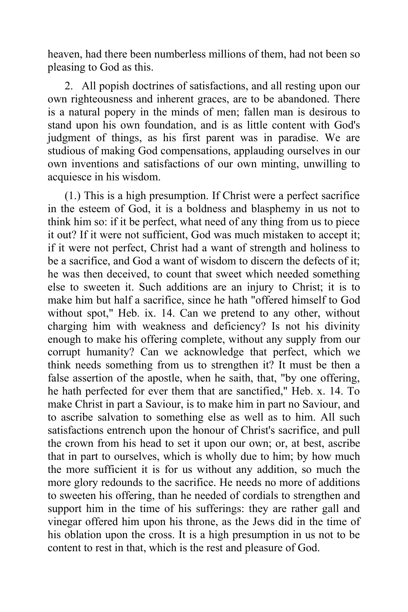heaven, had there been numberless millions of them, had not been so pleasing to God as this.

2. All popish doctrines of satisfactions, and all resting upon our own righteousness and inherent graces, are to be abandoned. There is a natural popery in the minds of men; fallen man is desirous to stand upon his own foundation, and is as little content with God's judgment of things, as his first parent was in paradise. We are studious of making God compensations, applauding ourselves in our own inventions and satisfactions of our own minting, unwilling to acquiesce in his wisdom.

(1.) This is a high presumption. If Christ were a perfect sacrifice in the esteem of God, it is a boldness and blasphemy in us not to think him so: if it be perfect, what need of any thing from us to piece it out? If it were not sufficient, God was much mistaken to accept it; if it were not perfect, Christ had a want of strength and holiness to be a sacrifice, and God a want of wisdom to discern the defects of it; he was then deceived, to count that sweet which needed something else to sweeten it. Such additions are an injury to Christ; it is to make him but half a sacrifice, since he hath "offered himself to God without spot," Heb. ix. 14. Can we pretend to any other, without charging him with weakness and deficiency? Is not his divinity enough to make his offering complete, without any supply from our corrupt humanity? Can we acknowledge that perfect, which we think needs something from us to strengthen it? It must be then a false assertion of the apostle, when he saith, that, "by one offering, he hath perfected for ever them that are sanctified," Heb. x. 14. To make Christ in part a Saviour, is to make him in part no Saviour, and to ascribe salvation to something else as well as to him. All such satisfactions entrench upon the honour of Christ's sacrifice, and pull the crown from his head to set it upon our own; or, at best, ascribe that in part to ourselves, which is wholly due to him; by how much the more sufficient it is for us without any addition, so much the more glory redounds to the sacrifice. He needs no more of additions to sweeten his offering, than he needed of cordials to strengthen and support him in the time of his sufferings: they are rather gall and vinegar offered him upon his throne, as the Jews did in the time of his oblation upon the cross. It is a high presumption in us not to be content to rest in that, which is the rest and pleasure of God.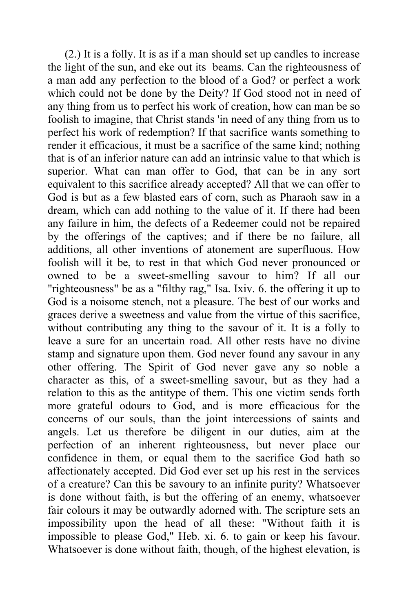(2.) It is a folly. It is as if a man should set up candles to increase the light of the sun, and eke out its beams. Can the righteousness of a man add any perfection to the blood of a God? or perfect a work which could not be done by the Deity? If God stood not in need of any thing from us to perfect his work of creation, how can man be so foolish to imagine, that Christ stands 'in need of any thing from us to perfect his work of redemption? If that sacrifice wants something to render it efficacious, it must be a sacrifice of the same kind; nothing that is of an inferior nature can add an intrinsic value to that which is superior. What can man offer to God, that can be in any sort equivalent to this sacrifice already accepted? All that we can offer to God is but as a few blasted ears of corn, such as Pharaoh saw in a dream, which can add nothing to the value of it. If there had been any failure in him, the defects of a Redeemer could not be repaired by the offerings of the captives; and if there be no failure, all additions, all other inventions of atonement are superfluous. How foolish will it be, to rest in that which God never pronounced or owned to be a sweet-smelling savour to him? If all our "righteousness" be as a "filthy rag," Isa. Ixiv. 6. the offering it up to God is a noisome stench, not a pleasure. The best of our works and graces derive a sweetness and value from the virtue of this sacrifice, without contributing any thing to the savour of it. It is a folly to leave a sure for an uncertain road. All other rests have no divine stamp and signature upon them. God never found any savour in any other offering. The Spirit of God never gave any so noble a character as this, of a sweet-smelling savour, but as they had a relation to this as the antitype of them. This one victim sends forth more grateful odours to God, and is more efficacious for the concerns of our souls, than the joint intercessions of saints and angels. Let us therefore be diligent in our duties, aim at the perfection of an inherent righteousness, but never place our confidence in them, or equal them to the sacrifice God hath so affectionately accepted. Did God ever set up his rest in the services of a creature? Can this be savoury to an infinite purity? Whatsoever is done without faith, is but the offering of an enemy, whatsoever fair colours it may be outwardly adorned with. The scripture sets an impossibility upon the head of all these: "Without faith it is impossible to please God," Heb. xi. 6. to gain or keep his favour. Whatsoever is done without faith, though, of the highest elevation, is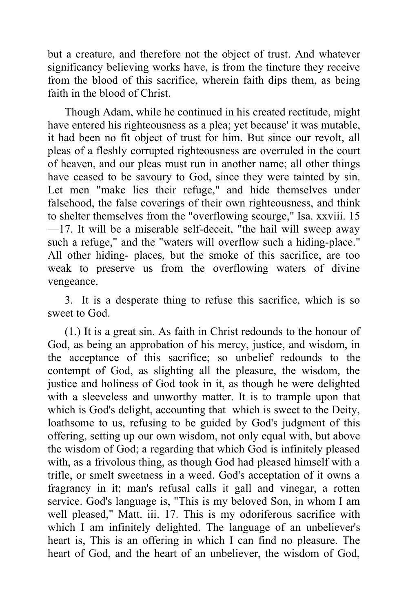but a creature, and therefore not the object of trust. And whatever significancy believing works have, is from the tincture they receive from the blood of this sacrifice, wherein faith dips them, as being faith in the blood of Christ.

Though Adam, while he continued in his created rectitude, might have entered his righteousness as a plea; yet because' it was mutable, it had been no fit object of trust for him. But since our revolt, all pleas of a fleshly corrupted righteousness are overruled in the court of heaven, and our pleas must run in another name; all other things have ceased to be savoury to God, since they were tainted by sin. Let men "make lies their refuge," and hide themselves under falsehood, the false coverings of their own righteousness, and think to shelter themselves from the "overflowing scourge," Isa. xxviii. 15 —17. It will be a miserable self-deceit, "the hail will sweep away such a refuge," and the "waters will overflow such a hiding-place." All other hiding- places, but the smoke of this sacrifice, are too weak to preserve us from the overflowing waters of divine vengeance.

3. It is a desperate thing to refuse this sacrifice, which is so sweet to God.

(1.) It is a great sin. As faith in Christ redounds to the honour of God, as being an approbation of his mercy, justice, and wisdom, in the acceptance of this sacrifice; so unbelief redounds to the contempt of God, as slighting all the pleasure, the wisdom, the justice and holiness of God took in it, as though he were delighted with a sleeveless and unworthy matter. It is to trample upon that which is God's delight, accounting that which is sweet to the Deity, loathsome to us, refusing to be guided by God's judgment of this offering, setting up our own wisdom, not only equal with, but above the wisdom of God; a regarding that which God is infinitely pleased with, as a frivolous thing, as though God had pleased himself with a trifle, or smelt sweetness in a weed. God's acceptation of it owns a fragrancy in it; man's refusal calls it gall and vinegar, a rotten service. God's language is, "This is my beloved Son, in whom I am well pleased," Matt. iii. 17. This is my odoriferous sacrifice with which I am infinitely delighted. The language of an unbeliever's heart is, This is an offering in which I can find no pleasure. The heart of God, and the heart of an unbeliever, the wisdom of God,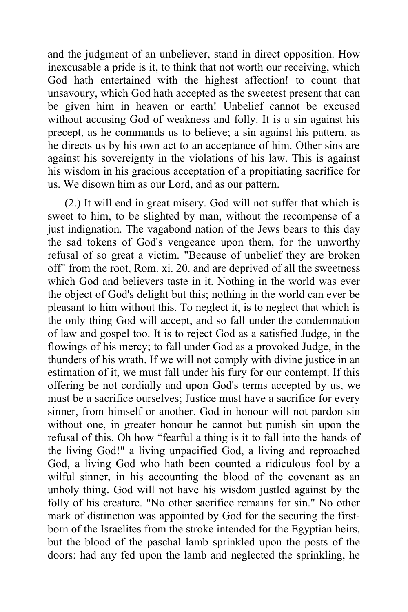and the judgment of an unbeliever, stand in direct opposition. How inexcusable a pride is it, to think that not worth our receiving, which God hath entertained with the highest affection! to count that unsavoury, which God hath accepted as the sweetest present that can be given him in heaven or earth! Unbelief cannot be excused without accusing God of weakness and folly. It is a sin against his precept, as he commands us to believe; a sin against his pattern, as he directs us by his own act to an acceptance of him. Other sins are against his sovereignty in the violations of his law. This is against his wisdom in his gracious acceptation of a propitiating sacrifice for us. We disown him as our Lord, and as our pattern.

(2.) It will end in great misery. God will not suffer that which is sweet to him, to be slighted by man, without the recompense of a just indignation. The vagabond nation of the Jews bears to this day the sad tokens of God's vengeance upon them, for the unworthy refusal of so great a victim. "Because of unbelief they are broken off" from the root, Rom. xi. 20. and are deprived of all the sweetness which God and believers taste in it. Nothing in the world was ever the object of God's delight but this; nothing in the world can ever be pleasant to him without this. To neglect it, is to neglect that which is the only thing God will accept, and so fall under the condemnation of law and gospel too. It is to reject God as a satisfied Judge, in the flowings of his mercy; to fall under God as a provoked Judge, in the thunders of his wrath. If we will not comply with divine justice in an estimation of it, we must fall under his fury for our contempt. If this offering be not cordially and upon God's terms accepted by us, we must be a sacrifice ourselves; Justice must have a sacrifice for every sinner, from himself or another. God in honour will not pardon sin without one, in greater honour he cannot but punish sin upon the refusal of this. Oh how "fearful a thing is it to fall into the hands of the living God!" a living unpacified God, a living and reproached God, a living God who hath been counted a ridiculous fool by a wilful sinner, in his accounting the blood of the covenant as an unholy thing. God will not have his wisdom justled against by the folly of his creature. "No other sacrifice remains for sin." No other mark of distinction was appointed by God for the securing the firstborn of the Israelites from the stroke intended for the Egyptian heirs, but the blood of the paschal lamb sprinkled upon the posts of the doors: had any fed upon the lamb and neglected the sprinkling, he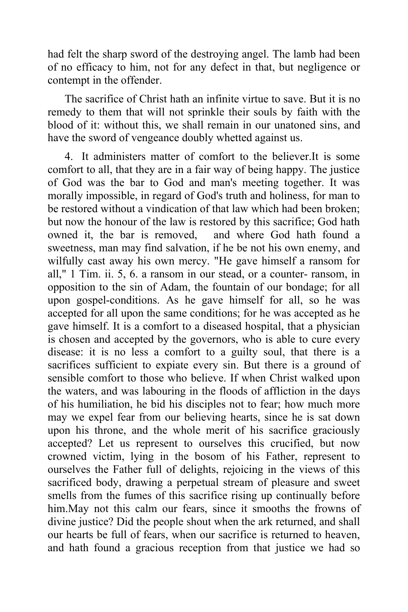had felt the sharp sword of the destroying angel. The lamb had been of no efficacy to him, not for any defect in that, but negligence or contempt in the offender.

The sacrifice of Christ hath an infinite virtue to save. But it is no remedy to them that will not sprinkle their souls by faith with the blood of it: without this, we shall remain in our unatoned sins, and have the sword of vengeance doubly whetted against us.

4. It administers matter of comfort to the believer.It is some comfort to all, that they are in a fair way of being happy. The justice of God was the bar to God and man's meeting together. It was morally impossible, in regard of God's truth and holiness, for man to be restored without a vindication of that law which had been broken; but now the honour of the law is restored by this sacrifice; God hath owned it, the bar is removed, and where God hath found a sweetness, man may find salvation, if he be not his own enemy, and wilfully cast away his own mercy. "He gave himself a ransom for all," 1 Tim. ii. 5, 6. a ransom in our stead, or a counter- ransom, in opposition to the sin of Adam, the fountain of our bondage; for all upon gospel-conditions. As he gave himself for all, so he was accepted for all upon the same conditions; for he was accepted as he gave himself. It is a comfort to a diseased hospital, that a physician is chosen and accepted by the governors, who is able to cure every disease: it is no less a comfort to a guilty soul, that there is a sacrifices sufficient to expiate every sin. But there is a ground of sensible comfort to those who believe. If when Christ walked upon the waters, and was labouring in the floods of affliction in the days of his humiliation, he bid his disciples not to fear; how much more may we expel fear from our believing hearts, since he is sat down upon his throne, and the whole merit of his sacrifice graciously accepted? Let us represent to ourselves this crucified, but now crowned victim, lying in the bosom of his Father, represent to ourselves the Father full of delights, rejoicing in the views of this sacrificed body, drawing a perpetual stream of pleasure and sweet smells from the fumes of this sacrifice rising up continually before him.May not this calm our fears, since it smooths the frowns of divine justice? Did the people shout when the ark returned, and shall our hearts be full of fears, when our sacrifice is returned to heaven, and hath found a gracious reception from that justice we had so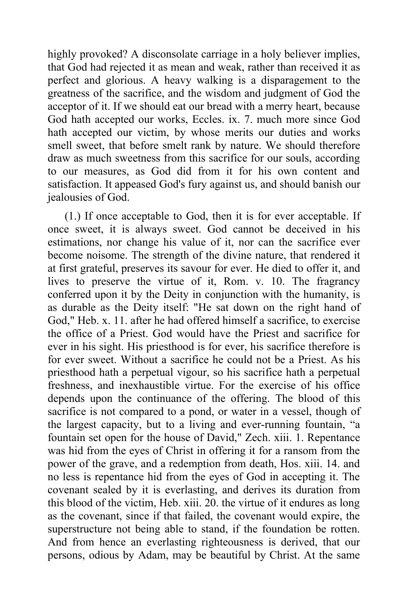highly provoked? A disconsolate carriage in a holy believer implies, that God had rejected it as mean and weak, rather than received it as perfect and glorious. A heavy walking is a disparagement to the greatness of the sacrifice, and the wisdom and judgment of God the acceptor of it. If we should eat our bread with a merry heart, because God hath accepted our works, Eccles. ix. 7. much more since God hath accepted our victim, by whose merits our duties and works smell sweet, that before smelt rank by nature. We should therefore draw as much sweetness from this sacrifice for our souls, according to our measures, as God did from it for his own content and satisfaction. It appeased God's fury against us, and should banish our jealousies of God.

(1.) If once acceptable to God, then it is for ever acceptable. If once sweet, it is always sweet. God cannot be deceived in his estimations, nor change his value of it, nor can the sacrifice ever become noisome. The strength of the divine nature, that rendered it at first grateful, preserves its savour for ever. He died to offer it, and lives to preserve the virtue of it, Rom. v. 10. The fragrancy conferred upon it by the Deity in conjunction with the humanity, is as durable as the Deity itself: "He sat down on the right hand of God," Heb. x. 11. after he had offered himself a sacrifice, to exercise the office of a Priest. God would have the Priest and sacrifice for ever in his sight. His priesthood is for ever, his sacrifice therefore is for ever sweet. Without a sacrifice he could not be a Priest. As his priesthood hath a perpetual vigour, so his sacrifice hath a perpetual freshness, and inexhaustible virtue. For the exercise of his office depends upon the continuance of the offering. The blood of this sacrifice is not compared to a pond, or water in a vessel, though of the largest capacity, but to a living and ever-running fountain, "a fountain set open for the house of David," Zech. xiii. 1. Repentance was hid from the eyes of Christ in offering it for a ransom from the power of the grave, and a redemption from death, Hos. xiii. 14. and no less is repentance hid from the eyes of God in accepting it. The covenant sealed by it is everlasting, and derives its duration from this blood of the victim, Heb. xiii. 20. the virtue of it endures as long as the covenant, since if that failed, the covenant would expire, the superstructure not being able to stand, if the foundation be rotten. And from hence an everlasting righteousness is derived, that our persons, odious by Adam, may be beautiful by Christ. At the same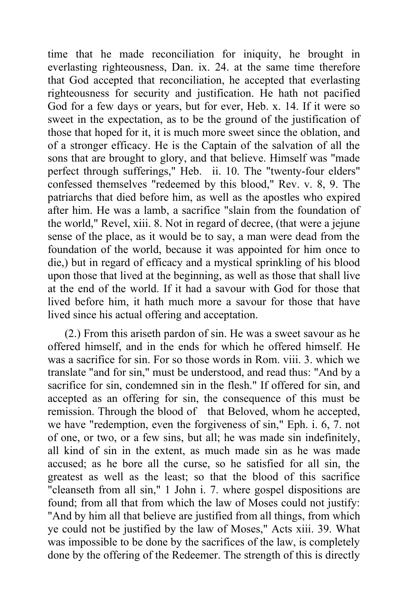time that he made reconciliation for iniquity, he brought in everlasting righteousness, Dan. ix. 24. at the same time therefore that God accepted that reconciliation, he accepted that everlasting righteousness for security and justification. He hath not pacified God for a few days or years, but for ever, Heb. x. 14. If it were so sweet in the expectation, as to be the ground of the justification of those that hoped for it, it is much more sweet since the oblation, and of a stronger efficacy. He is the Captain of the salvation of all the sons that are brought to glory, and that believe. Himself was "made perfect through sufferings," Heb. ii. 10. The "twenty-four elders" confessed themselves "redeemed by this blood," Rev. v. 8, 9. The patriarchs that died before him, as well as the apostles who expired after him. He was a lamb, a sacrifice "slain from the foundation of the world," Revel, xiii. 8. Not in regard of decree, (that were a jejune sense of the place, as it would be to say, a man were dead from the foundation of the world, because it was appointed for him once to die,) but in regard of efficacy and a mystical sprinkling of his blood upon those that lived at the beginning, as well as those that shall live at the end of the world. If it had a savour with God for those that lived before him, it hath much more a savour for those that have lived since his actual offering and acceptation.

(2.) From this ariseth pardon of sin. He was a sweet savour as he offered himself, and in the ends for which he offered himself. He was a sacrifice for sin. For so those words in Rom. viii. 3. which we translate "and for sin," must be understood, and read thus: "And by a sacrifice for sin, condemned sin in the flesh." If offered for sin, and accepted as an offering for sin, the consequence of this must be remission. Through the blood of that Beloved, whom he accepted, we have "redemption, even the forgiveness of sin," Eph. i. 6, 7. not of one, or two, or a few sins, but all; he was made sin indefinitely, all kind of sin in the extent, as much made sin as he was made accused; as he bore all the curse, so he satisfied for all sin, the greatest as well as the least; so that the blood of this sacrifice "cleanseth from all sin," 1 John i. 7. where gospel dispositions are found; from all that from which the law of Moses could not justify: "And by him all that believe are justified from all things, from which ye could not be justified by the law of Moses," Acts xiii. 39. What was impossible to be done by the sacrifices of the law, is completely done by the offering of the Redeemer. The strength of this is directly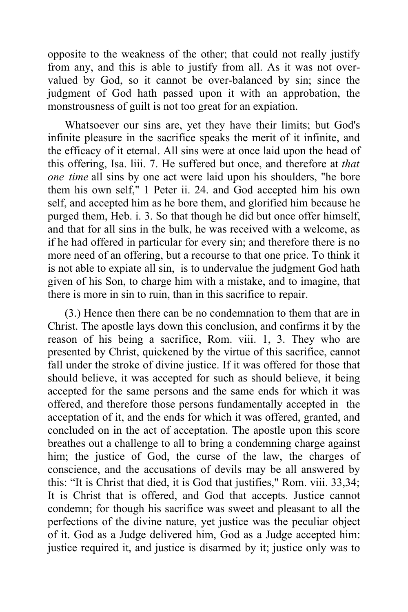opposite to the weakness of the other; that could not really justify from any, and this is able to justify from all. As it was not overvalued by God, so it cannot be over-balanced by sin; since the judgment of God hath passed upon it with an approbation, the monstrousness of guilt is not too great for an expiation.

Whatsoever our sins are, yet they have their limits; but God's infinite pleasure in the sacrifice speaks the merit of it infinite, and the efficacy of it eternal. All sins were at once laid upon the head of this offering, Isa. liii. 7. He suffered but once, and therefore at *that one time* all sins by one act were laid upon his shoulders, "he bore them his own self," 1 Peter ii. 24. and God accepted him his own self, and accepted him as he bore them, and glorified him because he purged them, Heb. i. 3. So that though he did but once offer himself, and that for all sins in the bulk, he was received with a welcome, as if he had offered in particular for every sin; and therefore there is no more need of an offering, but a recourse to that one price. To think it is not able to expiate all sin, is to undervalue the judgment God hath given of his Son, to charge him with a mistake, and to imagine, that there is more in sin to ruin, than in this sacrifice to repair.

(3.) Hence then there can be no condemnation to them that are in Christ. The apostle lays down this conclusion, and confirms it by the reason of his being a sacrifice, Rom. viii. 1, 3. They who are presented by Christ, quickened by the virtue of this sacrifice, cannot fall under the stroke of divine justice. If it was offered for those that should believe, it was accepted for such as should believe, it being accepted for the same persons and the same ends for which it was offered, and therefore those persons fundamentally accepted in the acceptation of it, and the ends for which it was offered, granted, and concluded on in the act of acceptation. The apostle upon this score breathes out a challenge to all to bring a condemning charge against him; the justice of God, the curse of the law, the charges of conscience, and the accusations of devils may be all answered by this: "It is Christ that died, it is God that justifies," Rom. viii. 33,34; It is Christ that is offered, and God that accepts. Justice cannot condemn; for though his sacrifice was sweet and pleasant to all the perfections of the divine nature, yet justice was the peculiar object of it. God as a Judge delivered him, God as a Judge accepted him: justice required it, and justice is disarmed by it; justice only was to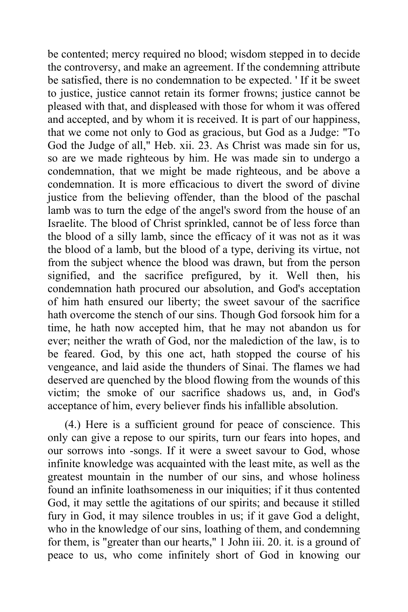be contented; mercy required no blood; wisdom stepped in to decide the controversy, and make an agreement. If the condemning attribute be satisfied, there is no condemnation to be expected. ' If it be sweet to justice, justice cannot retain its former frowns; justice cannot be pleased with that, and displeased with those for whom it was offered and accepted, and by whom it is received. It is part of our happiness, that we come not only to God as gracious, but God as a Judge: "To God the Judge of all," Heb. xii. 23. As Christ was made sin for us, so are we made righteous by him. He was made sin to undergo a condemnation, that we might be made righteous, and be above a condemnation. It is more efficacious to divert the sword of divine justice from the believing offender, than the blood of the paschal lamb was to turn the edge of the angel's sword from the house of an Israelite. The blood of Christ sprinkled, cannot be of less force than the blood of a silly lamb, since the efficacy of it was not as it was the blood of a lamb, but the blood of a type, deriving its virtue, not from the subject whence the blood was drawn, but from the person signified, and the sacrifice prefigured, by it. Well then, his condemnation hath procured our absolution, and God's acceptation of him hath ensured our liberty; the sweet savour of the sacrifice hath overcome the stench of our sins. Though God forsook him for a time, he hath now accepted him, that he may not abandon us for ever; neither the wrath of God, nor the malediction of the law, is to be feared. God, by this one act, hath stopped the course of his vengeance, and laid aside the thunders of Sinai. The flames we had deserved are quenched by the blood flowing from the wounds of this victim; the smoke of our sacrifice shadows us, and, in God's acceptance of him, every believer finds his infallible absolution.

(4.) Here is a sufficient ground for peace of conscience. This only can give a repose to our spirits, turn our fears into hopes, and our sorrows into -songs. If it were a sweet savour to God, whose infinite knowledge was acquainted with the least mite, as well as the greatest mountain in the number of our sins, and whose holiness found an infinite loathsomeness in our iniquities; if it thus contented God, it may settle the agitations of our spirits; and because it stilled fury in God, it may silence troubles in us; if it gave God a delight, who in the knowledge of our sins, loathing of them, and condemning for them, is "greater than our hearts," 1 John iii. 20. it. is a ground of peace to us, who come infinitely short of God in knowing our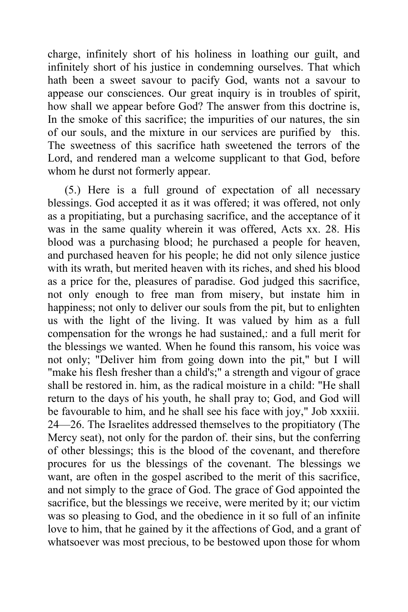charge, infinitely short of his holiness in loathing our guilt, and infinitely short of his justice in condemning ourselves. That which hath been a sweet savour to pacify God, wants not a savour to appease our consciences. Our great inquiry is in troubles of spirit, how shall we appear before God? The answer from this doctrine is, In the smoke of this sacrifice; the impurities of our natures, the sin of our souls, and the mixture in our services are purified by this. The sweetness of this sacrifice hath sweetened the terrors of the Lord, and rendered man a welcome supplicant to that God, before whom he durst not formerly appear.

(5.) Here is a full ground of expectation of all necessary blessings. God accepted it as it was offered; it was offered, not only as a propitiating, but a purchasing sacrifice, and the acceptance of it was in the same quality wherein it was offered, Acts xx. 28. His blood was a purchasing blood; he purchased a people for heaven, and purchased heaven for his people; he did not only silence justice with its wrath, but merited heaven with its riches, and shed his blood as a price for the, pleasures of paradise. God judged this sacrifice, not only enough to free man from misery, but instate him in happiness; not only to deliver our souls from the pit, but to enlighten us with the light of the living. It was valued by him as a full compensation for the wrongs he had sustained,: and a full merit for the blessings we wanted. When he found this ransom, his voice was not only; "Deliver him from going down into the pit," but I will "make his flesh fresher than a child's;" a strength and vigour of grace shall be restored in. him, as the radical moisture in a child: "He shall return to the days of his youth, he shall pray to; God, and God will be favourable to him, and he shall see his face with joy," Job xxxiii. 24—26. The Israelites addressed themselves to the propitiatory (The Mercy seat), not only for the pardon of. their sins, but the conferring of other blessings; this is the blood of the covenant, and therefore procures for us the blessings of the covenant. The blessings we want, are often in the gospel ascribed to the merit of this sacrifice, and not simply to the grace of God. The grace of God appointed the sacrifice, but the blessings we receive, were merited by it; our victim was so pleasing to God, and the obedience in it so full of an infinite love to him, that he gained by it the affections of God, and a grant of whatsoever was most precious, to be bestowed upon those for whom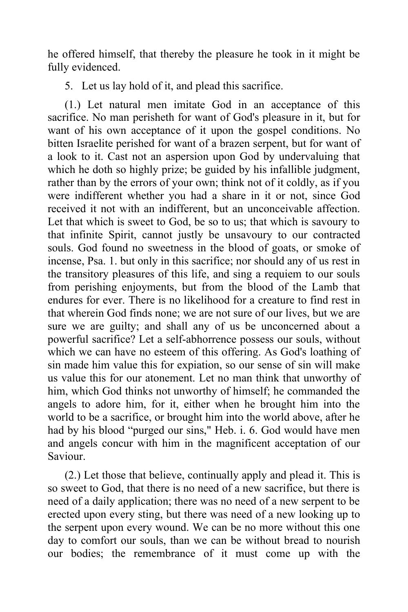he offered himself, that thereby the pleasure he took in it might be fully evidenced.

5. Let us lay hold of it, and plead this sacrifice.

(1.) Let natural men imitate God in an acceptance of this sacrifice. No man perisheth for want of God's pleasure in it, but for want of his own acceptance of it upon the gospel conditions. No bitten Israelite perished for want of a brazen serpent, but for want of a look to it. Cast not an aspersion upon God by undervaluing that which he doth so highly prize; be guided by his infallible judgment, rather than by the errors of your own; think not of it coldly, as if you were indifferent whether you had a share in it or not, since God received it not with an indifferent, but an unconceivable affection. Let that which is sweet to God, be so to us; that which is savoury to that infinite Spirit, cannot justly be unsavoury to our contracted souls. God found no sweetness in the blood of goats, or smoke of incense, Psa. 1. but only in this sacrifice; nor should any of us rest in the transitory pleasures of this life, and sing a requiem to our souls from perishing enjoyments, but from the blood of the Lamb that endures for ever. There is no likelihood for a creature to find rest in that wherein God finds none; we are not sure of our lives, but we are sure we are guilty; and shall any of us be unconcerned about a powerful sacrifice? Let a self-abhorrence possess our souls, without which we can have no esteem of this offering. As God's loathing of sin made him value this for expiation, so our sense of sin will make us value this for our atonement. Let no man think that unworthy of him, which God thinks not unworthy of himself; he commanded the angels to adore him, for it, either when he brought him into the world to be a sacrifice, or brought him into the world above, after he had by his blood "purged our sins," Heb. i. 6. God would have men and angels concur with him in the magnificent acceptation of our Saviour.

(2.) Let those that believe, continually apply and plead it. This is so sweet to God, that there is no need of a new sacrifice, but there is need of a daily application; there was no need of a new serpent to be erected upon every sting, but there was need of a new looking up to the serpent upon every wound. We can be no more without this one day to comfort our souls, than we can be without bread to nourish our bodies; the remembrance of it must come up with the